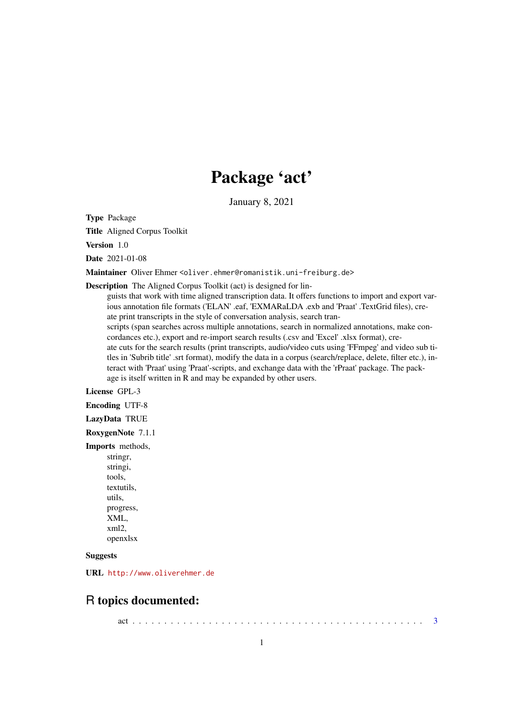# Package 'act'

January 8, 2021

Type Package

Title Aligned Corpus Toolkit

Version 1.0

Date 2021-01-08

Maintainer Oliver Ehmer < oliver.ehmer@romanistik.uni-freiburg.de>

Description The Aligned Corpus Toolkit (act) is designed for lin-

guists that work with time aligned transcription data. It offers functions to import and export various annotation file formats ('ELAN' .eaf, 'EXMARaLDA .exb and 'Praat' .TextGrid files), create print transcripts in the style of conversation analysis, search transcripts (span searches across multiple annotations, search in normalized annotations, make concordances etc.), export and re-import search results (.csv and 'Excel' .xlsx format), create cuts for the search results (print transcripts, audio/video cuts using 'FFmpeg' and video sub titles in 'Subrib title' .srt format), modify the data in a corpus (search/replace, delete, filter etc.), interact with 'Praat' using 'Praat'-scripts, and exchange data with the 'rPraat' package. The package is itself written in R and may be expanded by other users.

License GPL-3

Encoding UTF-8

LazyData TRUE

RoxygenNote 7.1.1

Imports methods,

stringr, stringi, tools, textutils, utils, progress, XML, xml2, openxlsx

### Suggests

URL <http://www.oliverehmer.de>

### R topics documented:

act . . . . . . . . . . . . . . . . . . . . . . . . . . . . . . . . . . . . . . . . . . . . . . [3](#page-2-0)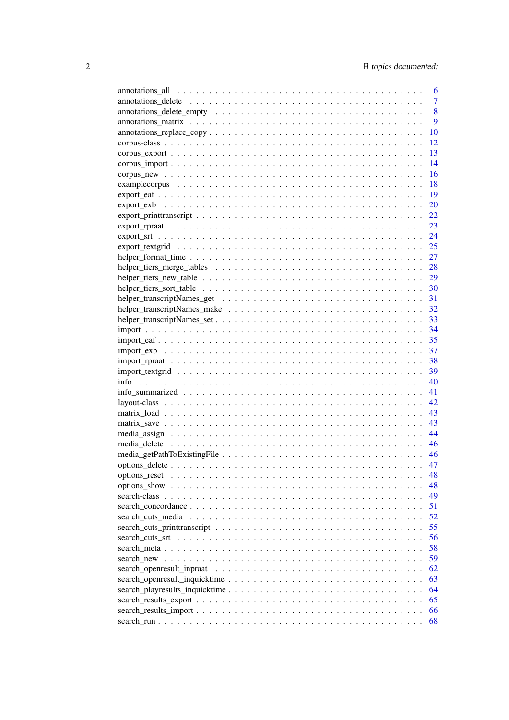|                                                                                                                 | 6              |
|-----------------------------------------------------------------------------------------------------------------|----------------|
|                                                                                                                 | $\overline{7}$ |
|                                                                                                                 | 8              |
|                                                                                                                 | 9              |
| $annotations_replace\_copy \ldots \ldots \ldots \ldots \ldots \ldots \ldots \ldots \ldots \ldots \ldots \ldots$ | 10             |
|                                                                                                                 | 12             |
|                                                                                                                 | 13             |
|                                                                                                                 | 14             |
|                                                                                                                 | 16             |
|                                                                                                                 | 18             |
|                                                                                                                 | 19             |
|                                                                                                                 | 20             |
|                                                                                                                 | 22             |
|                                                                                                                 | 23             |
|                                                                                                                 | 24             |
|                                                                                                                 | 25             |
|                                                                                                                 | 27             |
|                                                                                                                 | 28             |
|                                                                                                                 | 29             |
|                                                                                                                 | 30             |
|                                                                                                                 | 31             |
|                                                                                                                 | 32             |
|                                                                                                                 | 33             |
|                                                                                                                 | 34             |
|                                                                                                                 | 35             |
|                                                                                                                 | 37             |
|                                                                                                                 | 38             |
|                                                                                                                 | 39             |
|                                                                                                                 | 40             |
|                                                                                                                 | 41             |
|                                                                                                                 | 42             |
|                                                                                                                 |                |
|                                                                                                                 | 43             |
|                                                                                                                 | 43             |
|                                                                                                                 | 44             |
|                                                                                                                 | 46             |
|                                                                                                                 | 46             |
|                                                                                                                 | 47             |
|                                                                                                                 | 48             |
|                                                                                                                 | 48             |
|                                                                                                                 | 49             |
|                                                                                                                 | 51             |
| search_cuts_media                                                                                               | 52             |
|                                                                                                                 | 55             |
|                                                                                                                 | 56             |
|                                                                                                                 | 58             |
|                                                                                                                 | 59             |
|                                                                                                                 | 62             |
|                                                                                                                 | 63             |
|                                                                                                                 | 64             |
|                                                                                                                 | 65             |
|                                                                                                                 | 66             |
|                                                                                                                 | 68             |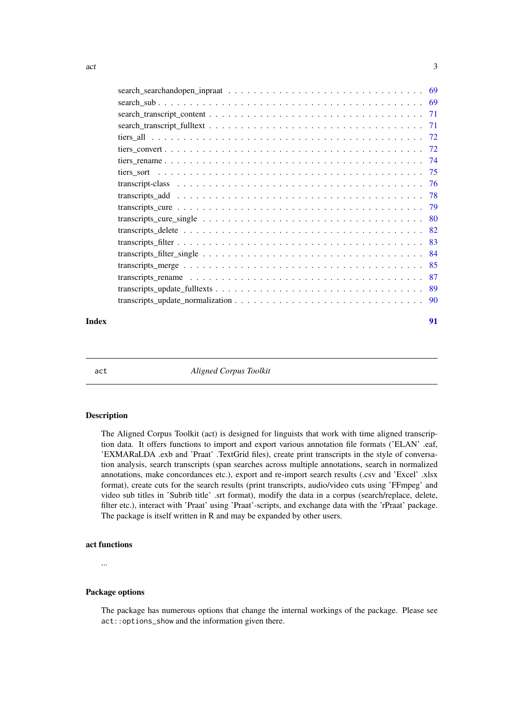<span id="page-2-0"></span>

|                                                                                                                 | -78 |
|-----------------------------------------------------------------------------------------------------------------|-----|
|                                                                                                                 |     |
|                                                                                                                 |     |
|                                                                                                                 |     |
|                                                                                                                 |     |
|                                                                                                                 |     |
|                                                                                                                 | 85  |
| transcripts rename $\ldots \ldots \ldots \ldots \ldots \ldots \ldots \ldots \ldots \ldots \ldots \ldots \ldots$ | 87  |
|                                                                                                                 | 89  |
|                                                                                                                 |     |
|                                                                                                                 |     |

### **Index** [91](#page-90-0)

act *Aligned Corpus Toolkit*

#### Description

The Aligned Corpus Toolkit (act) is designed for linguists that work with time aligned transcription data. It offers functions to import and export various annotation file formats ('ELAN' .eaf, 'EXMARaLDA .exb and 'Praat' .TextGrid files), create print transcripts in the style of conversation analysis, search transcripts (span searches across multiple annotations, search in normalized annotations, make concordances etc.), export and re-import search results (.csv and 'Excel' .xlsx format), create cuts for the search results (print transcripts, audio/video cuts using 'FFmpeg' and video sub titles in 'Subrib title' .srt format), modify the data in a corpus (search/replace, delete, filter etc.), interact with 'Praat' using 'Praat'-scripts, and exchange data with the 'rPraat' package. The package is itself written in R and may be expanded by other users.

#### act functions

...

#### Package options

The package has numerous options that change the internal workings of the package. Please see act::options\_show and the information given there.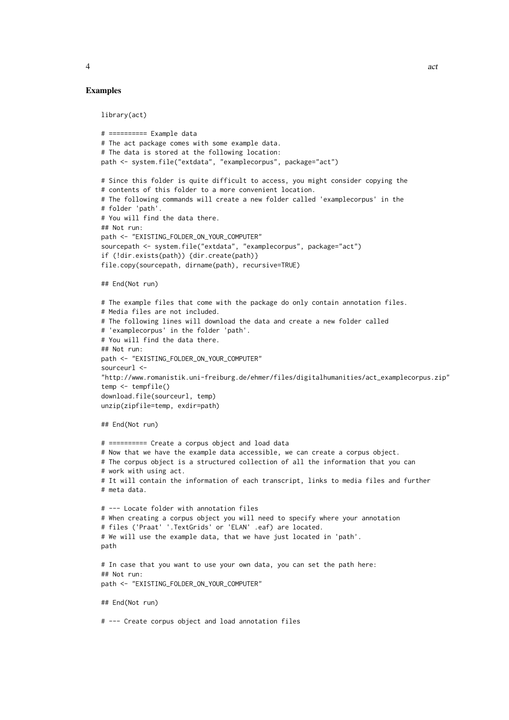#### Examples

```
library(act)
# ========== Example data
# The act package comes with some example data.
# The data is stored at the following location:
path <- system.file("extdata", "examplecorpus", package="act")
# Since this folder is quite difficult to access, you might consider copying the
# contents of this folder to a more convenient location.
# The following commands will create a new folder called 'examplecorpus' in the
# folder 'path'.
# You will find the data there.
## Not run:
path <- "EXISTING_FOLDER_ON_YOUR_COMPUTER"
sourcepath <- system.file("extdata", "examplecorpus", package="act")
if (!dir.exists(path)) {dir.create(path)}
file.copy(sourcepath, dirname(path), recursive=TRUE)
## End(Not run)
# The example files that come with the package do only contain annotation files.
# Media files are not included.
# The following lines will download the data and create a new folder called
# 'examplecorpus' in the folder 'path'.
# You will find the data there.
## Not run:
path <- "EXISTING_FOLDER_ON_YOUR_COMPUTER"
sourceurl <-
"http://www.romanistik.uni-freiburg.de/ehmer/files/digitalhumanities/act_examplecorpus.zip"
temp <- tempfile()
download.file(sourceurl, temp)
unzip(zipfile=temp, exdir=path)
## End(Not run)
# ========== Create a corpus object and load data
# Now that we have the example data accessible, we can create a corpus object.
# The corpus object is a structured collection of all the information that you can
```

```
# It will contain the information of each transcript, links to media files and further
# meta data.
# --- Locate folder with annotation files
# When creating a corpus object you will need to specify where your annotation
# files ('Praat' '.TextGrids' or 'ELAN' .eaf) are located.
# We will use the example data, that we have just located in 'path'.
path
# In case that you want to use your own data, you can set the path here:
## Not run:
path <- "EXISTING_FOLDER_ON_YOUR_COMPUTER"
```
## End(Not run)

# work with using act.

# --- Create corpus object and load annotation files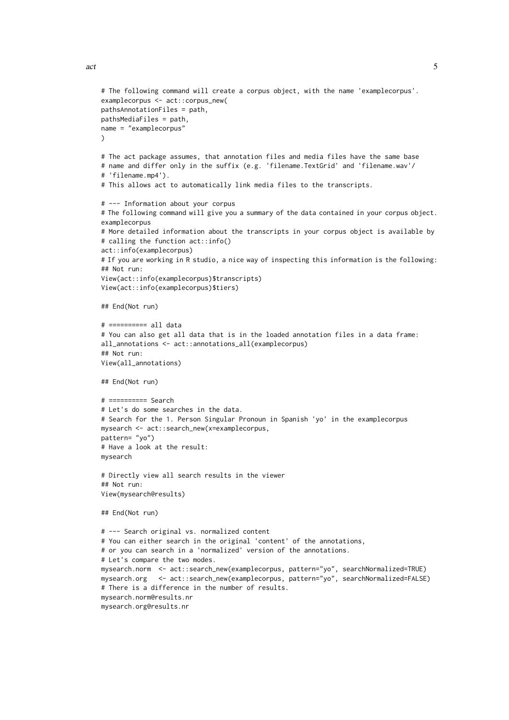)

```
# The following command will create a corpus object, with the name 'examplecorpus'.
examplecorpus <- act:: corpus new(
# The act package assumes, that annotation files and media files have the same base
# name and differ only in the suffix (e.g. 'filename.TextGrid' and 'filename.wav'/
# This allows act to automatically link media files to the transcripts.
```

```
# --- Information about your corpus
# The following command will give you a summary of the data contained in your corpus object.
examplecorpus
# More detailed information about the transcripts in your corpus object is available by
# calling the function act::info()
act::info(examplecorpus)
# If you are working in R studio, a nice way of inspecting this information is the following:
## Not run:
View(act::info(examplecorpus)$transcripts)
View(act::info(examplecorpus)$tiers)
```
## End(Not run)

# 'filename.mp4').

pathsAnnotationFiles = path, pathsMediaFiles = path, name = "examplecorpus"

```
# ========== all data
# You can also get all data that is in the loaded annotation files in a data frame:
all_annotations <- act::annotations_all(examplecorpus)
## Not run:
View(all_annotations)
```
## End(Not run)

```
# ========== Search
# Let's do some searches in the data.
# Search for the 1. Person Singular Pronoun in Spanish 'yo' in the examplecorpus
mysearch <- act::search_new(x=examplecorpus,
pattern= "yo")
# Have a look at the result:
mysearch
```
# Directly view all search results in the viewer ## Not run: View(mysearch@results)

```
## End(Not run)
```

```
# --- Search original vs. normalized content
# You can either search in the original 'content' of the annotations,
# or you can search in a 'normalized' version of the annotations.
# Let's compare the two modes.
mysearch.norm <- act::search_new(examplecorpus, pattern="yo", searchNormalized=TRUE)
mysearch.org <- act::search_new(examplecorpus, pattern="yo", searchNormalized=FALSE)
# There is a difference in the number of results.
mysearch.norm@results.nr
mysearch.org@results.nr
```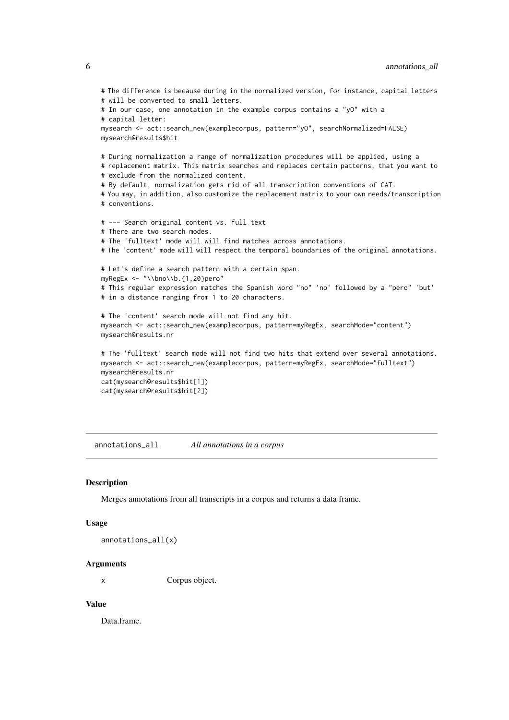```
# The difference is because during in the normalized version, for instance, capital letters
# will be converted to small letters.
# In our case, one annotation in the example corpus contains a "yO" with a
# capital letter:
mysearch <- act::search_new(examplecorpus, pattern="yO", searchNormalized=FALSE)
mysearch@results$hit
# During normalization a range of normalization procedures will be applied, using a
# replacement matrix. This matrix searches and replaces certain patterns, that you want to
# exclude from the normalized content.
# By default, normalization gets rid of all transcription conventions of GAT.
# You may, in addition, also customize the replacement matrix to your own needs/transcription
# conventions.
# --- Search original content vs. full text
# There are two search modes.
# The 'fulltext' mode will will find matches across annotations.
# The 'content' mode will will respect the temporal boundaries of the original annotations.
# Let's define a search pattern with a certain span.
myRegEx < - "\\bno\\b.{1,20}pero"
# This regular expression matches the Spanish word "no" 'no' followed by a "pero" 'but'
# in a distance ranging from 1 to 20 characters.
# The 'content' search mode will not find any hit.
mysearch <- act::search_new(examplecorpus, pattern=myRegEx, searchMode="content")
mysearch@results.nr
# The 'fulltext' search mode will not find two hits that extend over several annotations.
mysearch <- act::search_new(examplecorpus, pattern=myRegEx, searchMode="fulltext")
mysearch@results.nr
cat(mysearch@results$hit[1])
cat(mysearch@results$hit[2])
```
annotations\_all *All annotations in a corpus*

#### Description

Merges annotations from all transcripts in a corpus and returns a data frame.

#### Usage

annotations\_all(x)

#### Arguments

x Corpus object.

#### Value

Data.frame.

<span id="page-5-0"></span>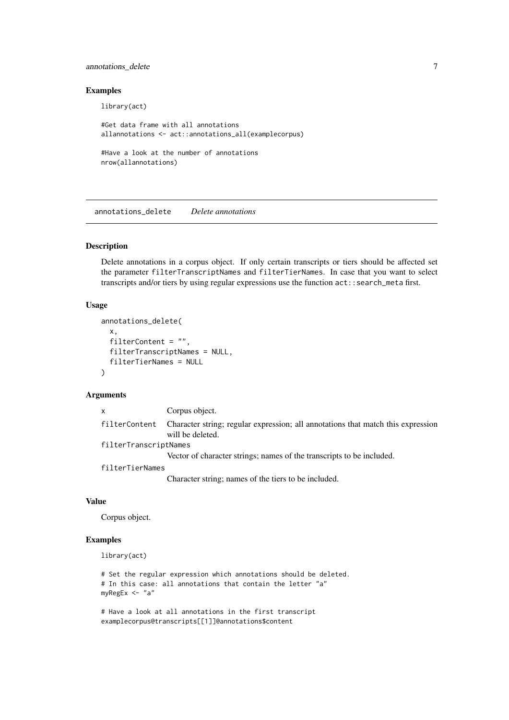### <span id="page-6-0"></span>annotations\_delete 7

### Examples

library(act)

```
#Get data frame with all annotations
allannotations <- act::annotations_all(examplecorpus)
#Have a look at the number of annotations
```
nrow(allannotations)

annotations\_delete *Delete annotations*

### Description

Delete annotations in a corpus object. If only certain transcripts or tiers should be affected set the parameter filterTranscriptNames and filterTierNames. In case that you want to select transcripts and/or tiers by using regular expressions use the function  $act::search\_meta$  first.

### Usage

```
annotations_delete(
  x,
  filterContent = "",
  filterTranscriptNames = NULL,
  filterTierNames = NULL
\lambda
```
#### Arguments

| $\mathsf{x}$          | Corpus object.                                                                                       |
|-----------------------|------------------------------------------------------------------------------------------------------|
| filterContent         | Character string; regular expression; all annotations that match this expression<br>will be deleted. |
| filterTranscriptNames |                                                                                                      |
|                       | Vector of character strings; names of the transcripts to be included.                                |
| filterTierNames       |                                                                                                      |
|                       | Character string; names of the tiers to be included.                                                 |
|                       |                                                                                                      |

### Value

Corpus object.

### Examples

library(act)

```
# Set the regular expression which annotations should be deleted.
# In this case: all annotations that contain the letter "a"
myRegEx <- "a"
```

```
# Have a look at all annotations in the first transcript
examplecorpus@transcripts[[1]]@annotations$content
```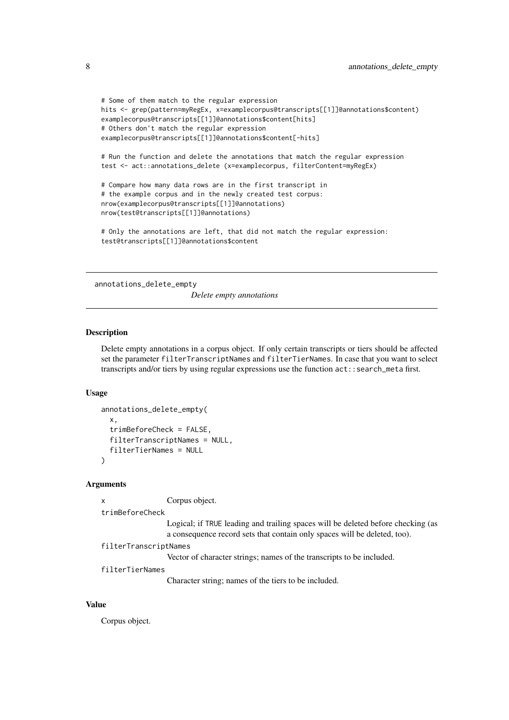```
# Some of them match to the regular expression
hits <- grep(pattern=myRegEx, x=examplecorpus@transcripts[[1]]@annotations$content)
examplecorpus@transcripts[[1]]@annotations$content[hits]
# Others don't match the regular expression
examplecorpus@transcripts[[1]]@annotations$content[-hits]
# Run the function and delete the annotations that match the regular expression
test <- act::annotations_delete (x=examplecorpus, filterContent=myRegEx)
# Compare how many data rows are in the first transcript in
# the example corpus and in the newly created test corpus:
nrow(examplecorpus@transcripts[[1]]@annotations)
nrow(test@transcripts[[1]]@annotations)
# Only the annotations are left, that did not match the regular expression:
```
test@transcripts[[1]]@annotations\$content

annotations\_delete\_empty

*Delete empty annotations*

### Description

Delete empty annotations in a corpus object. If only certain transcripts or tiers should be affected set the parameter filterTranscriptNames and filterTierNames. In case that you want to select transcripts and/or tiers by using regular expressions use the function act::search\_meta first.

### Usage

```
annotations_delete_empty(
 x,
  trimBeforeCheck = FALSE,
 filterTranscriptNames = NULL,
  filterTierNames = NULL
)
```
#### Arguments

```
x Corpus object.
```

```
trimBeforeCheck
```
Logical; if TRUE leading and trailing spaces will be deleted before checking (as a consequence record sets that contain only spaces will be deleted, too).

```
filterTranscriptNames
```
Vector of character strings; names of the transcripts to be included.

```
filterTierNames
```
Character string; names of the tiers to be included.

### Value

Corpus object.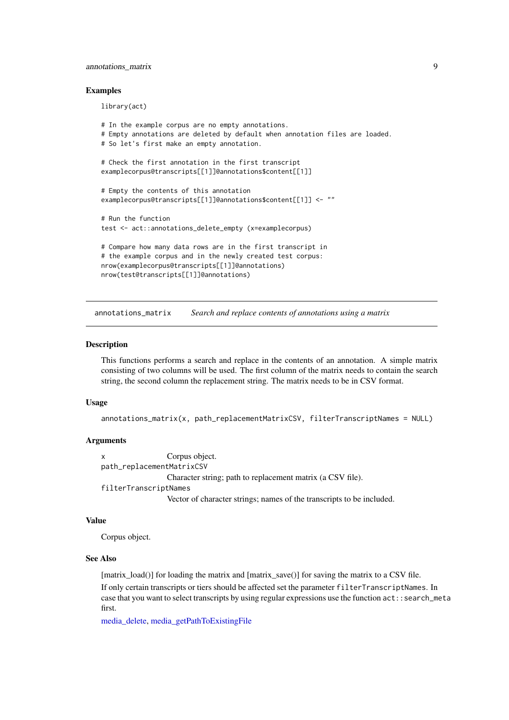#### <span id="page-8-0"></span>annotations\_matrix 9

#### Examples

library(act)

```
# In the example corpus are no empty annotations.
# Empty annotations are deleted by default when annotation files are loaded.
# So let's first make an empty annotation.
# Check the first annotation in the first transcript
examplecorpus@transcripts[[1]]@annotations$content[[1]]
# Empty the contents of this annotation
examplecorpus@transcripts[[1]]@annotations$content[[1]] <- ""
# Run the function
test <- act::annotations_delete_empty (x=examplecorpus)
# Compare how many data rows are in the first transcript in
# the example corpus and in the newly created test corpus:
nrow(examplecorpus@transcripts[[1]]@annotations)
nrow(test@transcripts[[1]]@annotations)
```
annotations\_matrix *Search and replace contents of annotations using a matrix*

#### Description

This functions performs a search and replace in the contents of an annotation. A simple matrix consisting of two columns will be used. The first column of the matrix needs to contain the search string, the second column the replacement string. The matrix needs to be in CSV format.

#### Usage

annotations\_matrix(x, path\_replacementMatrixCSV, filterTranscriptNames = NULL)

#### Arguments

|  |  |  | Corpus object. |
|--|--|--|----------------|
|  |  |  | $\cdots$       |

path\_replacementMatrixCSV

Character string; path to replacement matrix (a CSV file).

filterTranscriptNames

Vector of character strings; names of the transcripts to be included.

### Value

Corpus object.

#### See Also

[matrix\_load()] for loading the matrix and [matrix\_save()] for saving the matrix to a CSV file.

If only certain transcripts or tiers should be affected set the parameter filterTranscriptNames. In case that you want to select transcripts by using regular expressions use the function act::search\_meta first.

[media\\_delete,](#page-45-1) [media\\_getPathToExistingFile](#page-45-2)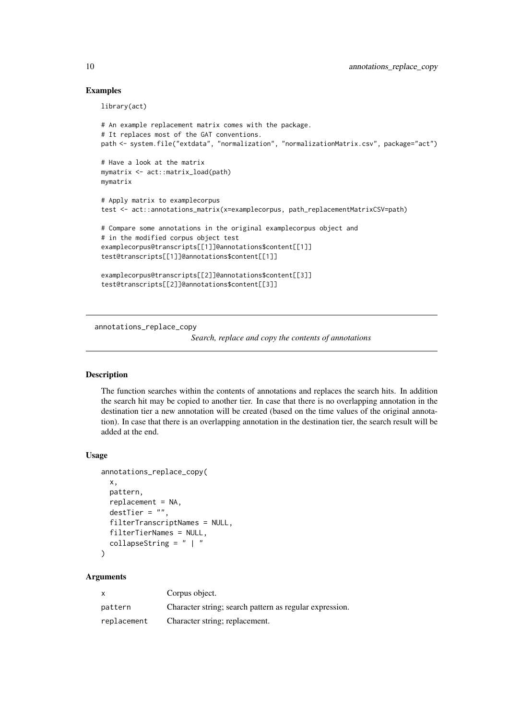#### Examples

```
library(act)
# An example replacement matrix comes with the package.
# It replaces most of the GAT conventions.
path <- system.file("extdata", "normalization", "normalizationMatrix.csv", package="act")
# Have a look at the matrix
mymatrix <- act::matrix_load(path)
mymatrix
# Apply matrix to examplecorpus
test <- act::annotations_matrix(x=examplecorpus, path_replacementMatrixCSV=path)
# Compare some annotations in the original examplecorpus object and
# in the modified corpus object test
examplecorpus@transcripts[[1]]@annotations$content[[1]]
test@transcripts[[1]]@annotations$content[[1]]
examplecorpus@transcripts[[2]]@annotations$content[[3]]
test@transcripts[[2]]@annotations$content[[3]]
```
annotations\_replace\_copy

*Search, replace and copy the contents of annotations*

### Description

The function searches within the contents of annotations and replaces the search hits. In addition the search hit may be copied to another tier. In case that there is no overlapping annotation in the destination tier a new annotation will be created (based on the time values of the original annotation). In case that there is an overlapping annotation in the destination tier, the search result will be added at the end.

#### Usage

```
annotations_replace_copy(
  x,
  pattern,
  replacement = NA,
  destTier = ".
  filterTranscriptNames = NULL,
  filterTierNames = NULL,
  collapseString = " | "
\lambda
```
#### Arguments

|             | Corpus object.                                          |
|-------------|---------------------------------------------------------|
| pattern     | Character string; search pattern as regular expression. |
| replacement | Character string; replacement.                          |

<span id="page-9-0"></span>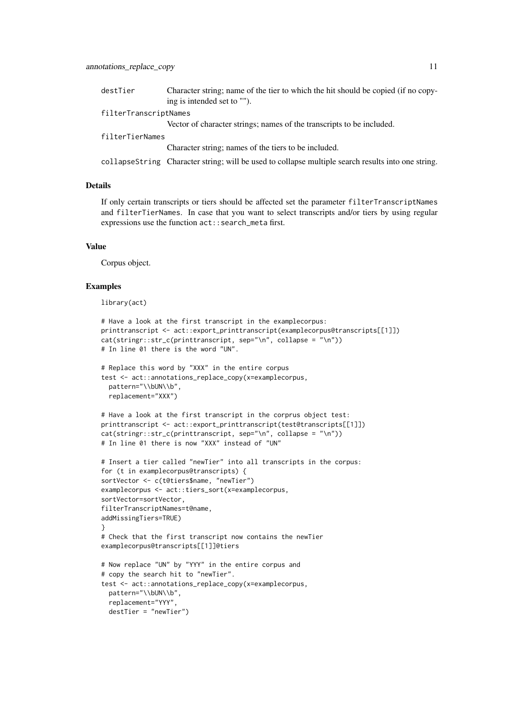| destTier              | Character string; name of the tier to which the hit should be copied (if no copy-                  |  |  |
|-----------------------|----------------------------------------------------------------------------------------------------|--|--|
|                       | ing is intended set to "".                                                                         |  |  |
| filterTranscriptNames |                                                                                                    |  |  |
|                       | Vector of character strings; names of the transcripts to be included.                              |  |  |
| filterTierNames       |                                                                                                    |  |  |
|                       | Character string; names of the tiers to be included.                                               |  |  |
|                       | collapseString Character string; will be used to collapse multiple search results into one string. |  |  |

### Details

If only certain transcripts or tiers should be affected set the parameter filterTranscriptNames and filterTierNames. In case that you want to select transcripts and/or tiers by using regular expressions use the function act::search\_meta first.

#### Value

Corpus object.

### Examples

library(act)

```
# Have a look at the first transcript in the examplecorpus:
printtranscript <- act::export_printtranscript(examplecorpus@transcripts[[1]])
cat(stringr::str_c(printtranscript, sep="\n", collapse = "\n"))
# In line 01 there is the word "UN".
# Replace this word by "XXX" in the entire corpus
test <- act::annotations_replace_copy(x=examplecorpus,
 pattern="\\bUN\\b",
 replacement="XXX")
# Have a look at the first transcript in the corprus object test:
printtranscript <- act::export_printtranscript(test@transcripts[[1]])
cat(stringr::str_c(printtranscript, sep="\n", collapse = "\n"))
# In line 01 there is now "XXX" instead of "UN"
# Insert a tier called "newTier" into all transcripts in the corpus:
for (t in examplecorpus@transcripts) {
sortVector <- c(t@tiers$name, "newTier")
examplecorpus <- act::tiers_sort(x=examplecorpus,
sortVector=sortVector,
filterTranscriptNames=t@name,
addMissingTiers=TRUE)
}
# Check that the first transcript now contains the newTier
examplecorpus@transcripts[[1]]@tiers
# Now replace "UN" by "YYY" in the entire corpus and
# copy the search hit to "newTier".
test <- act::annotations_replace_copy(x=examplecorpus,
 pattern="\\bUN\\b",
  replacement="YYY",
  destTier = "newTier")
```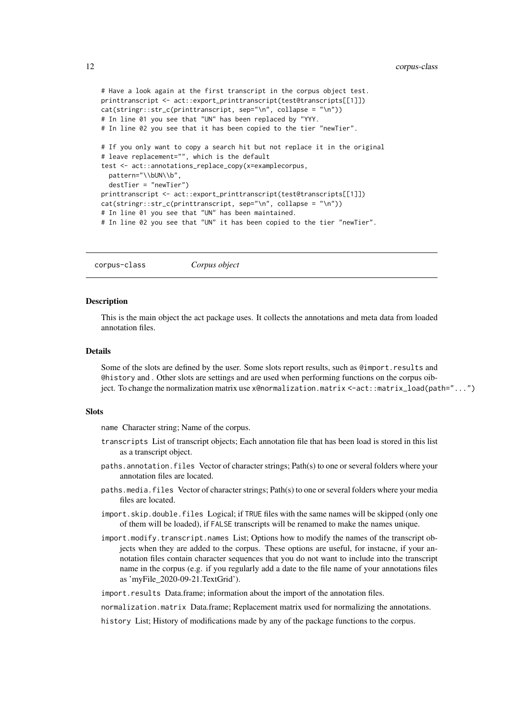```
# Have a look again at the first transcript in the corpus object test.
printtranscript <- act::export_printtranscript(test@transcripts[[1]])
cat(stringr::str_c(printtranscript, sep="\n", collapse = "\n"))
# In line 01 you see that "UN" has been replaced by "YYY.
# In line 02 you see that it has been copied to the tier "newTier".
# If you only want to copy a search hit but not replace it in the original
# leave replacement="", which is the default
test <- act::annotations_replace_copy(x=examplecorpus,
  pattern="\\bUN\\b",
 destTier = "newTier")
printtranscript <- act::export_printtranscript(test@transcripts[[1]])
cat(stringr::str_c(printranscript, sep='\\n", collapse = "\n")# In line 01 you see that "UN" has been maintained.
# In line 02 you see that "UN" it has been copied to the tier "newTier".
```
corpus-class *Corpus object*

#### Description

This is the main object the act package uses. It collects the annotations and meta data from loaded annotation files.

### Details

Some of the slots are defined by the user. Some slots report results, such as @import.results and @history and . Other slots are settings and are used when performing functions on the corpus oibject. To change the normalization matrix use x@normalization.matrix <-act::matrix\_load(path="...")

### Slots

name Character string; Name of the corpus.

- transcripts List of transcript objects; Each annotation file that has been load is stored in this list as a transcript object.
- paths.annotation.files Vector of character strings; Path(s) to one or several folders where your annotation files are located.
- paths.media.files Vector of character strings; Path(s) to one or several folders where your media files are located.
- import.skip.double.files Logical; if TRUE files with the same names will be skipped (only one of them will be loaded), if FALSE transcripts will be renamed to make the names unique.
- import.modify.transcript.names List; Options how to modify the names of the transcript objects when they are added to the corpus. These options are useful, for instacne, if your annotation files contain character sequences that you do not want to include into the transcript name in the corpus (e.g. if you regularly add a date to the file name of your annotations files as 'myFile\_2020-09-21.TextGrid').

import.results Data.frame; information about the import of the annotation files.

normalization.matrix Data.frame; Replacement matrix used for normalizing the annotations.

history List; History of modifications made by any of the package functions to the corpus.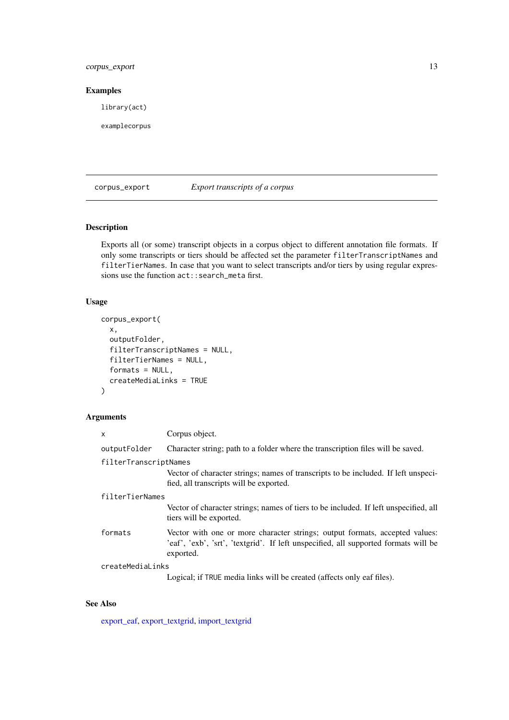### <span id="page-12-0"></span>corpus\_export 13

### Examples

library(act)

examplecorpus

### corpus\_export *Export transcripts of a corpus*

### Description

Exports all (or some) transcript objects in a corpus object to different annotation file formats. If only some transcripts or tiers should be affected set the parameter filterTranscriptNames and filterTierNames. In case that you want to select transcripts and/or tiers by using regular expressions use the function  $act::search\_meta$  first.

### Usage

```
corpus_export(
  x,
  outputFolder,
  filterTranscriptNames = NULL,
  filterTierNames = NULL,
  formats = NULL,
  createMediaLinks = TRUE
\lambda
```
### Arguments

| $\mathsf{x}$          | Corpus object.                                                                                                                                                                  |  |
|-----------------------|---------------------------------------------------------------------------------------------------------------------------------------------------------------------------------|--|
| outputFolder          | Character string; path to a folder where the transcription files will be saved.                                                                                                 |  |
| filterTranscriptNames |                                                                                                                                                                                 |  |
|                       | Vector of character strings; names of transcripts to be included. If left unspeci-<br>fied, all transcripts will be exported.                                                   |  |
| filterTierNames       |                                                                                                                                                                                 |  |
|                       | Vector of character strings; names of tiers to be included. If left unspecified, all<br>tiers will be exported.                                                                 |  |
| formats               | Vector with one or more character strings; output formats, accepted values:<br>'eaf', 'exb', 'srt', 'textgrid'. If left unspecified, all supported formats will be<br>exported. |  |
| createMediaLinks      |                                                                                                                                                                                 |  |
|                       | Logical; if TRUE media links will be created (affects only eaf files).                                                                                                          |  |

### See Also

[export\\_eaf,](#page-18-1) [export\\_textgrid,](#page-24-1) [import\\_textgrid](#page-38-1)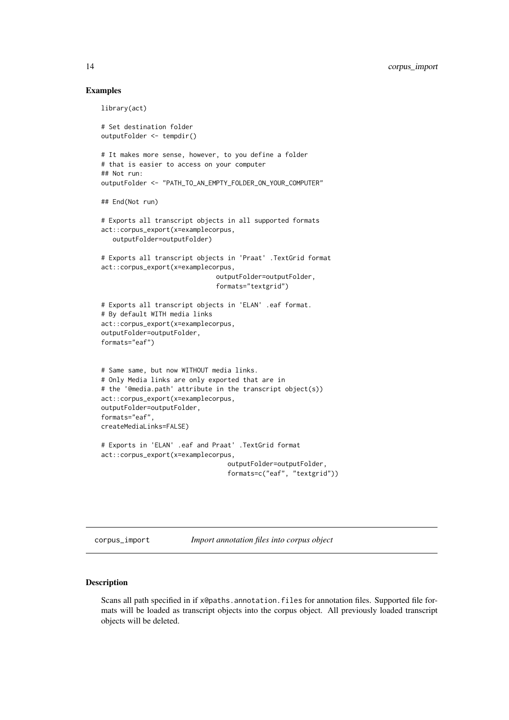#### Examples

```
library(act)
# Set destination folder
outputFolder <- tempdir()
# It makes more sense, however, to you define a folder
# that is easier to access on your computer
## Not run:
outputFolder <- "PATH_TO_AN_EMPTY_FOLDER_ON_YOUR_COMPUTER"
## End(Not run)
# Exports all transcript objects in all supported formats
act::corpus_export(x=examplecorpus,
   outputFolder=outputFolder)
# Exports all transcript objects in 'Praat' .TextGrid format
act::corpus_export(x=examplecorpus,
                              outputFolder=outputFolder,
                              formats="textgrid")
# Exports all transcript objects in 'ELAN' .eaf format.
# By default WITH media links
act::corpus_export(x=examplecorpus,
outputFolder=outputFolder,
formats="eaf")
# Same same, but now WITHOUT media links.
# Only Media links are only exported that are in
# the '@media.path' attribute in the transcript object(s))
act::corpus_export(x=examplecorpus,
outputFolder=outputFolder,
formats="eaf",
createMediaLinks=FALSE)
# Exports in 'ELAN' .eaf and Praat' .TextGrid format
act::corpus_export(x=examplecorpus,
                                 outputFolder=outputFolder,
                                 formats=c("eaf", "textgrid"))
```
<span id="page-13-1"></span>corpus\_import *Import annotation files into corpus object*

#### Description

Scans all path specified in if x@paths.annotation.files for annotation files. Supported file formats will be loaded as transcript objects into the corpus object. All previously loaded transcript objects will be deleted.

<span id="page-13-0"></span>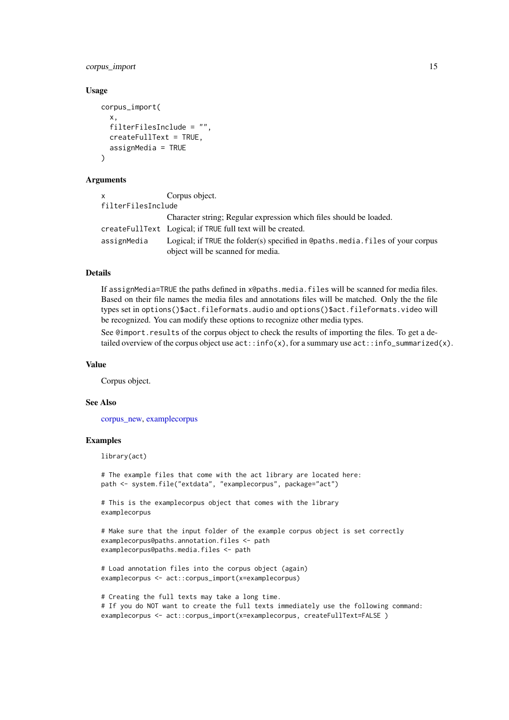#### corpus\_import 15

#### Usage

```
corpus_import(
  x,
  filterFilesInclude = "",
  createFullText = TRUE,
  assignMedia = TRUE
\lambda
```
#### Arguments

| $\mathsf{x}$       | Corpus object.                                                                                                     |
|--------------------|--------------------------------------------------------------------------------------------------------------------|
| filterFilesInclude |                                                                                                                    |
|                    | Character string; Regular expression which files should be loaded.                                                 |
|                    | createFullText Logical; if TRUE full text will be created.                                                         |
| assignMedia        | Logical; if TRUE the folder(s) specified in @paths.media.files of your corpus<br>object will be scanned for media. |

#### Details

If assignMedia=TRUE the paths defined in x@paths.media.files will be scanned for media files. Based on their file names the media files and annotations files will be matched. Only the the file types set in options()\$act.fileformats.audio and options()\$act.fileformats.video will be recognized. You can modify these options to recognize other media types.

See @import.results of the corpus object to check the results of importing the files. To get a detailed overview of the corpus object use  $act::info(x)$ , for a summary use  $act::info\_summized(x)$ .

#### Value

Corpus object.

#### See Also

[corpus\\_new,](#page-15-1) [examplecorpus](#page-17-1)

#### Examples

library(act)

```
# The example files that come with the act library are located here:
path <- system.file("extdata", "examplecorpus", package="act")
```
# This is the examplecorpus object that comes with the library examplecorpus

```
# Make sure that the input folder of the example corpus object is set correctly
examplecorpus@paths.annotation.files <- path
examplecorpus@paths.media.files <- path
```

```
# Load annotation files into the corpus object (again)
examplecorpus <- act::corpus_import(x=examplecorpus)
```

```
# Creating the full texts may take a long time.
# If you do NOT want to create the full texts immediately use the following command:
examplecorpus <- act::corpus_import(x=examplecorpus, createFullText=FALSE)
```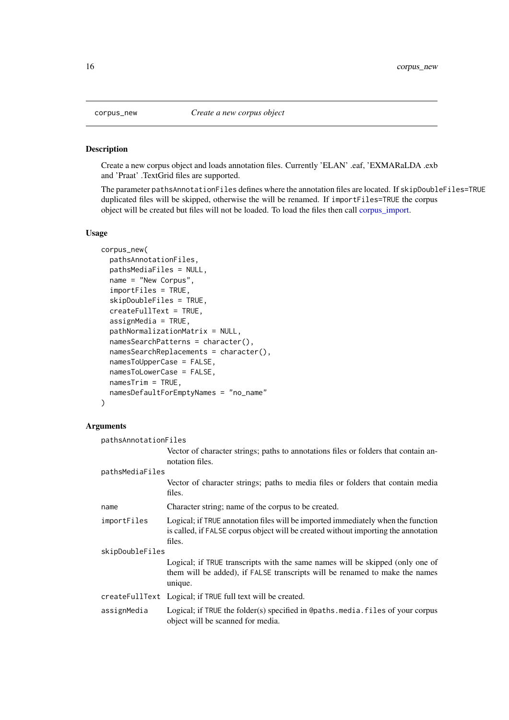#### Description

Create a new corpus object and loads annotation files. Currently 'ELAN' .eaf, 'EXMARaLDA .exb and 'Praat' .TextGrid files are supported.

The parameter pathsAnnotationFiles defines where the annotation files are located. If skipDoubleFiles=TRUE duplicated files will be skipped, otherwise the will be renamed. If importFiles=TRUE the corpus object will be created but files will not be loaded. To load the files then call [corpus\\_import.](#page-13-1)

### Usage

```
corpus_new(
 pathsAnnotationFiles,
 pathsMediaFiles = NULL,
 name = "New Corpus",
  importFiles = TRUE,
  skipDoubleFiles = TRUE,
 createFullText = TRUE,
  assignMedia = TRUE,
 pathNormalizationMatrix = NULL,
 namesSearchPatterns = character(),
 namesSearchReplacements = character(),
 namesToUpperCase = FALSE,
 namesToLowerCase = FALSE,
 namesTrim = TRUE,
 namesDefaultForEmptyNames = "no_name"
)
```
### Arguments

| pathsAnnotationFiles |                                                                                                                                                                                  |  |  |
|----------------------|----------------------------------------------------------------------------------------------------------------------------------------------------------------------------------|--|--|
|                      | Vector of character strings; paths to annotations files or folders that contain an-<br>notation files.                                                                           |  |  |
| pathsMediaFiles      |                                                                                                                                                                                  |  |  |
|                      | Vector of character strings; paths to media files or folders that contain media<br>files.                                                                                        |  |  |
| name                 | Character string; name of the corpus to be created.                                                                                                                              |  |  |
| importFiles          | Logical; if TRUE annotation files will be imported immediately when the function<br>is called, if FALSE corpus object will be created without importing the annotation<br>files. |  |  |
| skipDoubleFiles      |                                                                                                                                                                                  |  |  |
|                      | Logical; if TRUE transcripts with the same names will be skipped (only one of<br>them will be added), if FALSE transcripts will be renamed to make the names<br>unique.          |  |  |
|                      | createFullText Logical; if TRUE full text will be created.                                                                                                                       |  |  |
| assignMedia          | Logical; if TRUE the folder(s) specified in @paths.media.files of your corpus<br>object will be scanned for media.                                                               |  |  |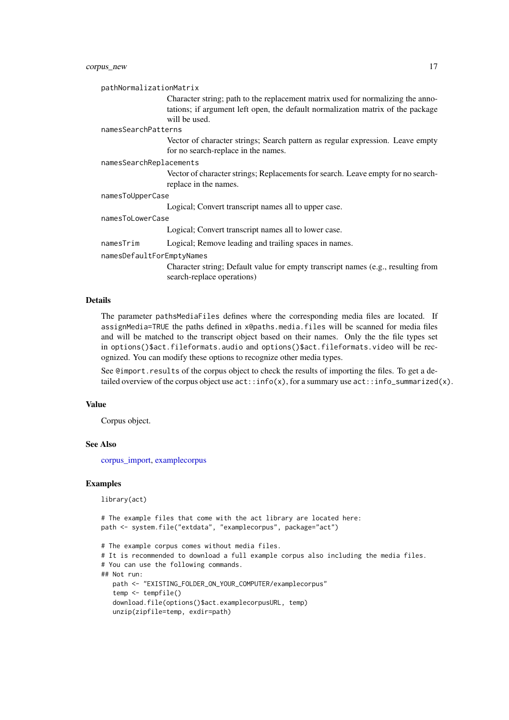#### corpus\_new 17

pathNormalizationMatrix

Character string; path to the replacement matrix used for normalizing the annotations; if argument left open, the default normalization matrix of the package will be used.

#### namesSearchPatterns

Vector of character strings; Search pattern as regular expression. Leave empty for no search-replace in the names.

#### namesSearchReplacements

Vector of character strings; Replacements for search. Leave empty for no searchreplace in the names.

#### namesToUpperCase

Logical; Convert transcript names all to upper case.

#### namesToLowerCase

Logical; Convert transcript names all to lower case.

namesTrim Logical; Remove leading and trailing spaces in names.

namesDefaultForEmptyNames

Character string; Default value for empty transcript names (e.g., resulting from search-replace operations)

### Details

The parameter pathsMediaFiles defines where the corresponding media files are located. If assignMedia=TRUE the paths defined in x@paths.media.files will be scanned for media files and will be matched to the transcript object based on their names. Only the the file types set in options()\$act.fileformats.audio and options()\$act.fileformats.video will be recognized. You can modify these options to recognize other media types.

See @import.results of the corpus object to check the results of importing the files. To get a detailed overview of the corpus object use  $act::info(x)$ , for a summary use  $act::info\_summarized(x)$ .

#### Value

Corpus object.

### See Also

[corpus\\_import,](#page-13-1) [examplecorpus](#page-17-1)

#### Examples

library(act)

```
# The example files that come with the act library are located here:
path <- system.file("extdata", "examplecorpus", package="act")
# The example corpus comes without media files.
# It is recommended to download a full example corpus also including the media files.
# You can use the following commands.
## Not run:
   path <- "EXISTING_FOLDER_ON_YOUR_COMPUTER/examplecorpus"
   temp <- tempfile()
   download.file(options()$act.examplecorpusURL, temp)
   unzip(zipfile=temp, exdir=path)
```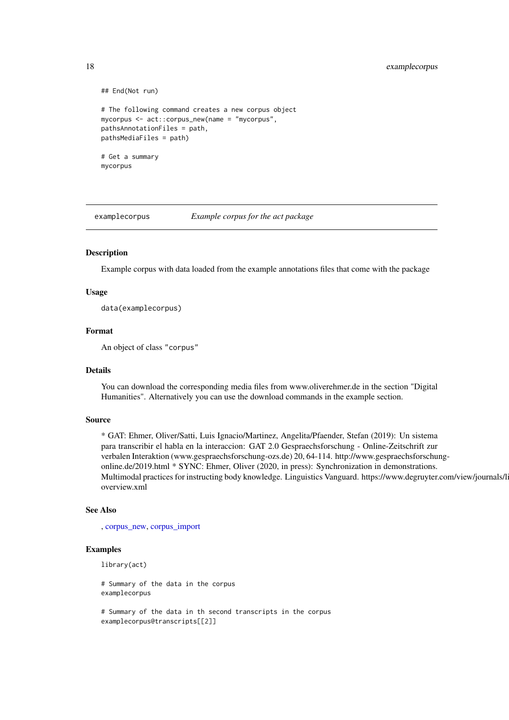```
## End(Not run)
# The following command creates a new corpus object
mycorpus <- act::corpus_new(name = "mycorpus",
pathsAnnotationFiles = path,
pathsMediaFiles = path)
# Get a summary
mycorpus
```
<span id="page-17-1"></span>examplecorpus *Example corpus for the act package*

#### Description

Example corpus with data loaded from the example annotations files that come with the package

#### Usage

data(examplecorpus)

### Format

An object of class "corpus"

### Details

You can download the corresponding media files from www.oliverehmer.de in the section "Digital Humanities". Alternatively you can use the download commands in the example section.

#### Source

\* GAT: Ehmer, Oliver/Satti, Luis Ignacio/Martinez, Angelita/Pfaender, Stefan (2019): Un sistema para transcribir el habla en la interaccion: GAT 2.0 Gespraechsforschung - Online-Zeitschrift zur verbalen Interaktion (www.gespraechsforschung-ozs.de) 20, 64-114. http://www.gespraechsforschungonline.de/2019.html \* SYNC: Ehmer, Oliver (2020, in press): Synchronization in demonstrations. Multimodal practices for instructing body knowledge. Linguistics Vanguard. https://www.degruyter.com/view/journals/l overview.xml

### See Also

, [corpus\\_new,](#page-15-1) [corpus\\_import](#page-13-1)

#### Examples

```
library(act)
```

```
# Summary of the data in the corpus
examplecorpus
# Summary of the data in th second transcripts in the corpus
```

```
examplecorpus@transcripts[[2]]
```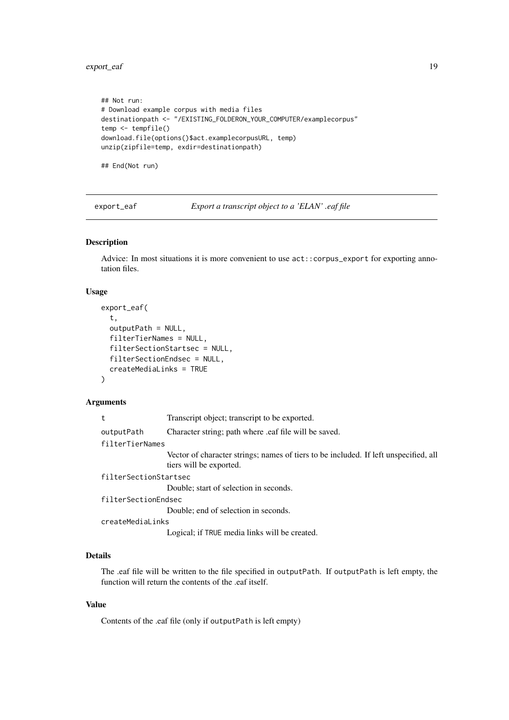<span id="page-18-0"></span>export\_eaf 19

```
## Not run:
# Download example corpus with media files
destinationpath <- "/EXISTING_FOLDERON_YOUR_COMPUTER/examplecorpus"
temp <- tempfile()
download.file(options()$act.examplecorpusURL, temp)
unzip(zipfile=temp, exdir=destinationpath)
```
## End(Not run)

<span id="page-18-1"></span>export\_eaf *Export a transcript object to a 'ELAN' .eaf file*

### Description

Advice: In most situations it is more convenient to use act::corpus\_export for exporting annotation files.

### Usage

```
export_eaf(
  t,
  outputPath = NULL,
  filterTierNames = NULL,
  filterSectionStartsec = NULL,
  filterSectionEndsec = NULL,
  createMediaLinks = TRUE
\lambda
```
### Arguments

| t                     | Transcript object; transcript to be exported.                                                                   |  |
|-----------------------|-----------------------------------------------------------------------------------------------------------------|--|
| outputPath            | Character string; path where eaf file will be saved.                                                            |  |
| filterTierNames       |                                                                                                                 |  |
|                       | Vector of character strings; names of tiers to be included. If left unspecified, all<br>tiers will be exported. |  |
| filterSectionStartsec |                                                                                                                 |  |
|                       | Double; start of selection in seconds.                                                                          |  |
| filterSectionEndsec   |                                                                                                                 |  |
|                       | Double; end of selection in seconds.                                                                            |  |
| createMediaLinks      |                                                                                                                 |  |
|                       | Logical; if TRUE media links will be created.                                                                   |  |

### Details

The .eaf file will be written to the file specified in outputPath. If outputPath is left empty, the function will return the contents of the .eaf itself.

#### Value

Contents of the .eaf file (only if outputPath is left empty)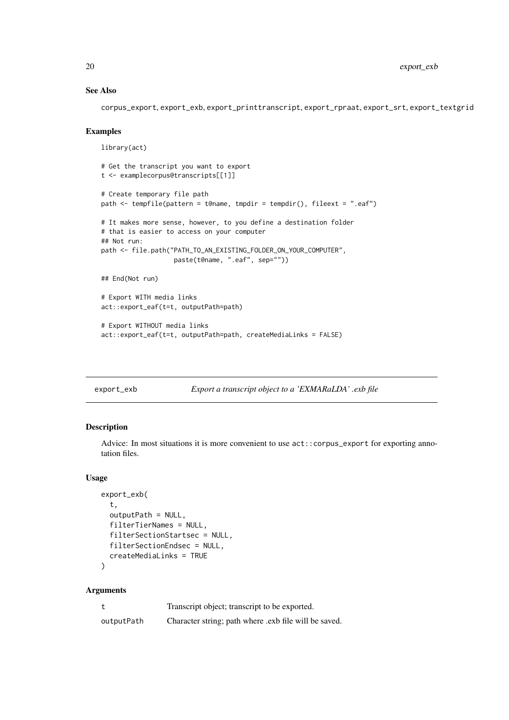### See Also

corpus\_export, export\_exb, export\_printtranscript, export\_rpraat, export\_srt, export\_textgrid

#### Examples

```
library(act)
# Get the transcript you want to export
t <- examplecorpus@transcripts[[1]]
# Create temporary file path
path \leq tempfile(pattern = t@name, tmpdir = tempdir(), fileext = ".eaf")
# It makes more sense, however, to you define a destination folder
# that is easier to access on your computer
## Not run:
path <- file.path("PATH_TO_AN_EXISTING_FOLDER_ON_YOUR_COMPUTER",
                   paste(t@name, ".eaf", sep=""))
## End(Not run)
# Export WITH media links
act::export_eaf(t=t, outputPath=path)
# Export WITHOUT media links
act::export_eaf(t=t, outputPath=path, createMediaLinks = FALSE)
```

```
export_exb Export a transcript object to a 'EXMARaLDA' .exb file
```
### Description

Advice: In most situations it is more convenient to use act::corpus\_export for exporting annotation files.

### Usage

```
export_exb(
  t,
  outputPath = NULL,
  filterTierNames = NULL,
  filterSectionStartsec = NULL,
  filterSectionEndsec = NULL,
  createMediaLinks = TRUE
)
```
#### Arguments

|            | Transcript object; transcript to be exported.         |
|------------|-------------------------------------------------------|
| outputPath | Character string; path where .exb file will be saved. |

<span id="page-19-0"></span>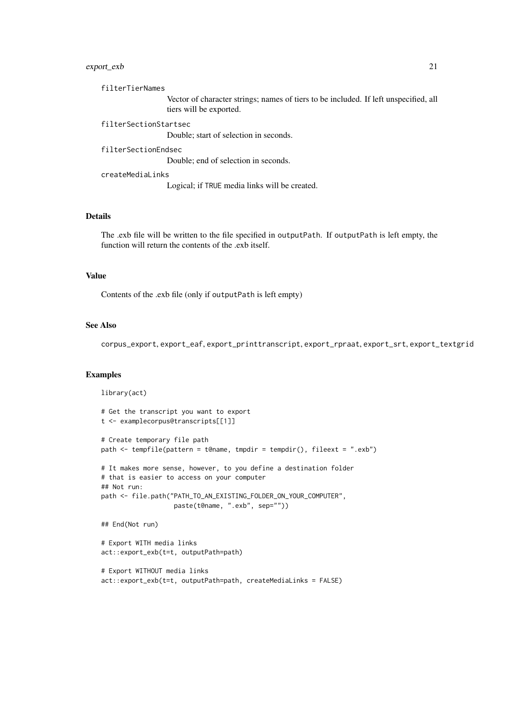#### export\_exb 21

filterTierNames

Vector of character strings; names of tiers to be included. If left unspecified, all tiers will be exported.

filterSectionStartsec

Double; start of selection in seconds.

## filterSectionEndsec

Double; end of selection in seconds.

#### createMediaLinks

Logical; if TRUE media links will be created.

#### Details

The .exb file will be written to the file specified in outputPath. If outputPath is left empty, the function will return the contents of the .exb itself.

### Value

Contents of the .exb file (only if outputPath is left empty)

### See Also

corpus\_export, export\_eaf, export\_printtranscript, export\_rpraat, export\_srt, export\_textgrid

### Examples

```
library(act)
# Get the transcript you want to export
t <- examplecorpus@transcripts[[1]]
# Create temporary file path
path <- tempfile(pattern = t@name, tmpdir = tempdir(), fileext = ".exb")
# It makes more sense, however, to you define a destination folder
# that is easier to access on your computer
## Not run:
path <- file.path("PATH_TO_AN_EXISTING_FOLDER_ON_YOUR_COMPUTER",
                   paste(t@name, ".exb", sep=""))
## End(Not run)
# Export WITH media links
act::export_exb(t=t, outputPath=path)
# Export WITHOUT media links
act::export_exb(t=t, outputPath=path, createMediaLinks = FALSE)
```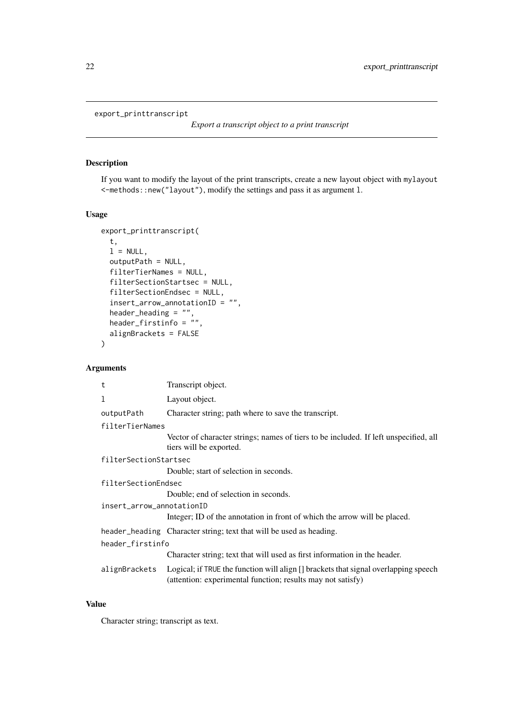#### <span id="page-21-0"></span>export\_printtranscript

### Description

If you want to modify the layout of the print transcripts, create a new layout object with mylayout <-methods::new("layout"), modify the settings and pass it as argument l.

### Usage

```
export_printtranscript(
  t,
  l = NULL,outputPath = NULL,
  filterTierNames = NULL,
  filterSectionStartsec = NULL,
  filterSectionEndsec = NULL,
  insert_arrow_annotationID = "",
  header_heading = "",
 header_firstinfo = \dddot{''},
  alignBrackets = FALSE
\lambda
```
### Arguments

| t                         | Transcript object.                                                                                                                                 |  |
|---------------------------|----------------------------------------------------------------------------------------------------------------------------------------------------|--|
| 1                         | Layout object.                                                                                                                                     |  |
| outputPath                | Character string; path where to save the transcript.                                                                                               |  |
| filterTierNames           |                                                                                                                                                    |  |
|                           | Vector of character strings; names of tiers to be included. If left unspecified, all<br>tiers will be exported.                                    |  |
| filterSectionStartsec     |                                                                                                                                                    |  |
|                           | Double; start of selection in seconds.                                                                                                             |  |
| filterSectionEndsec       |                                                                                                                                                    |  |
|                           | Double; end of selection in seconds.                                                                                                               |  |
| insert_arrow_annotationID |                                                                                                                                                    |  |
|                           | Integer; ID of the annotation in front of which the arrow will be placed.                                                                          |  |
|                           | header_heading Character string; text that will be used as heading.                                                                                |  |
| header_firstinfo          |                                                                                                                                                    |  |
|                           | Character string; text that will used as first information in the header.                                                                          |  |
| alignBrackets             | Logical; if TRUE the function will align [] brackets that signal overlapping speech<br>(attention: experimental function; results may not satisfy) |  |

### Value

Character string; transcript as text.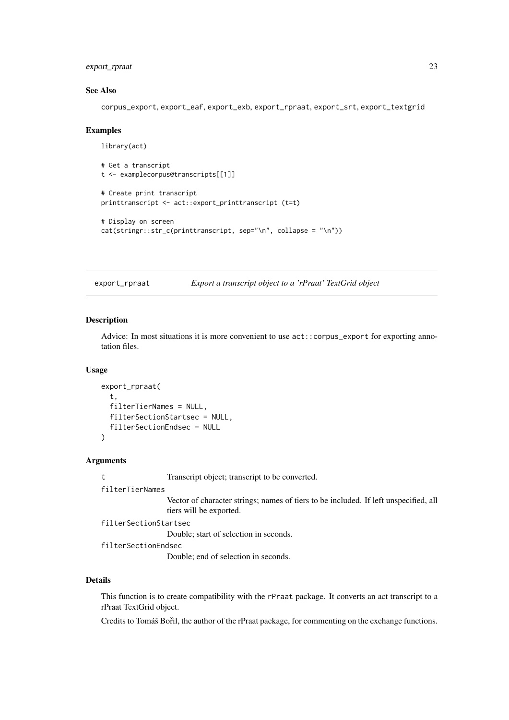#### <span id="page-22-0"></span>export\_rpraat 23

#### See Also

corpus\_export, export\_eaf, export\_exb, export\_rpraat, export\_srt, export\_textgrid

#### Examples

```
library(act)
# Get a transcript
t <- examplecorpus@transcripts[[1]]
# Create print transcript
printtranscript <- act::export_printtranscript (t=t)
# Display on screen
cat(stringr::str_c(printtranscript, sep="\n", collapse = "\n"))
```
export\_rpraat *Export a transcript object to a 'rPraat' TextGrid object*

#### Description

Advice: In most situations it is more convenient to use act::corpus\_export for exporting annotation files.

### Usage

```
export_rpraat(
  t,
  filterTierNames = NULL,
  filterSectionStartsec = NULL,
  filterSectionEndsec = NULL
\lambda
```
#### Arguments

t Transcript object; transcript to be converted.

filterTierNames

Vector of character strings; names of tiers to be included. If left unspecified, all tiers will be exported.

filterSectionStartsec

Double; start of selection in seconds.

filterSectionEndsec

Double; end of selection in seconds.

### Details

This function is to create compatibility with the rPraat package. It converts an act transcript to a rPraat TextGrid object.

Credits to Tomáš Bořil, the author of the rPraat package, for commenting on the exchange functions.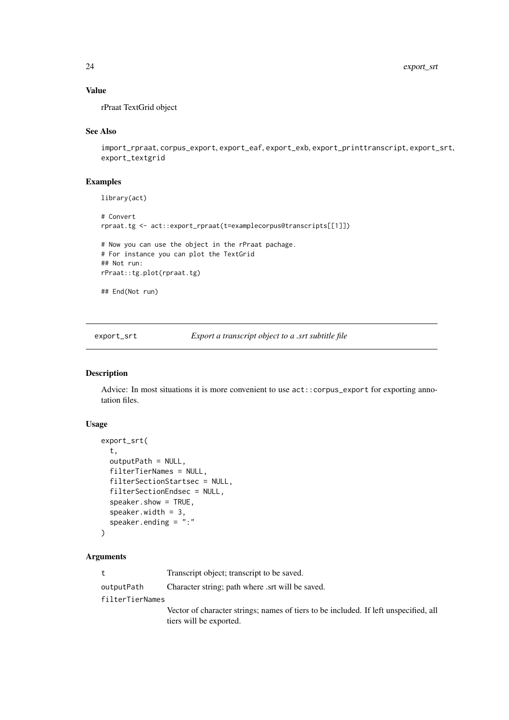### Value

rPraat TextGrid object

### See Also

```
import_rpraat, corpus_export, export_eaf, export_exb, export_printtranscript, export_srt,
export_textgrid
```
### Examples

library(act)

```
# Convert
rpraat.tg <- act::export_rpraat(t=examplecorpus@transcripts[[1]])
# Now you can use the object in the rPraat pachage.
# For instance you can plot the TextGrid
## Not run:
rPraat::tg.plot(rpraat.tg)
## End(Not run)
```
export\_srt *Export a transcript object to a .srt subtitle file*

### Description

Advice: In most situations it is more convenient to use act::corpus\_export for exporting annotation files.

### Usage

```
export_srt(
  t,
 outputPath = NULL,
 filterTierNames = NULL,
 filterSectionStartsec = NULL,
 filterSectionEndsec = NULL,
  speaker.show = TRUE,
  speaker.width = 3,
  speaker.ending = ":"
\lambda
```
### Arguments

t Transcript object; transcript to be saved. outputPath Character string; path where .srt will be saved. filterTierNames Vector of character strings; names of tiers to be included. If left unspecified, all tiers will be exported.

<span id="page-23-0"></span>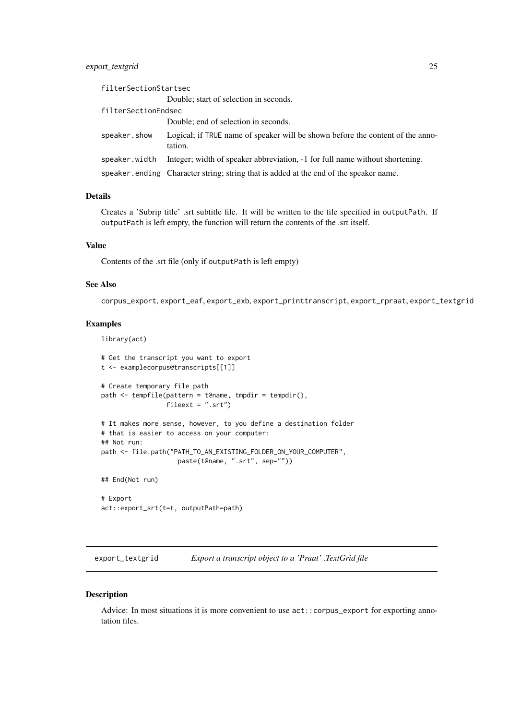#### <span id="page-24-0"></span>export\_textgrid 25

| filterSectionStartsec |                                                                                           |
|-----------------------|-------------------------------------------------------------------------------------------|
|                       | Double; start of selection in seconds.                                                    |
| filterSectionEndsec   |                                                                                           |
|                       | Double; end of selection in seconds.                                                      |
| speaker.show          | Logical; if TRUE name of speaker will be shown before the content of the anno-<br>tation. |
| speaker.width         | Integer; width of speaker abbreviation, -1 for full name without shortening.              |
|                       | speaker ending Character string; string that is added at the end of the speaker name.     |

#### Details

Creates a 'Subrip title' .srt subtitle file. It will be written to the file specified in outputPath. If outputPath is left empty, the function will return the contents of the .srt itself.

### Value

Contents of the .srt file (only if outputPath is left empty)

### See Also

corpus\_export, export\_eaf, export\_exb, export\_printtranscript, export\_rpraat, export\_textgrid

#### Examples

```
library(act)
```

```
# Get the transcript you want to export
t <- examplecorpus@transcripts[[1]]
# Create temporary file path
path <- tempfile(pattern = t@name, tmpdir = tempdir(),
                 fileext = ".srt")
# It makes more sense, however, to you define a destination folder
# that is easier to access on your computer:
## Not run:
path <- file.path("PATH_TO_AN_EXISTING_FOLDER_ON_YOUR_COMPUTER",
                   paste(t@name, ".srt", sep=""))
```
## End(Not run)

# Export act::export\_srt(t=t, outputPath=path)

<span id="page-24-1"></span>export\_textgrid *Export a transcript object to a 'Praat' .TextGrid file*

### Description

Advice: In most situations it is more convenient to use act::corpus\_export for exporting annotation files.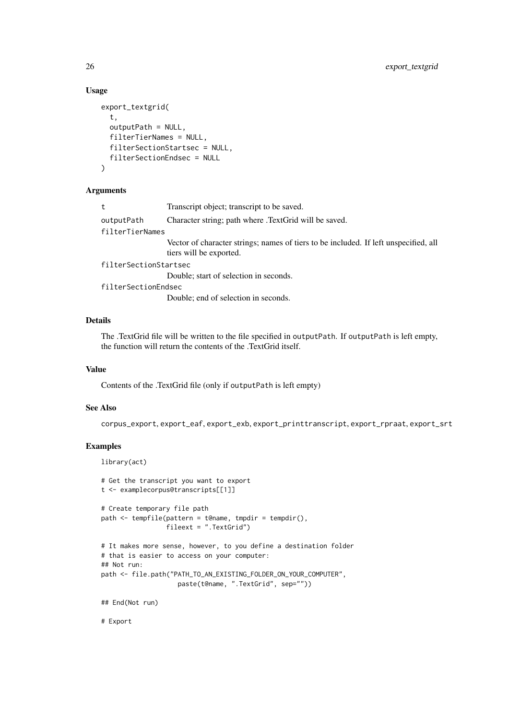#### Usage

```
export_textgrid(
  t,
  outputPath = NULL,
  filterTierNames = NULL,
  filterSectionStartsec = NULL,
  filterSectionEndsec = NULL
\lambda
```
### Arguments

| t                     | Transcript object; transcript to be saved.                                                                      |
|-----------------------|-----------------------------------------------------------------------------------------------------------------|
| outputPath            | Character string; path where .TextGrid will be saved.                                                           |
| filterTierNames       |                                                                                                                 |
|                       | Vector of character strings; names of tiers to be included. If left unspecified, all<br>tiers will be exported. |
| filterSectionStartsec |                                                                                                                 |
|                       | Double; start of selection in seconds.                                                                          |
| filterSectionEndsec   |                                                                                                                 |
|                       | Double; end of selection in seconds.                                                                            |
|                       |                                                                                                                 |

### Details

The .TextGrid file will be written to the file specified in outputPath. If outputPath is left empty, the function will return the contents of the .TextGrid itself.

### Value

Contents of the .TextGrid file (only if outputPath is left empty)

### See Also

corpus\_export, export\_eaf, export\_exb, export\_printtranscript, export\_rpraat, export\_srt

### Examples

```
library(act)
# Get the transcript you want to export
t <- examplecorpus@transcripts[[1]]
# Create temporary file path
path \leq tempfile(pattern = t@name, tmpdir = tempdir(),
                 fileext = ".TextGrid")
# It makes more sense, however, to you define a destination folder
# that is easier to access on your computer:
## Not run:
path <- file.path("PATH_TO_AN_EXISTING_FOLDER_ON_YOUR_COMPUTER",
                    paste(t@name, ".TextGrid", sep=""))
## End(Not run)
```
# Export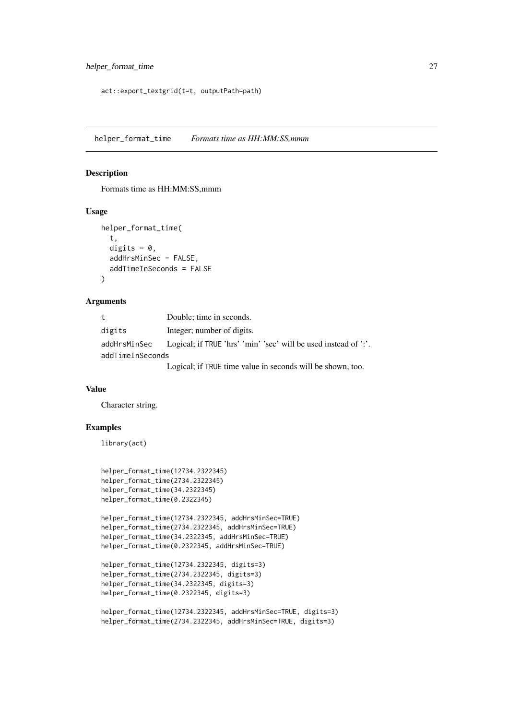```
act::export_textgrid(t=t, outputPath=path)
```
helper\_format\_time *Formats time as HH:MM:SS,mmm*

### Description

Formats time as HH:MM:SS,mmm

### Usage

```
helper_format_time(
  t,
  digits = \theta,
  addHrsMinSec = FALSE,
  addTimeInSeconds = FALSE
)
```
#### Arguments

| t                | Double; time in seconds.                                        |
|------------------|-----------------------------------------------------------------|
| digits           | Integer; number of digits.                                      |
| addHrsMinSec     | Logical; if TRUE 'hrs' 'min' 'sec' will be used instead of ':'. |
| addTimeInSeconds |                                                                 |
|                  | Logical; if TRUE time value in seconds will be shown, too.      |

#### Value

Character string.

### Examples

library(act)

```
helper_format_time(12734.2322345)
helper_format_time(2734.2322345)
helper_format_time(34.2322345)
helper_format_time(0.2322345)
```

```
helper_format_time(12734.2322345, addHrsMinSec=TRUE)
helper_format_time(2734.2322345, addHrsMinSec=TRUE)
helper_format_time(34.2322345, addHrsMinSec=TRUE)
helper_format_time(0.2322345, addHrsMinSec=TRUE)
```

```
helper_format_time(12734.2322345, digits=3)
helper_format_time(2734.2322345, digits=3)
helper_format_time(34.2322345, digits=3)
helper_format_time(0.2322345, digits=3)
```

```
helper_format_time(12734.2322345, addHrsMinSec=TRUE, digits=3)
helper_format_time(2734.2322345, addHrsMinSec=TRUE, digits=3)
```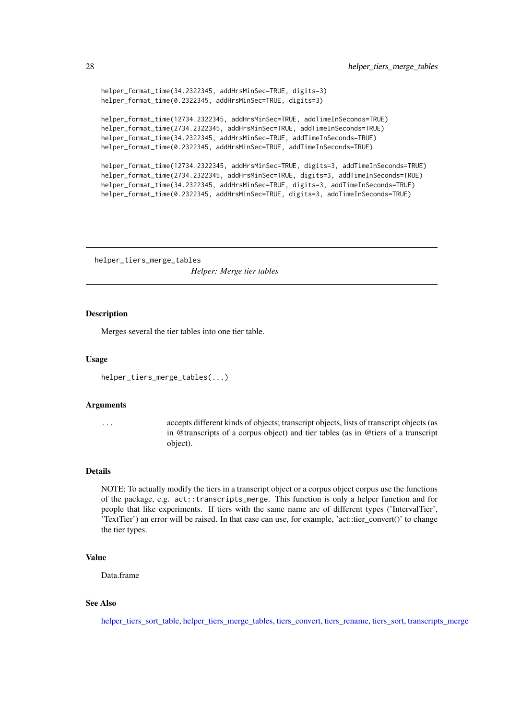```
helper_format_time(34.2322345, addHrsMinSec=TRUE, digits=3)
helper_format_time(0.2322345, addHrsMinSec=TRUE, digits=3)
```

```
helper_format_time(12734.2322345, addHrsMinSec=TRUE, addTimeInSeconds=TRUE)
helper_format_time(2734.2322345, addHrsMinSec=TRUE, addTimeInSeconds=TRUE)
helper_format_time(34.2322345, addHrsMinSec=TRUE, addTimeInSeconds=TRUE)
helper_format_time(0.2322345, addHrsMinSec=TRUE, addTimeInSeconds=TRUE)
```

```
helper_format_time(12734.2322345, addHrsMinSec=TRUE, digits=3, addTimeInSeconds=TRUE)
helper_format_time(2734.2322345, addHrsMinSec=TRUE, digits=3, addTimeInSeconds=TRUE)
helper_format_time(34.2322345, addHrsMinSec=TRUE, digits=3, addTimeInSeconds=TRUE)
helper_format_time(0.2322345, addHrsMinSec=TRUE, digits=3, addTimeInSeconds=TRUE)
```
<span id="page-27-1"></span>helper\_tiers\_merge\_tables *Helper: Merge tier tables*

### **Description**

Merges several the tier tables into one tier table.

#### Usage

```
helper_tiers_merge_tables(...)
```
#### Arguments

... accepts different kinds of objects; transcript objects, lists of transcript objects (as in @transcripts of a corpus object) and tier tables (as in @tiers of a transcript object).

#### Details

NOTE: To actually modify the tiers in a transcript object or a corpus object corpus use the functions of the package, e.g. act::transcripts\_merge. This function is only a helper function and for people that like experiments. If tiers with the same name are of different types ('IntervalTier', 'TextTier') an error will be raised. In that case can use, for example, 'act::tier\_convert()' to change the tier types.

### Value

Data.frame

### See Also

[helper\\_tiers\\_sort\\_table,](#page-29-1) [helper\\_tiers\\_merge\\_tables,](#page-27-1) [tiers\\_convert,](#page-71-1) [tiers\\_rename,](#page-73-1) [tiers\\_sort,](#page-74-1) [transcripts\\_merge](#page-84-1)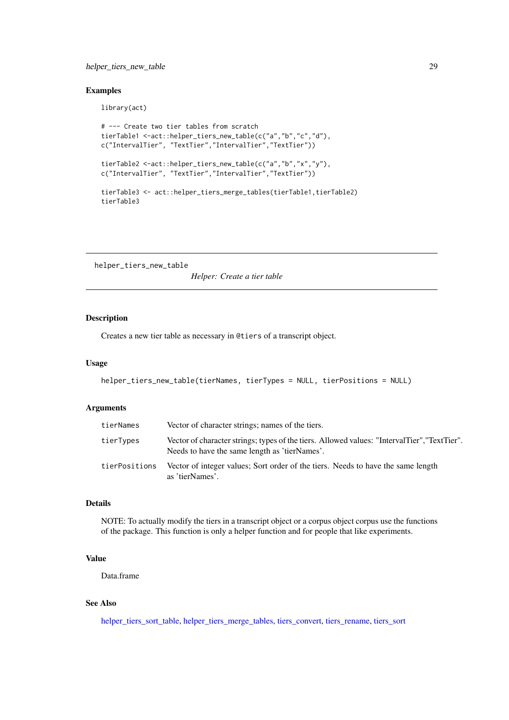#### <span id="page-28-0"></span>helper\_tiers\_new\_table 29

### Examples

library(act)

```
# --- Create two tier tables from scratch
tierTable1 <-act::helper_tiers_new_table(c("a","b","c","d"),
c("IntervalTier", "TextTier","IntervalTier","TextTier"))
tierTable2 <-act::helper_tiers_new_table(c("a","b","x","y"),
c("IntervalTier", "TextTier","IntervalTier","TextTier"))
tierTable3 <- act::helper_tiers_merge_tables(tierTable1,tierTable2)
tierTable3
```
<span id="page-28-1"></span>helper\_tiers\_new\_table

*Helper: Create a tier table*

### Description

Creates a new tier table as necessary in @tiers of a transcript object.

### Usage

```
helper_tiers_new_table(tierNames, tierTypes = NULL, tierPositions = NULL)
```
### Arguments

| tierNames     | Vector of character strings; names of the tiers.                                                                                              |
|---------------|-----------------------------------------------------------------------------------------------------------------------------------------------|
| tierTypes     | Vector of character strings; types of the tiers. Allowed values: "IntervalTier", "TextTier".<br>Needs to have the same length as 'tierNames'. |
| tierPositions | Vector of integer values; Sort order of the tiers. Needs to have the same length<br>as 'tierNames'.                                           |

### Details

NOTE: To actually modify the tiers in a transcript object or a corpus object corpus use the functions of the package. This function is only a helper function and for people that like experiments.

### Value

Data.frame

### See Also

[helper\\_tiers\\_sort\\_table,](#page-29-1) [helper\\_tiers\\_merge\\_tables,](#page-27-1) [tiers\\_convert,](#page-71-1) [tiers\\_rename,](#page-73-1) [tiers\\_sort](#page-74-1)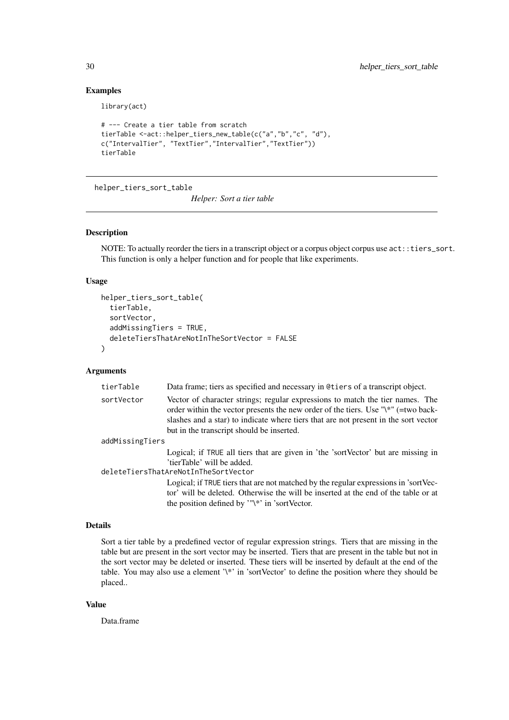### Examples

library(act)

```
# --- Create a tier table from scratch
tierTable <-act::helper_tiers_new_table(c("a","b","c", "d"),
c("IntervalTier", "TextTier","IntervalTier","TextTier"))
tierTable
```
<span id="page-29-1"></span>helper\_tiers\_sort\_table

*Helper: Sort a tier table*

#### Description

NOTE: To actually reorder the tiers in a transcript object or a corpus object corpus use act::tiers\_sort. This function is only a helper function and for people that like experiments.

### Usage

```
helper_tiers_sort_table(
  tierTable,
  sortVector,
  addMissingTiers = TRUE,
  deleteTiersThatAreNotInTheSortVector = FALSE
)
```
### Arguments

| tierTable       | Data frame; tiers as specified and necessary in @tiers of a transcript object.                                                                                                                                                                                                                                 |
|-----------------|----------------------------------------------------------------------------------------------------------------------------------------------------------------------------------------------------------------------------------------------------------------------------------------------------------------|
| sortVector      | Vector of character strings; regular expressions to match the tier names. The<br>order within the vector presents the new order of the tiers. Use " $\aleph$ " (=two back-<br>slashes and a star) to indicate where tiers that are not present in the sort vector<br>but in the transcript should be inserted. |
| addMissingTiers |                                                                                                                                                                                                                                                                                                                |
|                 | Logical; if TRUE all tiers that are given in 'the 'sortVector' but are missing in<br>'tierTable' will be added.                                                                                                                                                                                                |
|                 | deleteTiersThatAreNotInTheSortVector                                                                                                                                                                                                                                                                           |
|                 | Logical; if TRUE tiers that are not matched by the regular expressions in 'sortVec-<br>tor' will be deleted. Otherwise the will be inserted at the end of the table or at<br>the position defined by ''\*' in 'sortVector.                                                                                     |

#### Details

Sort a tier table by a predefined vector of regular expression strings. Tiers that are missing in the table but are present in the sort vector may be inserted. Tiers that are present in the table but not in the sort vector may be deleted or inserted. These tiers will be inserted by default at the end of the table. You may also use a element '\\*' in 'sortVector' to define the position where they should be placed..

### Value

Data.frame

<span id="page-29-0"></span>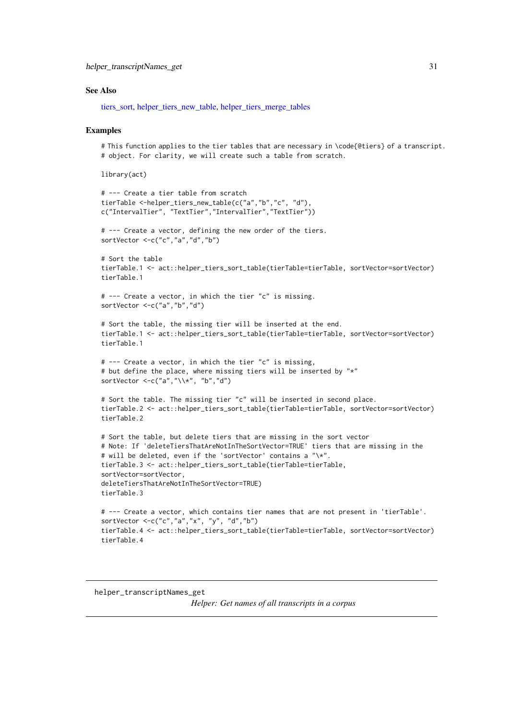<span id="page-30-0"></span>helper\_transcriptNames\_get 31

#### See Also

[tiers\\_sort,](#page-74-1) [helper\\_tiers\\_new\\_table,](#page-28-1) [helper\\_tiers\\_merge\\_tables](#page-27-1)

#### Examples

# This function applies to the tier tables that are necessary in \code{@tiers} of a transcript. # object. For clarity, we will create such a table from scratch.

library(act)

```
# --- Create a tier table from scratch
tierTable <-helper_tiers_new_table(c("a","b","c", "d"),
c("IntervalTier", "TextTier","IntervalTier","TextTier"))
# --- Create a vector, defining the new order of the tiers.
sortVector <-c("c","a","d","b")
# Sort the table
tierTable.1 <- act::helper_tiers_sort_table(tierTable=tierTable, sortVector=sortVector)
tierTable.1
# --- Create a vector, in which the tier "c" is missing.
sortVector <-c("a","b","d")
# Sort the table, the missing tier will be inserted at the end.
tierTable.1 <- act::helper tiers sort table(tierTable=tierTable, sortVector=sortVector)
tierTable.1
# --- Create a vector, in which the tier "c" is missing,
# but define the place, where missing tiers will be inserted by "*"
sortVector \langle-c("a","\\*", "b","d")
# Sort the table. The missing tier "c" will be inserted in second place.
tierTable.2 <- act::helper_tiers_sort_table(tierTable=tierTable, sortVector=sortVector)
tierTable.2
# Sort the table, but delete tiers that are missing in the sort vector
# Note: If 'deleteTiersThatAreNotInTheSortVector=TRUE' tiers that are missing in the
# will be deleted, even if the 'sortVector' contains a "\*".
tierTable.3 <- act::helper_tiers_sort_table(tierTable=tierTable,
sortVector=sortVector,
deleteTiersThatAreNotInTheSortVector=TRUE)
tierTable.3
# --- Create a vector, which contains tier names that are not present in 'tierTable'.
sortVector <-c("c","a","x", "y", "d","b")
tierTable.4 <- act::helper tiers sort table(tierTable=tierTable, sortVector=sortVector)
tierTable.4
```
helper\_transcriptNames\_get

*Helper: Get names of all transcripts in a corpus*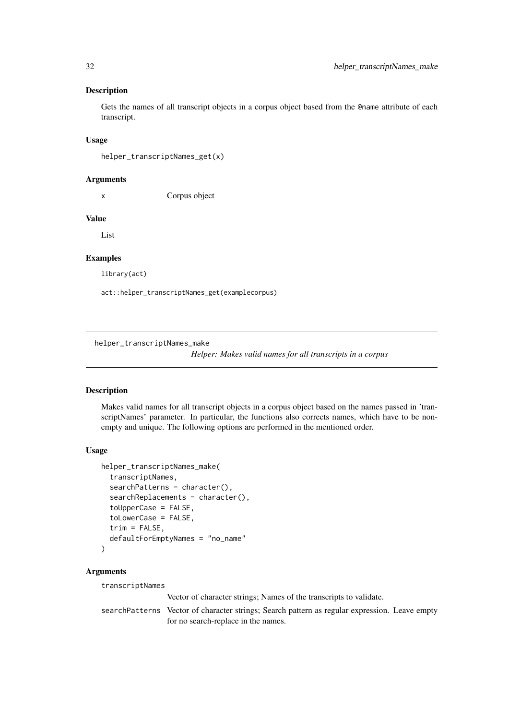### <span id="page-31-0"></span>Description

Gets the names of all transcript objects in a corpus object based from the @name attribute of each transcript.

### Usage

```
helper_transcriptNames_get(x)
```
#### Arguments

x Corpus object

### Value

List

### Examples

library(act)

act::helper\_transcriptNames\_get(examplecorpus)

helper\_transcriptNames\_make

*Helper: Makes valid names for all transcripts in a corpus*

### Description

Makes valid names for all transcript objects in a corpus object based on the names passed in 'transcriptNames' parameter. In particular, the functions also corrects names, which have to be nonempty and unique. The following options are performed in the mentioned order.

#### Usage

```
helper_transcriptNames_make(
  transcriptNames,
  searchPatterns = character(),
  searchReplacements = character(),
  toUpperCase = FALSE,
  toLowerCase = FALSE,
  trim = FALSE,defaultForEmptyNames = "no_name"
)
```
### Arguments

transcriptNames

Vector of character strings; Names of the transcripts to validate.

searchPatterns Vector of character strings; Search pattern as regular expression. Leave empty for no search-replace in the names.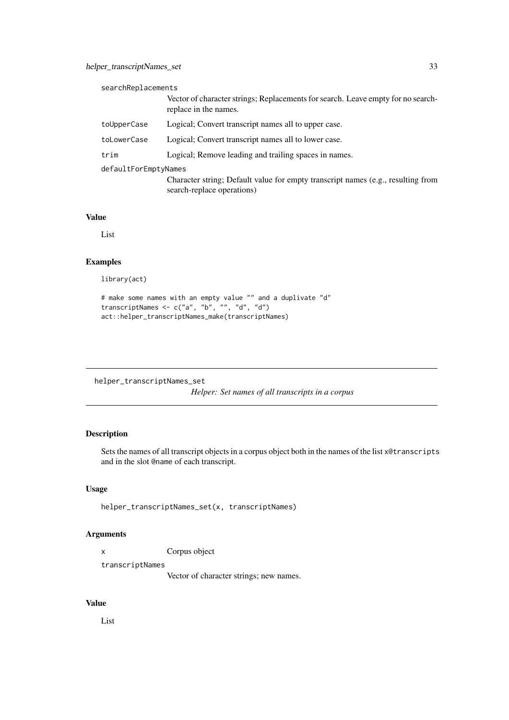<span id="page-32-0"></span>

| searchReplacements   |                                                                                                                |
|----------------------|----------------------------------------------------------------------------------------------------------------|
|                      | Vector of character strings; Replacements for search. Leave empty for no search-<br>replace in the names.      |
| toUpperCase          | Logical; Convert transcript names all to upper case.                                                           |
| toLowerCase          | Logical; Convert transcript names all to lower case.                                                           |
| trim                 | Logical; Remove leading and trailing spaces in names.                                                          |
| defaultForEmptyNames |                                                                                                                |
|                      | Character string; Default value for empty transcript names (e.g., resulting from<br>search-replace operations) |

### Value

List

### Examples

library(act)

```
# make some names with an empty value "" and a duplivate "d"
transcriptNames <- c("a", "b", "", "d", "d")
act::helper_transcriptNames_make(transcriptNames)
```

```
helper_transcriptNames_set
```
*Helper: Set names of all transcripts in a corpus*

### Description

Sets the names of all transcript objects in a corpus object both in the names of the list x@transcripts and in the slot @name of each transcript.

### Usage

```
helper_transcriptNames_set(x, transcriptNames)
```
### Arguments

x Corpus object

transcriptNames

Vector of character strings; new names.

### Value

List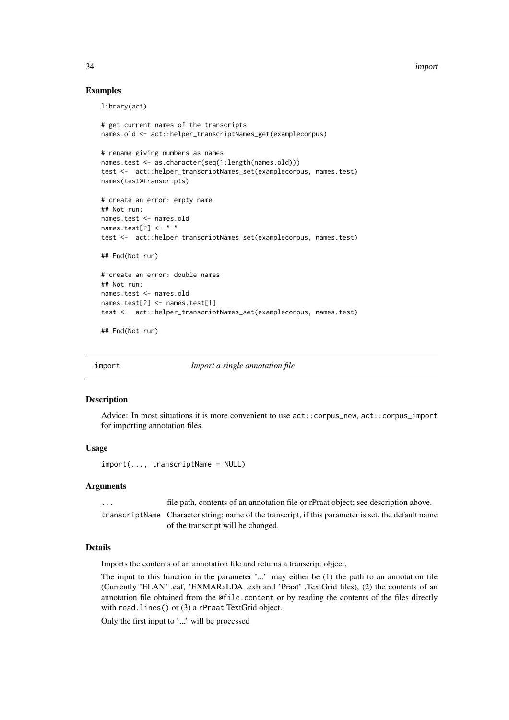<span id="page-33-0"></span>34 import

#### Examples

library(act)

```
# get current names of the transcripts
names.old <- act::helper_transcriptNames_get(examplecorpus)
# rename giving numbers as names
names.test <- as.character(seq(1:length(names.old)))
test <- act::helper_transcriptNames_set(examplecorpus, names.test)
names(test@transcripts)
# create an error: empty name
## Not run:
names.test <- names.old
names.test[2] <- " "
test <- act::helper_transcriptNames_set(examplecorpus, names.test)
## End(Not run)
# create an error: double names
## Not run:
names.test <- names.old
names.test[2] <- names.test[1]
test <- act::helper_transcriptNames_set(examplecorpus, names.test)
```
## End(Not run)

import *Import a single annotation file*

#### Description

Advice: In most situations it is more convenient to use  $act::corpus_new$ ,  $act::corpus\_import$ for importing annotation files.

### Usage

import(..., transcriptName = NULL)

#### Arguments

| $\cdot$ | file path, contents of an annotation file or rPraat object; see description above.                  |
|---------|-----------------------------------------------------------------------------------------------------|
|         | transcriptName Character string; name of the transcript, if this parameter is set, the default name |
|         | of the transcript will be changed.                                                                  |

### Details

Imports the contents of an annotation file and returns a transcript object.

The input to this function in the parameter '...' may either be (1) the path to an annotation file (Currently 'ELAN' .eaf, 'EXMARaLDA .exb and 'Praat' .TextGrid files), (2) the contents of an annotation file obtained from the @file.content or by reading the contents of the files directly with read.lines() or (3) a rPraat TextGrid object.

Only the first input to '...' will be processed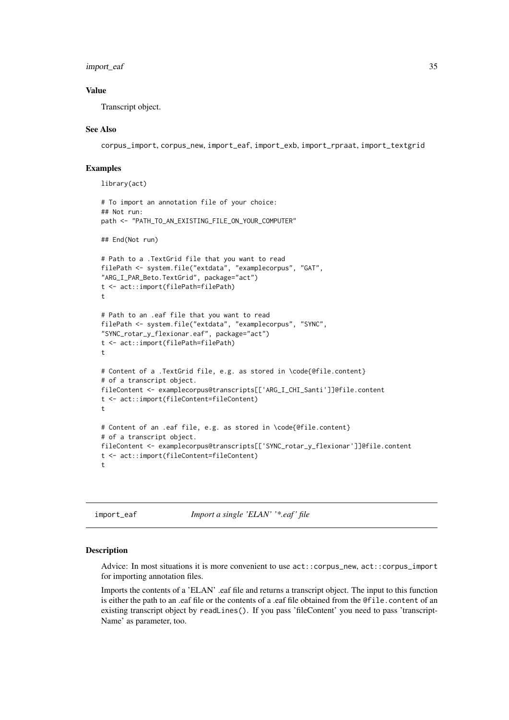#### <span id="page-34-0"></span>import\_eaf 35

#### Value

Transcript object.

#### See Also

corpus\_import, corpus\_new, import\_eaf, import\_exb, import\_rpraat, import\_textgrid

### Examples

```
library(act)
# To import an annotation file of your choice:
## Not run:
path <- "PATH_TO_AN_EXISTING_FILE_ON_YOUR_COMPUTER"
## End(Not run)
# Path to a .TextGrid file that you want to read
filePath <- system.file("extdata", "examplecorpus", "GAT",
"ARG_I_PAR_Beto.TextGrid", package="act")
t <- act::import(filePath=filePath)
t
# Path to an .eaf file that you want to read
filePath <- system.file("extdata", "examplecorpus", "SYNC",
"SYNC_rotar_y_flexionar.eaf", package="act")
t <- act::import(filePath=filePath)
t
# Content of a .TextGrid file, e.g. as stored in \code{@file.content}
# of a transcript object.
fileContent <- examplecorpus@transcripts[['ARG_I_CHI_Santi']]@file.content
t <- act::import(fileContent=fileContent)
t
# Content of an .eaf file, e.g. as stored in \code{@file.content}
# of a transcript object.
fileContent <- examplecorpus@transcripts[['SYNC_rotar_y_flexionar']]@file.content
t <- act::import(fileContent=fileContent)
t
```
import\_eaf *Import a single 'ELAN' '\*.eaf ' file*

#### Description

Advice: In most situations it is more convenient to use act::corpus\_new, act::corpus\_import for importing annotation files.

Imports the contents of a 'ELAN' .eaf file and returns a transcript object. The input to this function is either the path to an .eaf file or the contents of a .eaf file obtained from the @file.content of an existing transcript object by readLines(). If you pass 'fileContent' you need to pass 'transcript-Name' as parameter, too.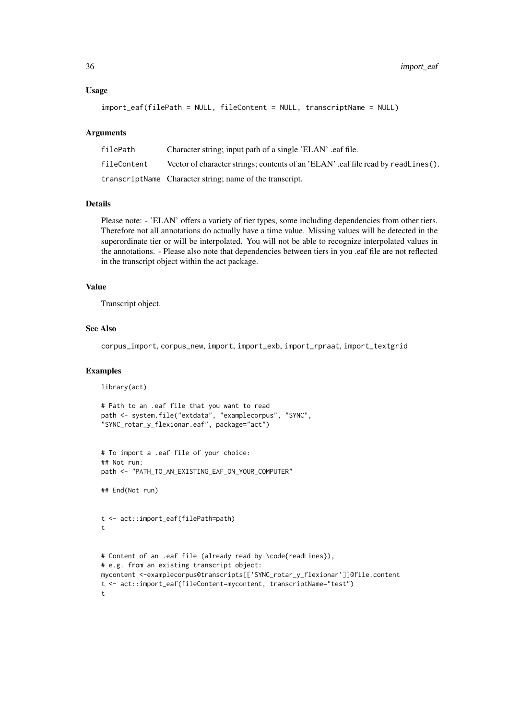#### Usage

```
import_eaf(filePath = NULL, fileContent = NULL, transcriptName = NULL)
```
#### Arguments

| filePath    | Character string; input path of a single 'ELAN' eaf file.                        |
|-------------|----------------------------------------------------------------------------------|
| fileContent | Vector of character strings; contents of an 'ELAN' eaf file read by readLines(). |
|             | transcriptName Character string; name of the transcript.                         |

#### Details

Please note: - 'ELAN' offers a variety of tier types, some including dependencies from other tiers. Therefore not all annotations do actually have a time value. Missing values will be detected in the superordinate tier or will be interpolated. You will not be able to recognize interpolated values in the annotations. - Please also note that dependencies between tiers in you .eaf file are not reflected in the transcript object within the act package.

### Value

Transcript object.

#### See Also

corpus\_import, corpus\_new, import, import\_exb, import\_rpraat, import\_textgrid

### Examples

library(act)

```
# Path to an .eaf file that you want to read
path <- system.file("extdata", "examplecorpus", "SYNC",
"SYNC_rotar_y_flexionar.eaf", package="act")
```

```
# To import a .eaf file of your choice:
## Not run:
path <- "PATH_TO_AN_EXISTING_EAF_ON_YOUR_COMPUTER"
```
## End(Not run)

```
t <- act::import_eaf(filePath=path)
t
```

```
# Content of an .eaf file (already read by \code{readLines}),
# e.g. from an existing transcript object:
mycontent <-examplecorpus@transcripts[['SYNC_rotar_y_flexionar']]@file.content
t <- act::import_eaf(fileContent=mycontent, transcriptName="test")
t
```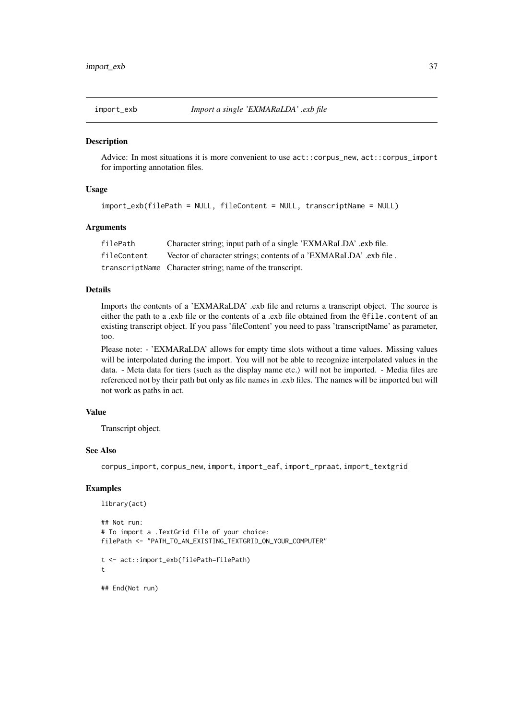Advice: In most situations it is more convenient to use act::corpus\_new, act::corpus\_import for importing annotation files.

### Usage

```
import_exb(filePath = NULL, fileContent = NULL, transcriptName = NULL)
```
#### Arguments

| filePath    | Character string; input path of a single 'EXMARaLDA' .exb file.   |
|-------------|-------------------------------------------------------------------|
| fileContent | Vector of character strings; contents of a 'EXMARaLDA' .exb file. |
|             | transcriptName Character string; name of the transcript.          |

### Details

Imports the contents of a 'EXMARaLDA' .exb file and returns a transcript object. The source is either the path to a .exb file or the contents of a .exb file obtained from the @file.content of an existing transcript object. If you pass 'fileContent' you need to pass 'transcriptName' as parameter, too.

Please note: - 'EXMARaLDA' allows for empty time slots without a time values. Missing values will be interpolated during the import. You will not be able to recognize interpolated values in the data. - Meta data for tiers (such as the display name etc.) will not be imported. - Media files are referenced not by their path but only as file names in .exb files. The names will be imported but will not work as paths in act.

#### Value

Transcript object.

#### See Also

corpus\_import, corpus\_new, import, import\_eaf, import\_rpraat, import\_textgrid

#### Examples

library(act)

```
## Not run:
# To import a .TextGrid file of your choice:
filePath <- "PATH_TO_AN_EXISTING_TEXTGRID_ON_YOUR_COMPUTER"
t <- act::import_exb(filePath=filePath)
t
## End(Not run)
```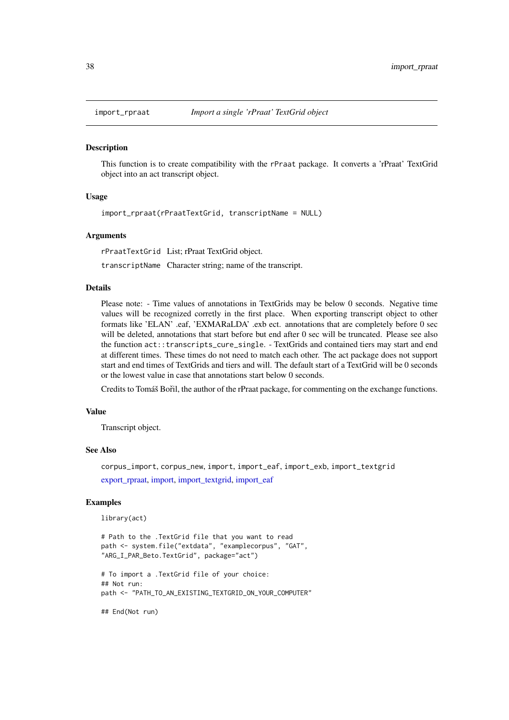This function is to create compatibility with the rPraat package. It converts a 'rPraat' TextGrid object into an act transcript object.

### Usage

import\_rpraat(rPraatTextGrid, transcriptName = NULL)

#### Arguments

rPraatTextGrid List; rPraat TextGrid object.

transcriptName Character string; name of the transcript.

# Details

Please note: - Time values of annotations in TextGrids may be below 0 seconds. Negative time values will be recognized corretly in the first place. When exporting transcript object to other formats like 'ELAN' .eaf, 'EXMARaLDA' .exb ect. annotations that are completely before 0 sec will be deleted, annotations that start before but end after 0 sec will be truncated. Please see also the function act::transcripts\_cure\_single. - TextGrids and contained tiers may start and end at different times. These times do not need to match each other. The act package does not support start and end times of TextGrids and tiers and will. The default start of a TextGrid will be 0 seconds or the lowest value in case that annotations start below 0 seconds.

Credits to Tomáš Bořil, the author of the rPraat package, for commenting on the exchange functions.

# Value

Transcript object.

#### See Also

```
corpus_import, corpus_new, import, import_eaf, import_exb, import_textgrid
export_rpraat, import, import_textgrid, import_eaf
```
### Examples

library(act)

```
# Path to the .TextGrid file that you want to read
path <- system.file("extdata", "examplecorpus", "GAT",
"ARG_I_PAR_Beto.TextGrid", package="act")
# To import a .TextGrid file of your choice:
## Not run:
path <- "PATH_TO_AN_EXISTING_TEXTGRID_ON_YOUR_COMPUTER"
```
## End(Not run)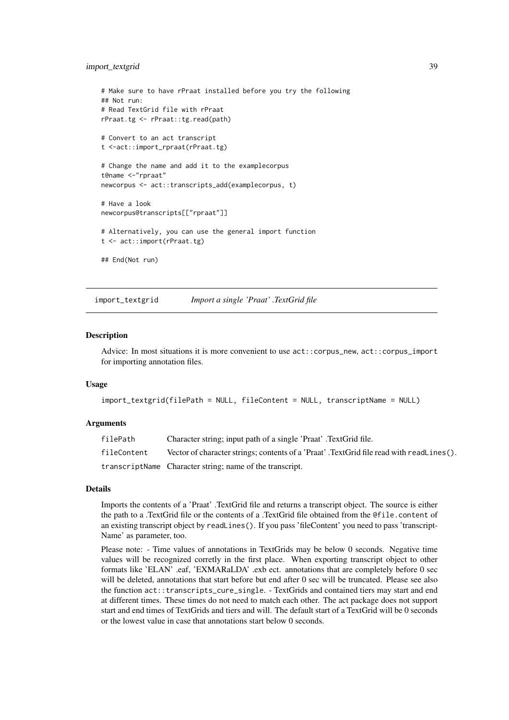### import\_textgrid 39

```
# Make sure to have rPraat installed before you try the following
## Not run:
# Read TextGrid file with rPraat
rPraat.tg <- rPraat::tg.read(path)
# Convert to an act transcript
t <-act::import_rpraat(rPraat.tg)
# Change the name and add it to the examplecorpus
t@name <-"rpraat"
newcorpus <- act::transcripts_add(examplecorpus, t)
# Have a look
newcorpus@transcripts[["rpraat"]]
# Alternatively, you can use the general import function
t <- act::import(rPraat.tg)
## End(Not run)
```
<span id="page-38-0"></span>import\_textgrid *Import a single 'Praat' .TextGrid file*

### Description

Advice: In most situations it is more convenient to use act::corpus\_new, act::corpus\_import for importing annotation files.

### Usage

```
import_textgrid(filePath = NULL, fileContent = NULL, transcriptName = NULL)
```
#### Arguments

| filePath    | Character string; input path of a single 'Praat'. TextGrid file.                         |
|-------------|------------------------------------------------------------------------------------------|
| fileContent | Vector of character strings; contents of a 'Praat'. TextGrid file read with readLines(). |
|             | transcriptName Character string; name of the transcript.                                 |

#### Details

Imports the contents of a 'Praat' .TextGrid file and returns a transcript object. The source is either the path to a .TextGrid file or the contents of a .TextGrid file obtained from the @file.content of an existing transcript object by readLines(). If you pass 'fileContent' you need to pass 'transcript-Name' as parameter, too.

Please note: - Time values of annotations in TextGrids may be below 0 seconds. Negative time values will be recognized corretly in the first place. When exporting transcript object to other formats like 'ELAN' .eaf, 'EXMARaLDA' .exb ect. annotations that are completely before 0 sec will be deleted, annotations that start before but end after 0 sec will be truncated. Please see also the function act::transcripts\_cure\_single. - TextGrids and contained tiers may start and end at different times. These times do not need to match each other. The act package does not support start and end times of TextGrids and tiers and will. The default start of a TextGrid will be 0 seconds or the lowest value in case that annotations start below 0 seconds.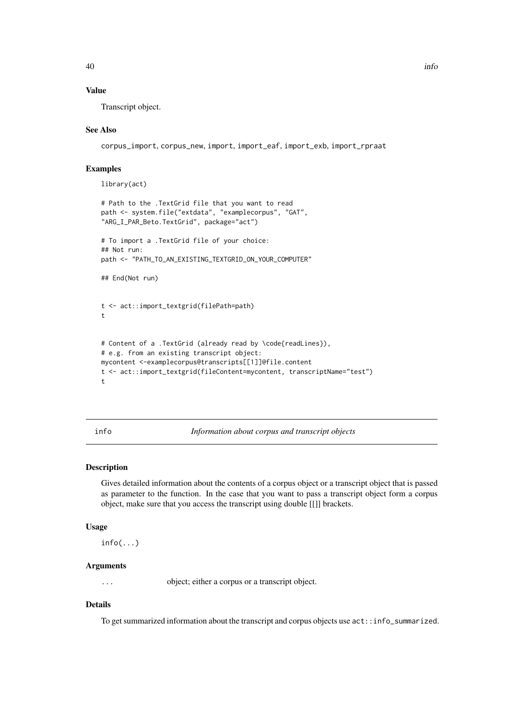### Value

Transcript object.

# See Also

corpus\_import, corpus\_new, import, import\_eaf, import\_exb, import\_rpraat

# Examples

library(act)

```
# Path to the .TextGrid file that you want to read
path <- system.file("extdata", "examplecorpus", "GAT",
"ARG_I_PAR_Beto.TextGrid", package="act")
# To import a .TextGrid file of your choice:
## Not run:
path <- "PATH_TO_AN_EXISTING_TEXTGRID_ON_YOUR_COMPUTER"
## End(Not run)
t <- act::import_textgrid(filePath=path)
t
```

```
# Content of a .TextGrid (already read by \code{readLines}),
# e.g. from an existing transcript object:
mycontent <-examplecorpus@transcripts[[1]]@file.content
t <- act::import_textgrid(fileContent=mycontent, transcriptName="test")
t
```
<span id="page-39-0"></span>info *Information about corpus and transcript objects*

# Description

Gives detailed information about the contents of a corpus object or a transcript object that is passed as parameter to the function. In the case that you want to pass a transcript object form a corpus object, make sure that you access the transcript using double [[]] brackets.

# Usage

 $info(...)$ 

### Arguments

... object; either a corpus or a transcript object.

# Details

To get summarized information about the transcript and corpus objects use act::info\_summarized.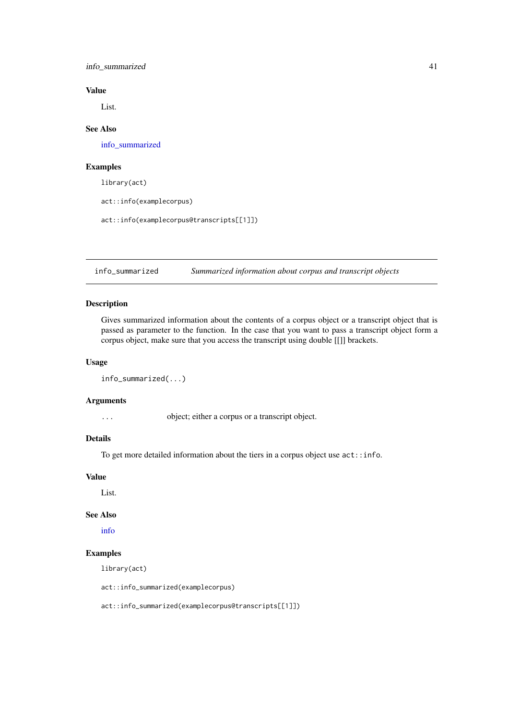#### info\_summarized 41

### Value

List.

# See Also

[info\\_summarized](#page-40-0)

### Examples

library(act)

act::info(examplecorpus)

act::info(examplecorpus@transcripts[[1]])

<span id="page-40-0"></span>info\_summarized *Summarized information about corpus and transcript objects*

# Description

Gives summarized information about the contents of a corpus object or a transcript object that is passed as parameter to the function. In the case that you want to pass a transcript object form a corpus object, make sure that you access the transcript using double [[]] brackets.

# Usage

```
info_summarized(...)
```
### Arguments

... object; either a corpus or a transcript object.

# Details

To get more detailed information about the tiers in a corpus object use act::info.

### Value

List.

### See Also

[info](#page-39-0)

### Examples

library(act)

act::info\_summarized(examplecorpus)

act::info\_summarized(examplecorpus@transcripts[[1]])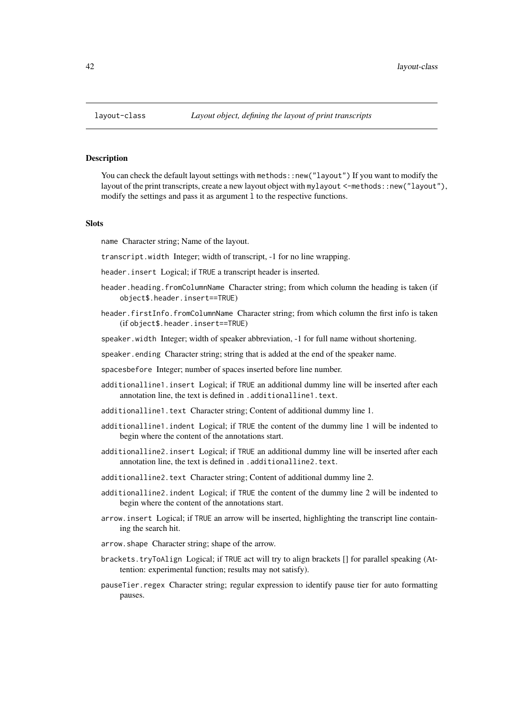You can check the default layout settings with methods: : new("layout") If you want to modify the layout of the print transcripts, create a new layout object with mylayout <-methods::new("layout"), modify the settings and pass it as argument l to the respective functions.

### Slots

name Character string; Name of the layout.

transcript.width Integer; width of transcript, -1 for no line wrapping.

header.insert Logical; if TRUE a transcript header is inserted.

- header.heading.fromColumnName Character string; from which column the heading is taken (if object\$.header.insert==TRUE)
- header.firstInfo.fromColumnName Character string; from which column the first info is taken (if object\$.header.insert==TRUE)

speaker.width Integer; width of speaker abbreviation, -1 for full name without shortening.

- speaker.ending Character string; string that is added at the end of the speaker name.
- spacesbefore Integer; number of spaces inserted before line number.
- additionalline1.insert Logical; if TRUE an additional dummy line will be inserted after each annotation line, the text is defined in .additionalline1.text.
- additionalline1.text Character string; Content of additional dummy line 1.
- additionalline1.indent Logical; if TRUE the content of the dummy line 1 will be indented to begin where the content of the annotations start.
- additionalline2.insert Logical; if TRUE an additional dummy line will be inserted after each annotation line, the text is defined in .additionalline2.text.
- additionalline2.text Character string; Content of additional dummy line 2.
- additionalline2.indent Logical; if TRUE the content of the dummy line 2 will be indented to begin where the content of the annotations start.
- arrow.insert Logical; if TRUE an arrow will be inserted, highlighting the transcript line containing the search hit.
- arrow.shape Character string; shape of the arrow.
- brackets.tryToAlign Logical; if TRUE act will try to align brackets [] for parallel speaking (Attention: experimental function; results may not satisfy).
- pauseTier.regex Character string; regular expression to identify pause tier for auto formatting pauses.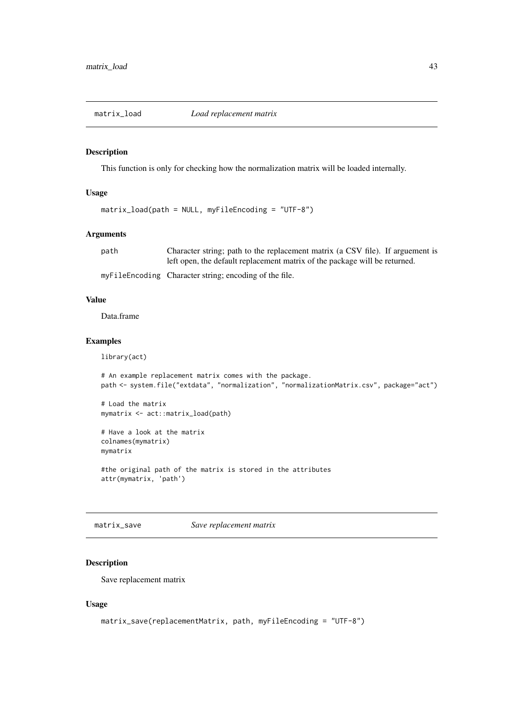This function is only for checking how the normalization matrix will be loaded internally.

# Usage

```
matrix_load(path = NULL, myFileEncoding = "UTF-8")
```
## Arguments

path Character string; path to the replacement matrix (a CSV file). If arguement is left open, the default replacement matrix of the package will be returned.

myFileEncoding Character string; encoding of the file.

#### Value

Data.frame

### Examples

library(act)

```
# An example replacement matrix comes with the package.
path <- system.file("extdata", "normalization", "normalizationMatrix.csv", package="act")
```
# Load the matrix mymatrix <- act::matrix\_load(path)

# Have a look at the matrix colnames(mymatrix) mymatrix

#the original path of the matrix is stored in the attributes attr(mymatrix, 'path')

matrix\_save *Save replacement matrix*

#### Description

Save replacement matrix

```
matrix_save(replacementMatrix, path, myFileEncoding = "UTF-8")
```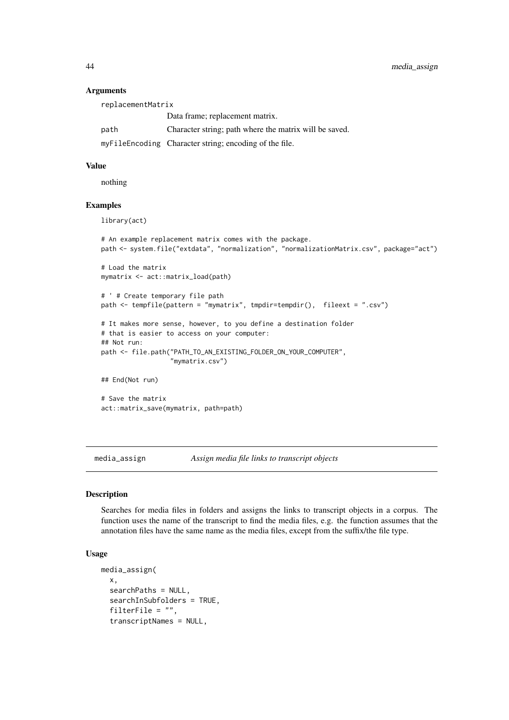### Arguments

| replacementMatrix |                                                        |  |
|-------------------|--------------------------------------------------------|--|
|                   | Data frame; replacement matrix.                        |  |
| path              | Character string; path where the matrix will be saved. |  |
|                   | myFileEncoding Character string; encoding of the file. |  |

# Value

nothing

### Examples

library(act)

```
# An example replacement matrix comes with the package.
path <- system.file("extdata", "normalization", "normalizationMatrix.csv", package="act")
# Load the matrix
mymatrix <- act::matrix_load(path)
# ' # Create temporary file path
path <- tempfile(pattern = "mymatrix", tmpdir=tempdir(), fileext = ".csv")
# It makes more sense, however, to you define a destination folder
# that is easier to access on your computer:
## Not run:
path <- file.path("PATH_TO_AN_EXISTING_FOLDER_ON_YOUR_COMPUTER",
                  "mymatrix.csv")
```
## End(Not run)

# Save the matrix act::matrix\_save(mymatrix, path=path)

<span id="page-43-0"></span>media\_assign *Assign media file links to transcript objects*

### Description

Searches for media files in folders and assigns the links to transcript objects in a corpus. The function uses the name of the transcript to find the media files, e.g. the function assumes that the annotation files have the same name as the media files, except from the suffix/the file type.

```
media_assign(
  x,
  searchPaths = NULL,
  searchInSubfolders = TRUE,
  filterFile = "",
  transcriptNames = NULL,
```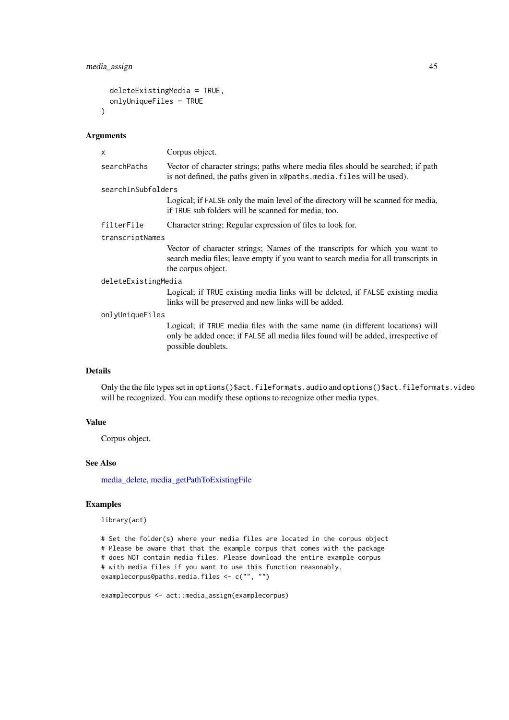#### media\_assign 45

```
deleteExistingMedia = TRUE,
 onlyUniqueFiles = TRUE
)
```
### Arguments

| X                   | Corpus object.                                                                                                                                                                           |
|---------------------|------------------------------------------------------------------------------------------------------------------------------------------------------------------------------------------|
| searchPaths         | Vector of character strings; paths where media files should be searched; if path<br>is not defined, the paths given in x@paths.media.files will be used).                                |
| searchInSubfolders  |                                                                                                                                                                                          |
|                     | Logical; if FALSE only the main level of the directory will be scanned for media,<br>if TRUE sub folders will be scanned for media, too.                                                 |
| filterFile          | Character string; Regular expression of files to look for.                                                                                                                               |
| transcriptNames     |                                                                                                                                                                                          |
|                     | Vector of character strings; Names of the transcripts for which you want to<br>search media files; leave empty if you want to search media for all transcripts in<br>the corpus object.  |
| deleteExistingMedia |                                                                                                                                                                                          |
|                     | Logical; if TRUE existing media links will be deleted, if FALSE existing media<br>links will be preserved and new links will be added.                                                   |
| onlyUniqueFiles     |                                                                                                                                                                                          |
|                     | Logical; if TRUE media files with the same name (in different locations) will<br>only be added once; if FALSE all media files found will be added, irrespective of<br>possible doublets. |
| <b>Details</b>      |                                                                                                                                                                                          |
|                     | Only the the file types set in entiang $(\delta_{\text{out}} f_i)$ of expansion and entiang $(\delta_{\text{out}} f_i)$ of expansion                                                     |

Only the the file types set in options()\$act.fileformats.audio and options()\$act.fileformats.video will be recognized. You can modify these options to recognize other media types.

# Value

Corpus object.

# See Also

[media\\_delete,](#page-45-0) [media\\_getPathToExistingFile](#page-45-1)

# Examples

library(act)

```
# Set the folder(s) where your media files are located in the corpus object
# Please be aware that that the example corpus that comes with the package
# does NOT contain media files. Please download the entire example corpus
# with media files if you want to use this function reasonably.
examplecorpus@paths.media.files <- c("", "")
```

```
examplecorpus <- act::media_assign(examplecorpus)
```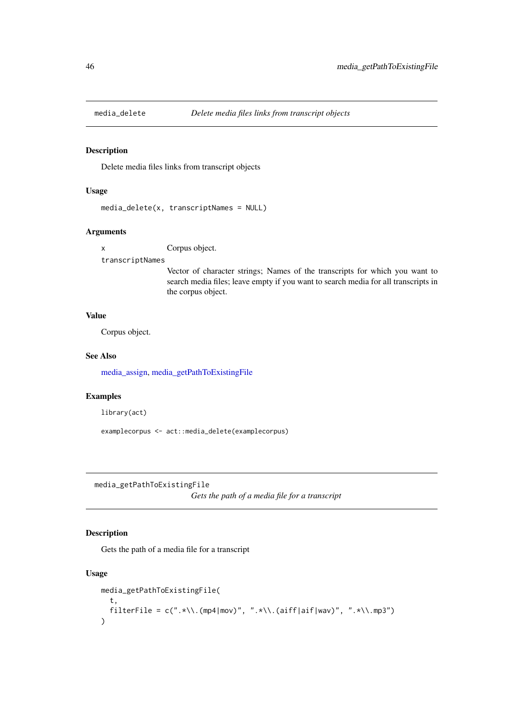<span id="page-45-0"></span>

Delete media files links from transcript objects

# Usage

```
media_delete(x, transcriptNames = NULL)
```
# Arguments

x Corpus object.

transcriptNames

Vector of character strings; Names of the transcripts for which you want to search media files; leave empty if you want to search media for all transcripts in the corpus object.

# Value

Corpus object.

### See Also

[media\\_assign,](#page-43-0) [media\\_getPathToExistingFile](#page-45-1)

# Examples

library(act)

examplecorpus <- act::media\_delete(examplecorpus)

<span id="page-45-1"></span>media\_getPathToExistingFile

*Gets the path of a media file for a transcript*

# Description

Gets the path of a media file for a transcript

```
media_getPathToExistingFile(
  t,
  filterFile = c(".*\\\. (mp4|mov)", ".*\\.(aiff|aif|wav)", ".*\\.mp3")
)
```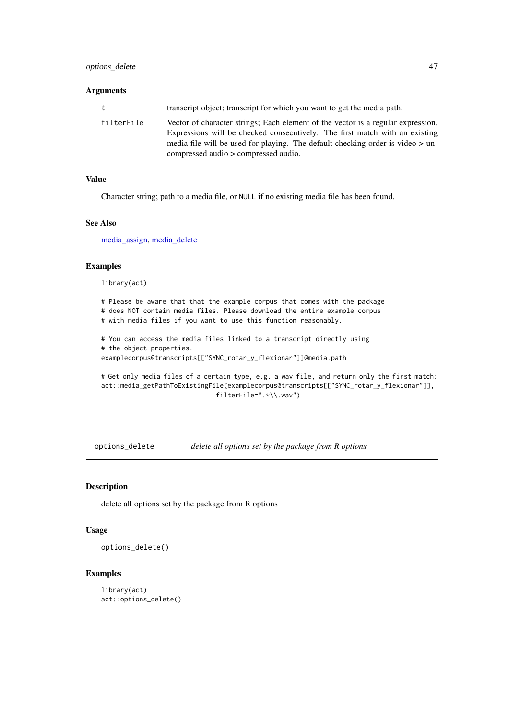# Arguments

| t          | transcript object; transcript for which you want to get the media path.                                                                                                                                                                                                                     |
|------------|---------------------------------------------------------------------------------------------------------------------------------------------------------------------------------------------------------------------------------------------------------------------------------------------|
| filterFile | Vector of character strings; Each element of the vector is a regular expression.<br>Expressions will be checked consecutively. The first match with an existing<br>media file will be used for playing. The default checking order is video $>$ un-<br>compressed audio > compressed audio. |

# Value

Character string; path to a media file, or NULL if no existing media file has been found.

# See Also

[media\\_assign,](#page-43-0) [media\\_delete](#page-45-0)

# Examples

library(act)

# Please be aware that that the example corpus that comes with the package # does NOT contain media files. Please download the entire example corpus # with media files if you want to use this function reasonably.

# You can access the media files linked to a transcript directly using # the object properties. examplecorpus@transcripts[["SYNC\_rotar\_y\_flexionar"]]@media.path

# Get only media files of a certain type, e.g. a wav file, and return only the first match: act::media\_getPathToExistingFile(examplecorpus@transcripts[["SYNC\_rotar\_y\_flexionar"]], filterFile=".\*\\.wav")

options\_delete *delete all options set by the package from R options*

# Description

delete all options set by the package from R options

### Usage

options\_delete()

### Examples

library(act) act::options\_delete()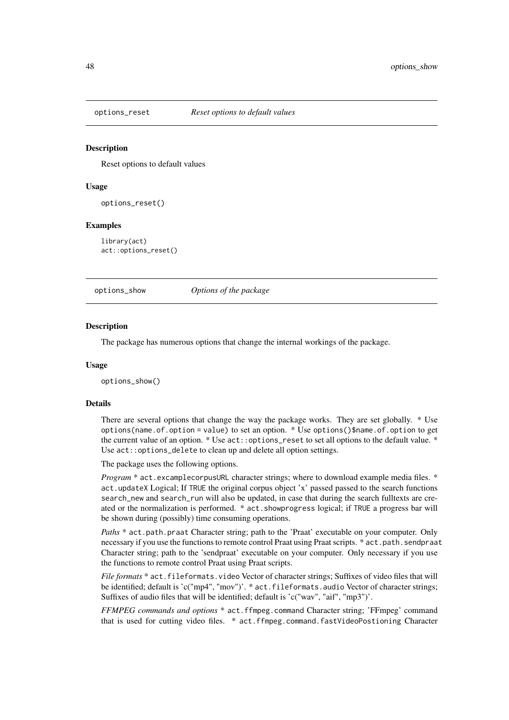Reset options to default values

#### Usage

options\_reset()

#### Examples

library(act) act::options\_reset()

options\_show *Options of the package*

#### Description

The package has numerous options that change the internal workings of the package.

#### Usage

options\_show()

### Details

There are several options that change the way the package works. They are set globally. \* Use options(name.of.option = value) to set an option. \* Use options()\$name.of.option to get the current value of an option. \* Use  $act: :options\_reset$  to set all options to the default value. \* Use act::options\_delete to clean up and delete all option settings.

The package uses the following options.

*Program* \* act.excamplecorpusURL character strings; where to download example media files. \* act.updateX Logical; If TRUE the original corpus object 'x' passed passed to the search functions search\_new and search\_run will also be updated, in case that during the search fulltexts are created or the normalization is performed. \* act.showprogress logical; if TRUE a progress bar will be shown during (possibly) time consuming operations.

*Paths* \* act.path.praat Character string; path to the 'Praat' executable on your computer. Only necessary if you use the functions to remote control Praat using Praat scripts. \* act.path.sendpraat Character string; path to the 'sendpraat' executable on your computer. Only necessary if you use the functions to remote control Praat using Praat scripts.

*File formats* \* act.fileformats.video Vector of character strings; Suffixes of video files that will be identified; default is 'c("mp4", "mov")'. \* act.fileformats.audio Vector of character strings; Suffixes of audio files that will be identified; default is 'c("wav", "aif", "mp3")'.

*FFMPEG commands and options* \* act.ffmpeg.command Character string; 'FFmpeg' command that is used for cutting video files. \* act.ffmpeg.command.fastVideoPostioning Character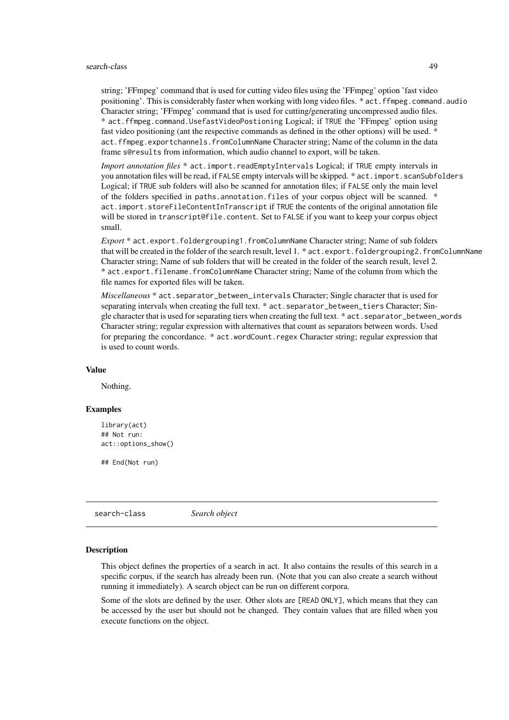#### search-class 49

string; 'FFmpeg' command that is used for cutting video files using the 'FFmpeg' option 'fast video positioning'. This is considerably faster when working with long video files. \* act.ffmpeg.command.audio Character string; 'FFmpeg' command that is used for cutting/generating uncompressed audio files. \* act.ffmpeg.command.UsefastVideoPostioning Logical; if TRUE the 'FFmpeg' option using fast video positioning (ant the respective commands as defined in the other options) will be used. \* act.ffmpeg.exportchannels.fromColumnName Character string; Name of the column in the data frame s@results from information, which audio channel to export, will be taken.

*Import annotation files* \* act.import.readEmptyIntervals Logical; if TRUE empty intervals in you annotation files will be read, if FALSE empty intervals will be skipped. \* act.import.scanSubfolders Logical; if TRUE sub folders will also be scanned for annotation files; if FALSE only the main level of the folders specified in paths.annotation.files of your corpus object will be scanned. \* act.import.storeFileContentInTranscript if TRUE the contents of the original annotation file will be stored in transcript@file.content. Set to FALSE if you want to keep your corpus object small.

*Export* \* act.export.foldergrouping1.fromColumnName Character string; Name of sub folders that will be created in the folder of the search result, level 1. \* act.export.foldergrouping2.fromColumnName Character string; Name of sub folders that will be created in the folder of the search result, level 2. \* act.export.filename.fromColumnName Character string; Name of the column from which the file names for exported files will be taken.

*Miscellaneous* \* act.separator\_between\_intervals Character; Single character that is used for separating intervals when creating the full text. \* act.separator\_between\_tiers Character; Single character that is used for separating tiers when creating the full text. \* act.separator\_between\_words Character string; regular expression with alternatives that count as separators between words. Used for preparing the concordance. \* act.wordCount.regex Character string; regular expression that is used to count words.

# Value

Nothing.

#### Examples

```
library(act)
## Not run:
act::options_show()
```
## End(Not run)

search-class *Search object*

#### **Description**

This object defines the properties of a search in act. It also contains the results of this search in a specific corpus, if the search has already been run. (Note that you can also create a search without running it immediately). A search object can be run on different corpora.

Some of the slots are defined by the user. Other slots are [READ ONLY], which means that they can be accessed by the user but should not be changed. They contain values that are filled when you execute functions on the object.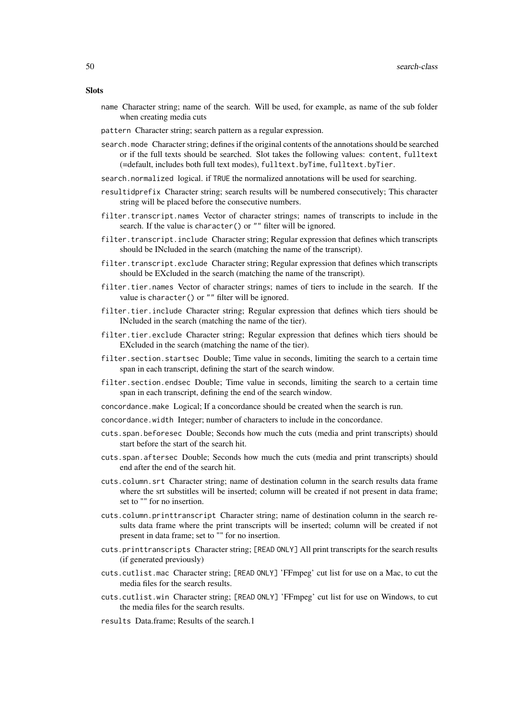- **Slots** 
	- name Character string; name of the search. Will be used, for example, as name of the sub folder when creating media cuts
	- pattern Character string; search pattern as a regular expression.
	- search.mode Character string; defines if the original contents of the annotations should be searched or if the full texts should be searched. Slot takes the following values: content, fulltext (=default, includes both full text modes), fulltext.byTime, fulltext.byTier.
	- search.normalized logical. if TRUE the normalized annotations will be used for searching.
	- resultidprefix Character string; search results will be numbered consecutively; This character string will be placed before the consecutive numbers.
	- filter.transcript.names Vector of character strings; names of transcripts to include in the search. If the value is character() or "" filter will be ignored.
	- filter.transcript.include Character string; Regular expression that defines which transcripts should be INcluded in the search (matching the name of the transcript).
	- filter.transcript.exclude Character string; Regular expression that defines which transcripts should be EXcluded in the search (matching the name of the transcript).
	- filter.tier.names Vector of character strings; names of tiers to include in the search. If the value is character() or "" filter will be ignored.
	- filter.tier.include Character string; Regular expression that defines which tiers should be INcluded in the search (matching the name of the tier).
	- filter.tier.exclude Character string; Regular expression that defines which tiers should be EXcluded in the search (matching the name of the tier).
	- filter.section.startsec Double; Time value in seconds, limiting the search to a certain time span in each transcript, defining the start of the search window.
	- filter.section.endsec Double; Time value in seconds, limiting the search to a certain time span in each transcript, defining the end of the search window.
	- concordance.make Logical; If a concordance should be created when the search is run.
	- concordance.width Integer; number of characters to include in the concordance.
	- cuts.span.beforesec Double; Seconds how much the cuts (media and print transcripts) should start before the start of the search hit.
	- cuts.span.aftersec Double; Seconds how much the cuts (media and print transcripts) should end after the end of the search hit.
	- cuts.column.srt Character string; name of destination column in the search results data frame where the srt substitles will be inserted; column will be created if not present in data frame; set to "" for no insertion.
	- cuts.column.printtranscript Character string; name of destination column in the search results data frame where the print transcripts will be inserted; column will be created if not present in data frame; set to "" for no insertion.
	- cuts.printtranscripts Character string; [READ ONLY] All print transcripts for the search results (if generated previously)
	- cuts.cutlist.mac Character string; [READ ONLY] 'FFmpeg' cut list for use on a Mac, to cut the media files for the search results.
	- cuts.cutlist.win Character string; [READ ONLY] 'FFmpeg' cut list for use on Windows, to cut the media files for the search results.
	- results Data.frame; Results of the search.1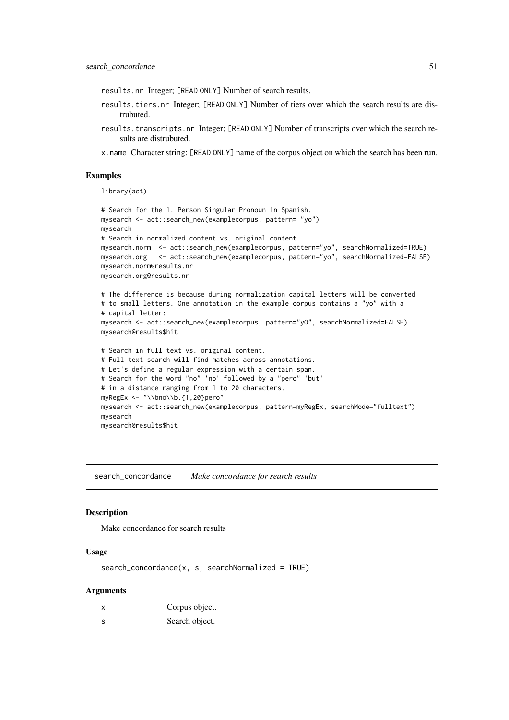results.nr Integer; [READ ONLY] Number of search results.

- results.tiers.nr Integer; [READ ONLY] Number of tiers over which the search results are distrubuted.
- results.transcripts.nr Integer; [READ ONLY] Number of transcripts over which the search results are distrubuted.
- x.name Character string; [READ ONLY] name of the corpus object on which the search has been run.

#### Examples

library(act)

```
# Search for the 1. Person Singular Pronoun in Spanish.
mysearch <- act::search_new(examplecorpus, pattern= "yo")
mysearch
# Search in normalized content vs. original content
mysearch.norm <- act::search_new(examplecorpus, pattern="yo", searchNormalized=TRUE)
mysearch.org <- act::search_new(examplecorpus, pattern="yo", searchNormalized=FALSE)
mysearch.norm@results.nr
mysearch.org@results.nr
# The difference is because during normalization capital letters will be converted
# to small letters. One annotation in the example corpus contains a "yo" with a
# capital letter:
mysearch <- act::search_new(examplecorpus, pattern="yO", searchNormalized=FALSE)
mysearch@results$hit
# Search in full text vs. original content.
# Full text search will find matches across annotations.
# Let's define a regular expression with a certain span.
# Search for the word "no" 'no' followed by a "pero" 'but'
# in a distance ranging from 1 to 20 characters.
myRegEx <- "\\bno\\b.{1,20}pero"
mysearch <- act::search_new(examplecorpus, pattern=myRegEx, searchMode="fulltext")
mysearch
mysearch@results$hit
```
search\_concordance *Make concordance for search results*

#### Description

Make concordance for search results

### Usage

search\_concordance(x, s, searchNormalized = TRUE)

#### Arguments

| X        | Corpus object. |
|----------|----------------|
| <b>S</b> | Search object. |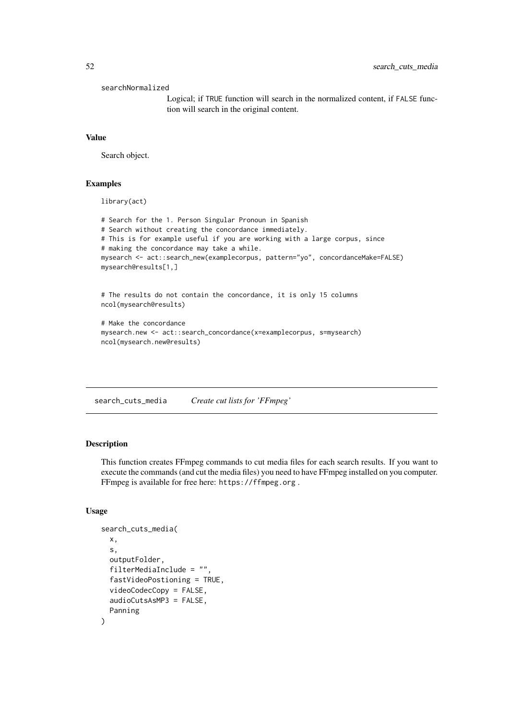searchNormalized

Logical; if TRUE function will search in the normalized content, if FALSE function will search in the original content.

# Value

Search object.

# Examples

library(act)

```
# Search for the 1. Person Singular Pronoun in Spanish
# Search without creating the concordance immediately.
# This is for example useful if you are working with a large corpus, since
# making the concordance may take a while.
mysearch <- act::search_new(examplecorpus, pattern="yo", concordanceMake=FALSE)
mysearch@results[1,]
# The results do not contain the concordance, it is only 15 columns
ncol(mysearch@results)
# Make the concordance
mysearch.new <- act::search_concordance(x=examplecorpus, s=mysearch)
ncol(mysearch.new@results)
```
search\_cuts\_media *Create cut lists for 'FFmpeg'*

# Description

This function creates FFmpeg commands to cut media files for each search results. If you want to execute the commands (and cut the media files) you need to have FFmpeg installed on you computer. FFmpeg is available for free here: https://ffmpeg.org .

```
search_cuts_media(
 x,
  s,
 outputFolder,
 filterMediaInclude = "",
  fastVideoPostioning = TRUE,
  videoCodecCopy = FALSE,
  audioCutsAsMP3 = FALSE,
 Panning
)
```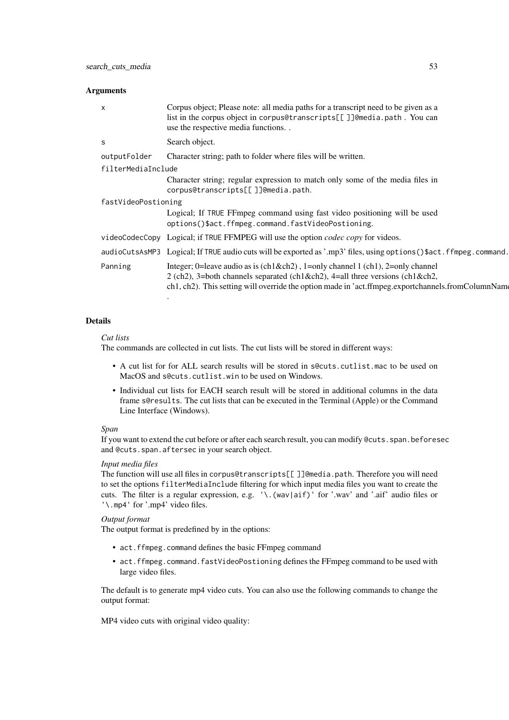### Arguments

#### Details

#### *Cut lists*

The commands are collected in cut lists. The cut lists will be stored in different ways:

- A cut list for for ALL search results will be stored in s@cuts.cutlist.mac to be used on MacOS and s@cuts.cutlist.win to be used on Windows.
- Individual cut lists for EACH search result will be stored in additional columns in the data frame s@results. The cut lists that can be executed in the Terminal (Apple) or the Command Line Interface (Windows).

### *Span*

If you want to extend the cut before or after each search result, you can modify @cuts.span.beforesec and @cuts.span.aftersec in your search object.

# *Input media files*

The function will use all files in corpus@transcripts[[ ]]@media.path. Therefore you will need to set the options filterMediaInclude filtering for which input media files you want to create the cuts. The filter is a regular expression, e.g. '\.(wav|aif)' for '.wav' and '.aif' audio files or '\.mp4' for '.mp4' video files.

# *Output format*

The output format is predefined by in the options:

- act.ffmpeg.command defines the basic FFmpeg command
- act.ffmpeg.command.fastVideoPostioning defines the FFmpeg command to be used with large video files.

The default is to generate mp4 video cuts. You can also use the following commands to change the output format:

MP4 video cuts with original video quality: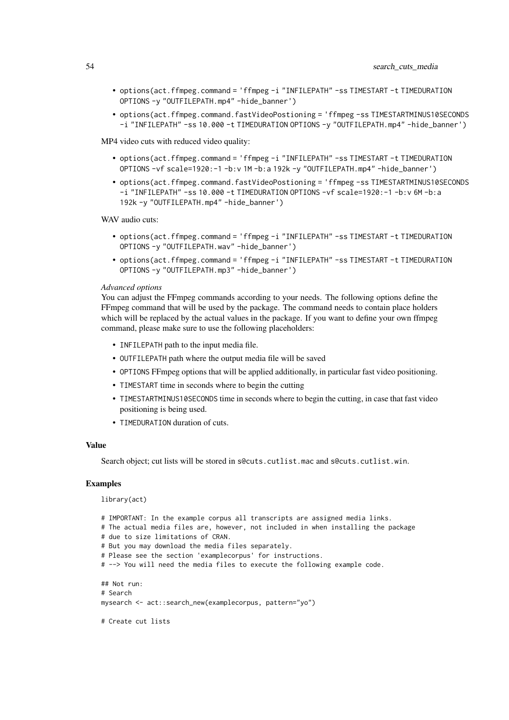- options(act.ffmpeg.command = 'ffmpeg -i "INFILEPATH" -ss TIMESTART -t TIMEDURATION OPTIONS -y "OUTFILEPATH.mp4" -hide\_banner')
- options(act.ffmpeg.command.fastVideoPostioning = 'ffmpeg -ss TIMESTARTMINUS10SECONDS -i "INFILEPATH" -ss 10.000 -t TIMEDURATION OPTIONS -y "OUTFILEPATH.mp4" -hide\_banner')

MP4 video cuts with reduced video quality:

- options(act.ffmpeg.command = 'ffmpeg -i "INFILEPATH" -ss TIMESTART -t TIMEDURATION OPTIONS -vf scale=1920:-1 -b:v 1M -b:a 192k -y "OUTFILEPATH.mp4" -hide\_banner')
- options(act.ffmpeg.command.fastVideoPostioning = 'ffmpeg -ss TIMESTARTMINUS10SECONDS -i "INFILEPATH" -ss 10.000 -t TIMEDURATION OPTIONS -vf scale=1920:-1 -b:v 6M -b:a 192k -y "OUTFILEPATH.mp4" -hide\_banner')

WAV audio cuts:

- options(act.ffmpeg.command = 'ffmpeg -i "INFILEPATH" -ss TIMESTART -t TIMEDURATION OPTIONS -y "OUTFILEPATH.wav" -hide\_banner')
- options(act.ffmpeg.command = 'ffmpeg -i "INFILEPATH" -ss TIMESTART -t TIMEDURATION OPTIONS -y "OUTFILEPATH.mp3" -hide\_banner')

#### *Advanced options*

You can adjust the FFmpeg commands according to your needs. The following options define the FFmpeg command that will be used by the package. The command needs to contain place holders which will be replaced by the actual values in the package. If you want to define your own ffmpeg command, please make sure to use the following placeholders:

- INFILEPATH path to the input media file.
- OUTFILEPATH path where the output media file will be saved
- OPTIONS FFmpeg options that will be applied additionally, in particular fast video positioning.
- TIMESTART time in seconds where to begin the cutting
- TIMESTARTMINUS10SECONDS time in seconds where to begin the cutting, in case that fast video positioning is being used.
- TIMEDURATION duration of cuts.

#### Value

Search object; cut lists will be stored in s@cuts.cutlist.mac and s@cuts.cutlist.win.

#### Examples

library(act)

```
# IMPORTANT: In the example corpus all transcripts are assigned media links.
# The actual media files are, however, not included in when installing the package
# due to size limitations of CRAN.
# But you may download the media files separately.
# Please see the section 'examplecorpus' for instructions.
# --> You will need the media files to execute the following example code.
## Not run:
# Search
mysearch <- act::search_new(examplecorpus, pattern="yo")
# Create cut lists
```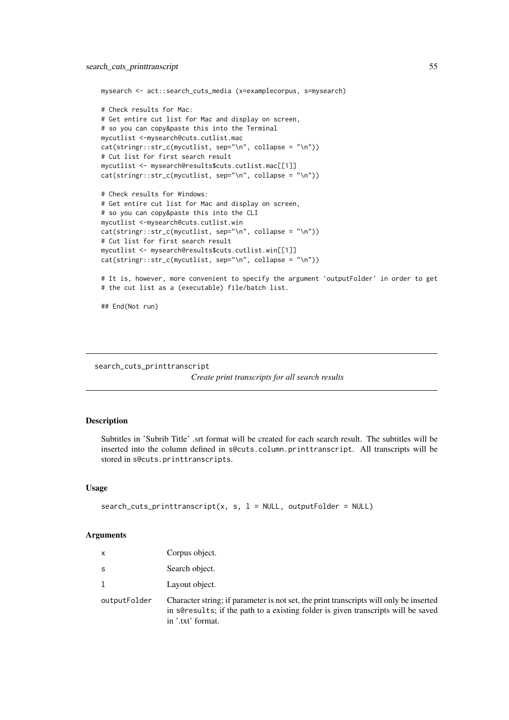```
mysearch <- act::search_cuts_media (x=examplecorpus, s=mysearch)
# Check results for Mac:
# Get entire cut list for Mac and display on screen,
# so you can copy&paste this into the Terminal
mycutlist <-mysearch@cuts.cutlist.mac
cat(stringr::str_c(mycutlist, sep="\n", collapse = "\n"))
# Cut list for first search result
mycutlist <- mysearch@results$cuts.cutlist.mac[[1]]
cat(stringr::str_c(mycutlist, sep='\\n", collapse = "\n")# Check results for Windows:
# Get entire cut list for Mac and display on screen,
# so you can copy&paste this into the CLI
mycutlist <-mysearch@cuts.cutlist.win
cat(stringr::str_c(mycutlist, sep="\n", collapse = "\n"))
# Cut list for first search result
mycutlist <- mysearch@results$cuts.cutlist.win[[1]]
cat(stringr::str_c(mycutlist, sep="\n", collapse = "\n"))
```

```
# It is, however, more convenient to specify the argument 'outputFolder' in order to get
# the cut list as a (executable) file/batch list.
```
## End(Not run)

```
search_cuts_printtranscript
```
*Create print transcripts for all search results*

### Description

Subtitles in 'Subrib Title' .srt format will be created for each search result. The subtitles will be inserted into the column defined in s@cuts.column.printtranscript. All transcripts will be stored in s@cuts.printtranscripts.

## Usage

```
search_cuts_printtranscript(x, s, l = NULL, outputFolder = NULL)
```
#### Arguments

| X            | Corpus object.                                                                                                                                                                                    |
|--------------|---------------------------------------------------------------------------------------------------------------------------------------------------------------------------------------------------|
| S            | Search object.                                                                                                                                                                                    |
|              | Layout object.                                                                                                                                                                                    |
| outputFolder | Character string; if parameter is not set, the print transcripts will only be inserted<br>in sere sults; if the path to a existing folder is given transcripts will be saved<br>in '.txt' format. |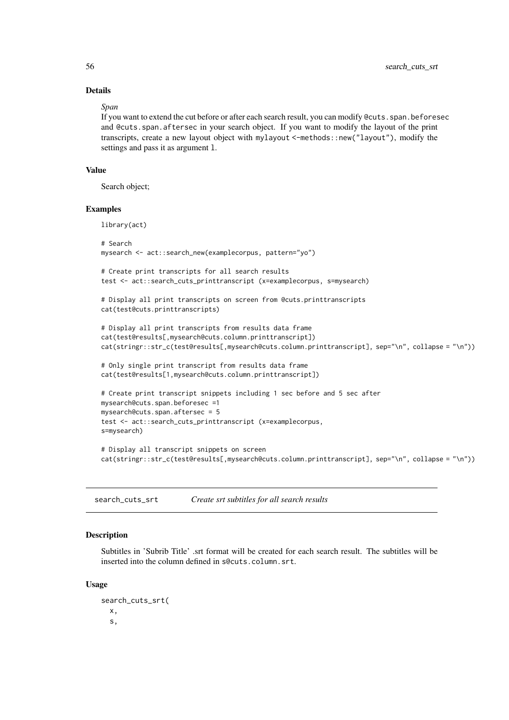# Details

### *Span*

If you want to extend the cut before or after each search result, you can modify @cuts.span.beforesec and @cuts.span.aftersec in your search object. If you want to modify the layout of the print transcripts, create a new layout object with mylayout <-methods::new("layout"), modify the settings and pass it as argument l.

### Value

Search object;

# Examples

library(act)

```
# Search
mysearch <- act::search_new(examplecorpus, pattern="yo")
# Create print transcripts for all search results
test <- act::search_cuts_printtranscript (x=examplecorpus, s=mysearch)
# Display all print transcripts on screen from @cuts.printtranscripts
cat(test@cuts.printtranscripts)
# Display all print transcripts from results data frame
cat(test@results[,mysearch@cuts.column.printtranscript])
cat(stringr::str_c(test@results[,mysearch@cuts.column.printtranscript], sep="\n", collapse = "\n"))
# Only single print transcript from results data frame
cat(test@results[1,mysearch@cuts.column.printtranscript])
# Create print transcript snippets including 1 sec before and 5 sec after
mysearch@cuts.span.beforesec =1
mysearch@cuts.span.aftersec = 5
test <- act::search_cuts_printtranscript (x=examplecorpus,
s=mysearch)
# Display all transcript snippets on screen
cat(stringr::str_c(test@results[,mysearch@cuts.column.printtranscript], sep="\n", collapse = "\n"))
```

| search_cuts_srt | Create srt subtitles for all search results |  |
|-----------------|---------------------------------------------|--|
|-----------------|---------------------------------------------|--|

#### Description

Subtitles in 'Subrib Title' .srt format will be created for each search result. The subtitles will be inserted into the column defined in s@cuts.column.srt.

```
search_cuts_srt(
 x,
  s,
```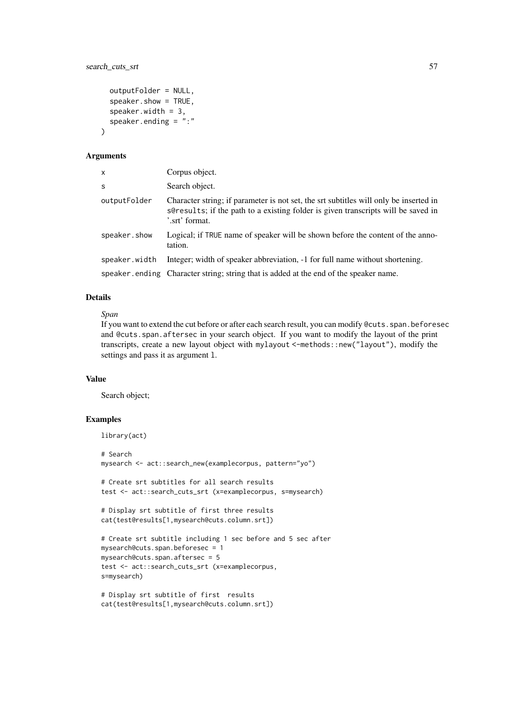#### search\_cuts\_srt 57

```
outputFolder = NULL,
  speaker.show = TRUE,
  speaker.width = 3,
  speaker.ending = ":"
)
```
#### Arguments

| X             | Corpus object.                                                                                                                                                                               |
|---------------|----------------------------------------------------------------------------------------------------------------------------------------------------------------------------------------------|
| S             | Search object.                                                                                                                                                                               |
| outputFolder  | Character string; if parameter is not set, the srt subtitles will only be inserted in<br>s@results; if the path to a existing folder is given transcripts will be saved in<br>'.srt' format. |
| speaker.show  | Logical; if TRUE name of speaker will be shown before the content of the anno-<br>tation.                                                                                                    |
| speaker.width | Integer; width of speaker abbreviation, -1 for full name without shortening.                                                                                                                 |
|               | speaker ending Character string; string that is added at the end of the speaker name.                                                                                                        |

### Details

# *Span*

If you want to extend the cut before or after each search result, you can modify @cuts.span.beforesec and @cuts.span.aftersec in your search object. If you want to modify the layout of the print transcripts, create a new layout object with mylayout <-methods::new("layout"), modify the settings and pass it as argument l.

### Value

Search object;

# Examples

```
library(act)
```

```
# Search
mysearch <- act::search_new(examplecorpus, pattern="yo")
# Create srt subtitles for all search results
test <- act::search_cuts_srt (x=examplecorpus, s=mysearch)
# Display srt subtitle of first three results
cat(test@results[1,mysearch@cuts.column.srt])
# Create srt subtitle including 1 sec before and 5 sec after
```

```
mysearch@cuts.span.beforesec = 1
mysearch@cuts.span.aftersec = 5
test <- act::search_cuts_srt (x=examplecorpus,
s=mysearch)
```

```
# Display srt subtitle of first results
cat(test@results[1,mysearch@cuts.column.srt])
```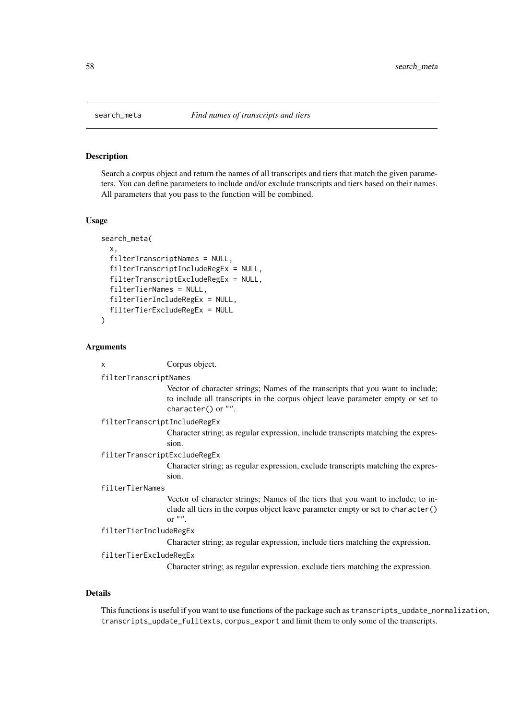Search a corpus object and return the names of all transcripts and tiers that match the given parameters. You can define parameters to include and/or exclude transcripts and tiers based on their names. All parameters that you pass to the function will be combined.

### Usage

```
search_meta(
  x,
  filterTranscriptNames = NULL,
  filterTranscriptIncludeRegEx = NULL,
  filterTranscriptExcludeRegEx = NULL,
  filterTierNames = NULL,
  filterTierIncludeRegEx = NULL,
  filterTierExcludeRegEx = NULL
)
```
#### Arguments

| x | Corpus object. |  |
|---|----------------|--|
|   |                |  |

### filterTranscriptNames

Vector of character strings; Names of the transcripts that you want to include; to include all transcripts in the corpus object leave parameter empty or set to character() or "".

```
filterTranscriptIncludeRegEx
```
Character string; as regular expression, include transcripts matching the expression.

filterTranscriptExcludeRegEx

Character string; as regular expression, exclude transcripts matching the expression.

#### filterTierNames

Vector of character strings; Names of the tiers that you want to include; to include all tiers in the corpus object leave parameter empty or set to character() or  $"$ .

```
filterTierIncludeRegEx
```
Character string; as regular expression, include tiers matching the expression.

```
filterTierExcludeRegEx
```
Character string; as regular expression, exclude tiers matching the expression.

# Details

This functions is useful if you want to use functions of the package such as transcripts\_update\_normalization, transcripts\_update\_fulltexts, corpus\_export and limit them to only some of the transcripts.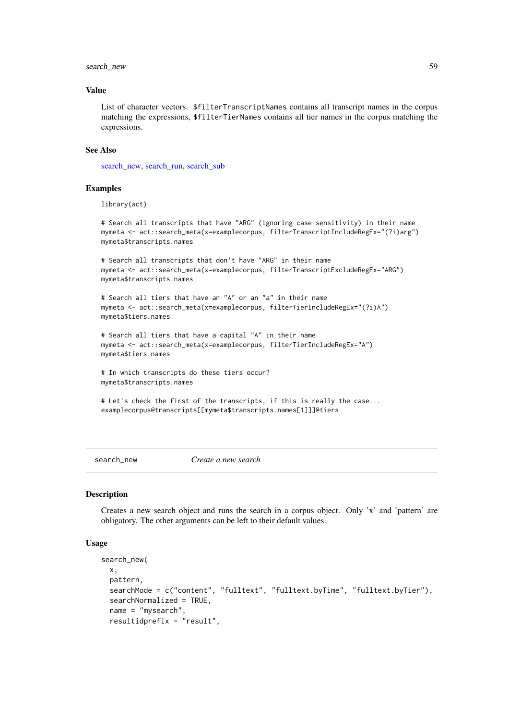#### search\_new 59

#### Value

List of character vectors. \$filterTranscriptNames contains all transcript names in the corpus matching the expressions, \$filterTierNames contains all tier names in the corpus matching the expressions.

# See Also

[search\\_new,](#page-58-0) [search\\_run,](#page-67-0) [search\\_sub](#page-68-0)

#### Examples

```
library(act)
```
# Search all transcripts that have "ARG" (ignoring case sensitivity) in their name mymeta <- act::search\_meta(x=examplecorpus, filterTranscriptIncludeRegEx="(?i)arg") mymeta\$transcripts.names

# Search all transcripts that don't have "ARG" in their name mymeta <- act::search\_meta(x=examplecorpus, filterTranscriptExcludeRegEx="ARG") mymeta\$transcripts.names

```
# Search all tiers that have an "A" or an "a" in their name
mymeta <- act::search_meta(x=examplecorpus, filterTierIncludeRegEx="(?i)A")
mymeta$tiers.names
```

```
# Search all tiers that have a capital "A" in their name
mymeta <- act::search_meta(x=examplecorpus, filterTierIncludeRegEx="A")
mymeta$tiers.names
```

```
# In which transcripts do these tiers occur?
mymeta$transcripts.names
```

```
# Let's check the first of the transcripts, if this is really the case...
examplecorpus@transcripts[[mymeta$transcripts.names[1]]]@tiers
```
<span id="page-58-0"></span>search\_new *Create a new search*

#### Description

Creates a new search object and runs the search in a corpus object. Only 'x' and 'pattern' are obligatory. The other arguments can be left to their default values.

```
search_new(
 x,
  pattern,
  searchMode = c("content", "fulltext", "fulltext.byTime", "fulltext.byTier"),
  searchNormalized = TRUE,
 name = "mysearch",
  resultidprefix = "result",
```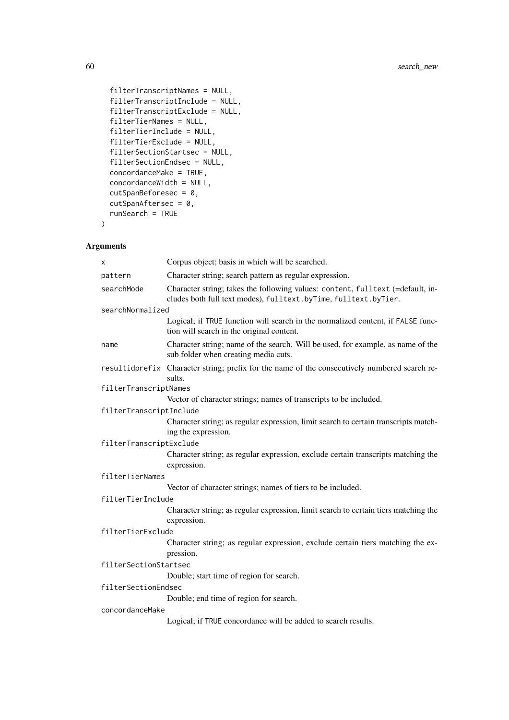```
filterTranscriptNames = NULL,
filterTranscriptInclude = NULL,
filterTranscriptExclude = NULL,
filterTierNames = NULL,
filterTierInclude = NULL,
filterTierExclude = NULL,
filterSectionStartsec = NULL,
filterSectionEndsec = NULL,
concordanceMake = TRUE,
concordanceWidth = NULL,
cutSpanBeforesec = 0,
cutSpanAftersec = 0,
runSearch = TRUE
```
# Arguments

)

| x                       | Corpus object; basis in which will be searched.                                                                                                   |  |
|-------------------------|---------------------------------------------------------------------------------------------------------------------------------------------------|--|
| pattern                 | Character string; search pattern as regular expression.                                                                                           |  |
| searchMode              | Character string; takes the following values: content, fulltext (=default, in-<br>cludes both full text modes), fulltext.byTime, fulltext.byTier. |  |
| searchNormalized        |                                                                                                                                                   |  |
|                         | Logical; if TRUE function will search in the normalized content, if FALSE func-<br>tion will search in the original content.                      |  |
| name                    | Character string; name of the search. Will be used, for example, as name of the<br>sub folder when creating media cuts.                           |  |
|                         | resultidprefix Character string; prefix for the name of the consecutively numbered search re-<br>sults.                                           |  |
| filterTranscriptNames   |                                                                                                                                                   |  |
|                         | Vector of character strings; names of transcripts to be included.                                                                                 |  |
| filterTranscriptInclude |                                                                                                                                                   |  |
|                         | Character string; as regular expression, limit search to certain transcripts match-<br>ing the expression.                                        |  |
| filterTranscriptExclude |                                                                                                                                                   |  |
|                         | Character string; as regular expression, exclude certain transcripts matching the<br>expression.                                                  |  |
| filterTierNames         |                                                                                                                                                   |  |
|                         | Vector of character strings; names of tiers to be included.                                                                                       |  |
| filterTierInclude       |                                                                                                                                                   |  |
|                         | Character string; as regular expression, limit search to certain tiers matching the<br>expression.                                                |  |
| filterTierExclude       |                                                                                                                                                   |  |
|                         | Character string; as regular expression, exclude certain tiers matching the ex-<br>pression.                                                      |  |
| filterSectionStartsec   |                                                                                                                                                   |  |
|                         | Double; start time of region for search.                                                                                                          |  |
| filterSectionEndsec     |                                                                                                                                                   |  |
|                         | Double; end time of region for search.                                                                                                            |  |
| concordanceMake         |                                                                                                                                                   |  |
|                         | Logical; if TRUE concordance will be added to search results.                                                                                     |  |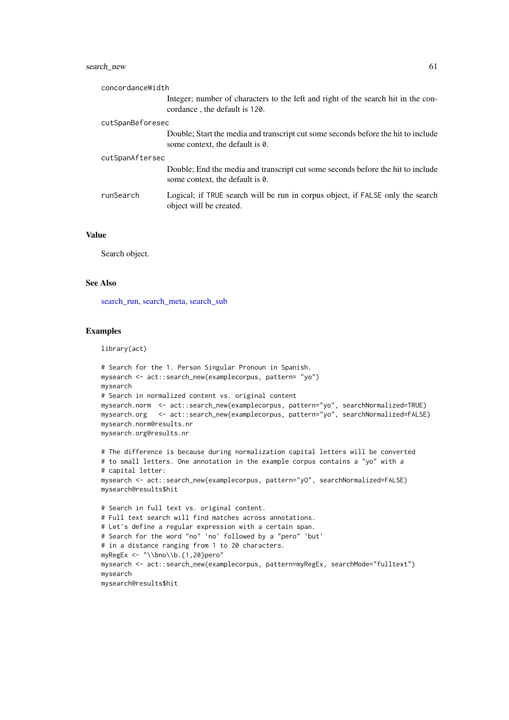#### search\_new 61

| concordanceWidth |                                                                                                                      |  |
|------------------|----------------------------------------------------------------------------------------------------------------------|--|
|                  | Integer; number of characters to the left and right of the search hit in the con-<br>cordance, the default is 120.   |  |
| cutSpanBeforesec |                                                                                                                      |  |
|                  | Double; Start the media and transcript cut some seconds before the hit to include<br>some context, the default is 0. |  |
| cutSpanAftersec  |                                                                                                                      |  |
|                  | Double; End the media and transcript cut some seconds before the hit to include<br>some context, the default is 0.   |  |
| runSearch        | Logical; if TRUE search will be run in corpus object, if FALSE only the search<br>object will be created.            |  |

#### Value

Search object.

#### See Also

[search\\_run,](#page-67-0) [search\\_meta,](#page-57-0) [search\\_sub](#page-68-0)

### Examples

library(act)

```
# Search for the 1. Person Singular Pronoun in Spanish.
mysearch <- act::search_new(examplecorpus, pattern= "yo")
mysearch
# Search in normalized content vs. original content
mysearch.norm <- act::search_new(examplecorpus, pattern="yo", searchNormalized=TRUE)
mysearch.org <- act::search_new(examplecorpus, pattern="yo", searchNormalized=FALSE)
mysearch.norm@results.nr
mysearch.org@results.nr
```

```
# The difference is because during normalization capital letters will be converted
# to small letters. One annotation in the example corpus contains a "yo" with a
# capital letter:
mysearch <- act::search_new(examplecorpus, pattern="yO", searchNormalized=FALSE)
mysearch@results$hit
```

```
# Search in full text vs. original content.
# Full text search will find matches across annotations.
# Let's define a regular expression with a certain span.
# Search for the word "no" 'no' followed by a "pero" 'but'
# in a distance ranging from 1 to 20 characters.
myRegEx <- "\\bno\\b.{1,20}pero"
mysearch <- act::search_new(examplecorpus, pattern=myRegEx, searchMode="fulltext")
mysearch
mysearch@results$hit
```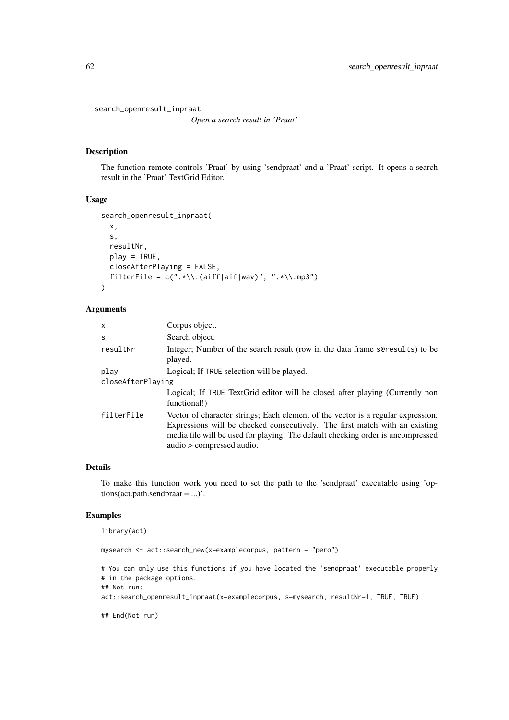search\_openresult\_inpraat

*Open a search result in 'Praat'*

#### Description

The function remote controls 'Praat' by using 'sendpraat' and a 'Praat' script. It opens a search result in the 'Praat' TextGrid Editor.

# Usage

```
search_openresult_inpraat(
  x,
  s,
  resultNr,
  play = TRUE,
  closeAfterPlaying = FALSE,
  filterFile = c(".*\\\.\(aiff|aif|wav)", ".*\\\.\mp3")\lambda
```
### Arguments

| x          | Corpus object.                                                                                                                                                                                                                                                                  |  |  |
|------------|---------------------------------------------------------------------------------------------------------------------------------------------------------------------------------------------------------------------------------------------------------------------------------|--|--|
| S          | Search object.                                                                                                                                                                                                                                                                  |  |  |
| resultNr   | Integer; Number of the search result (row in the data frame sere sults) to be<br>played.                                                                                                                                                                                        |  |  |
| play       | Logical; If TRUE selection will be played.                                                                                                                                                                                                                                      |  |  |
|            | closeAfterPlaying                                                                                                                                                                                                                                                               |  |  |
|            | Logical; If TRUE TextGrid editor will be closed after playing (Currently non<br>functional!)                                                                                                                                                                                    |  |  |
| filterFile | Vector of character strings; Each element of the vector is a regular expression.<br>Expressions will be checked consecutively. The first match with an existing<br>media file will be used for playing. The default checking order is uncompressed<br>audio > compressed audio. |  |  |

# Details

To make this function work you need to set the path to the 'sendpraat' executable using 'options(act.path.sendpraat = ...)'.

#### Examples

```
library(act)
```

```
mysearch <- act::search_new(x=examplecorpus, pattern = "pero")
# You can only use this functions if you have located the 'sendpraat' executable properly
# in the package options.
## Not run:
act::search_openresult_inpraat(x=examplecorpus, s=mysearch, resultNr=1, TRUE, TRUE)
## End(Not run)
```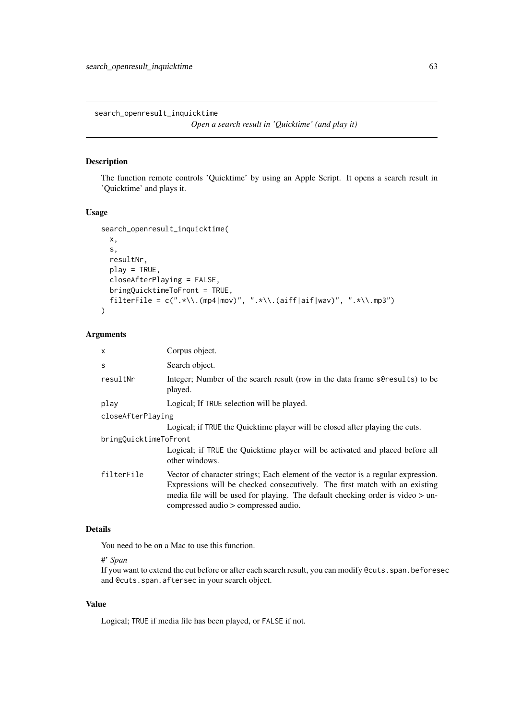search\_openresult\_inquicktime

```
Open a search result in 'Quicktime' (and play it)
```
# Description

The function remote controls 'Quicktime' by using an Apple Script. It opens a search result in 'Quicktime' and plays it.

# Usage

```
search_openresult_inquicktime(
  x,
  s,
  resultNr,
  play = TRUE,
  closeAfterPlaying = FALSE,
  bringQuicktimeToFront = TRUE,
  filterFile = c(".*\\\. (mp4|mov)", ".*\\.(aiff|aif|wav)", ".*\\.mp3")
)
```
# Arguments

| $\mathsf{x}$          | Corpus object.                                                                                                                                                                                                                                                                              |  |
|-----------------------|---------------------------------------------------------------------------------------------------------------------------------------------------------------------------------------------------------------------------------------------------------------------------------------------|--|
| S                     | Search object.                                                                                                                                                                                                                                                                              |  |
| resultNr              | Integer; Number of the search result (row in the data frame sere sults) to be<br>played.                                                                                                                                                                                                    |  |
| play                  | Logical; If TRUE selection will be played.                                                                                                                                                                                                                                                  |  |
| closeAfterPlaying     |                                                                                                                                                                                                                                                                                             |  |
|                       | Logical; if TRUE the Quicktime player will be closed after playing the cuts.                                                                                                                                                                                                                |  |
| bringQuicktimeToFront |                                                                                                                                                                                                                                                                                             |  |
|                       | Logical; if TRUE the Quicktime player will be activated and placed before all<br>other windows.                                                                                                                                                                                             |  |
| filterFile            | Vector of character strings; Each element of the vector is a regular expression.<br>Expressions will be checked consecutively. The first match with an existing<br>media file will be used for playing. The default checking order is video $>$ un-<br>compressed audio > compressed audio. |  |

# Details

You need to be on a Mac to use this function.

# #' *Span*

If you want to extend the cut before or after each search result, you can modify @cuts.span.beforesec and @cuts.span.aftersec in your search object.

# Value

Logical; TRUE if media file has been played, or FALSE if not.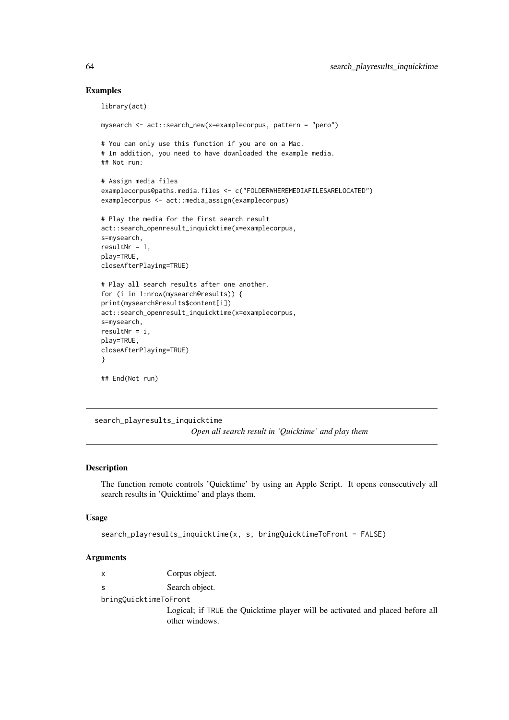### Examples

```
library(act)
mysearch <- act::search_new(x=examplecorpus, pattern = "pero")
# You can only use this function if you are on a Mac.
# In addition, you need to have downloaded the example media.
## Not run:
# Assign media files
examplecorpus@paths.media.files <- c("FOLDERWHEREMEDIAFILESARELOCATED")
examplecorpus <- act::media_assign(examplecorpus)
# Play the media for the first search result
act::search_openresult_inquicktime(x=examplecorpus,
s=mysearch,
resultNr = 1,
play=TRUE,
closeAfterPlaying=TRUE)
# Play all search results after one another.
for (i in 1:nrow(mysearch@results)) {
print(mysearch@results$content[i])
act::search_openresult_inquicktime(x=examplecorpus,
s=mysearch,
resultNr = i,
play=TRUE,
closeAfterPlaying=TRUE)
}
## End(Not run)
```
search\_playresults\_inquicktime *Open all search result in 'Quicktime' and play them*

# Description

The function remote controls 'Quicktime' by using an Apple Script. It opens consecutively all search results in 'Quicktime' and plays them.

#### Usage

```
search_playresults_inquicktime(x, s, bringQuicktimeToFront = FALSE)
```
# Arguments

|                       | Corpus object.                                                                                  |
|-----------------------|-------------------------------------------------------------------------------------------------|
|                       | Search object.                                                                                  |
| bringQuicktimeToFront |                                                                                                 |
|                       | Logical; if TRUE the Quicktime player will be activated and placed before all<br>other windows. |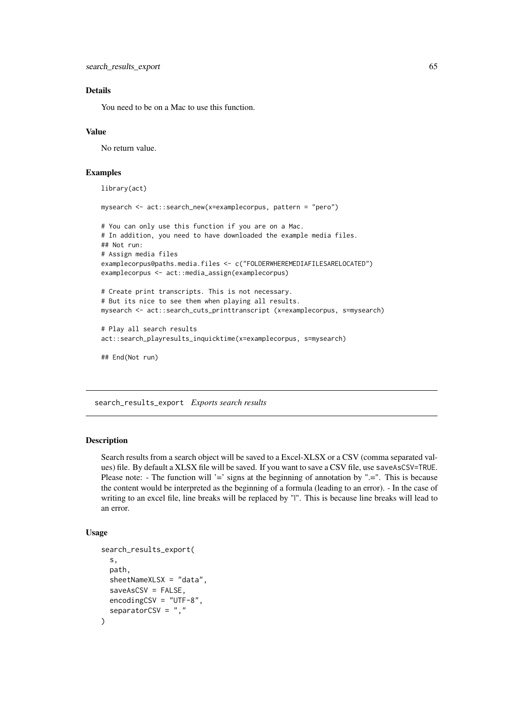#### Details

You need to be on a Mac to use this function.

### Value

No return value.

# Examples

library(act) mysearch <- act::search\_new(x=examplecorpus, pattern = "pero") # You can only use this function if you are on a Mac. # In addition, you need to have downloaded the example media files. ## Not run: # Assign media files examplecorpus@paths.media.files <- c("FOLDERWHEREMEDIAFILESARELOCATED") examplecorpus <- act::media\_assign(examplecorpus) # Create print transcripts. This is not necessary. # But its nice to see them when playing all results. mysearch <- act::search\_cuts\_printtranscript (x=examplecorpus, s=mysearch) # Play all search results act::search\_playresults\_inquicktime(x=examplecorpus, s=mysearch) ## End(Not run)

search\_results\_export *Exports search results*

#### Description

Search results from a search object will be saved to a Excel-XLSX or a CSV (comma separated values) file. By default a XLSX file will be saved. If you want to save a CSV file, use saveAsCSV=TRUE. Please note: - The function will '=' signs at the beginning of annotation by ".=". This is because the content would be interpreted as the beginning of a formula (leading to an error). - In the case of writing to an excel file, line breaks will be replaced by "|". This is because line breaks will lead to an error.

```
search_results_export(
 s,
 path,
 sheetNameXLSX = "data",
  saveAsCSV = FALSE,
 encodingCSV = "UTF-8",
  separatorCSV = ","
)
```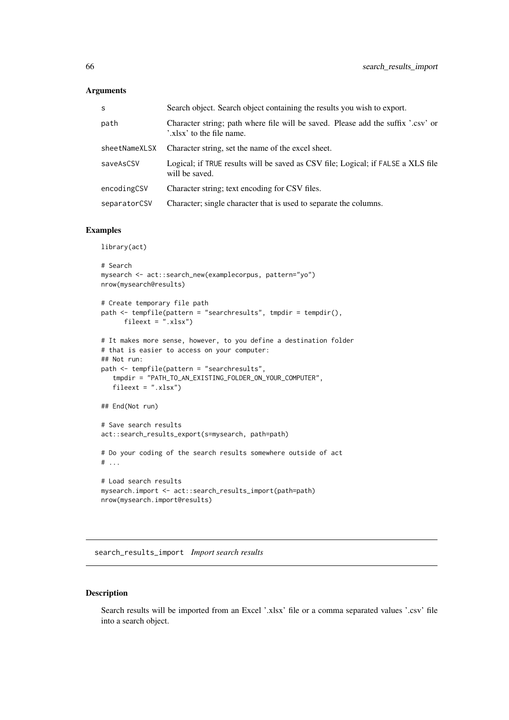# Arguments

| S             | Search object. Search object containing the results you wish to export.                                       |
|---------------|---------------------------------------------------------------------------------------------------------------|
| path          | Character string; path where file will be saved. Please add the suffix '.csv' or<br>'.xlsx' to the file name. |
| sheetNameXLSX | Character string, set the name of the excel sheet.                                                            |
| saveAsCSV     | Logical; if TRUE results will be saved as CSV file; Logical; if FALSE a XLS file<br>will be saved.            |
| encodingCSV   | Character string; text encoding for CSV files.                                                                |
| separatorCSV  | Character; single character that is used to separate the columns.                                             |

### Examples

library(act)

```
# Search
mysearch <- act::search_new(examplecorpus, pattern="yo")
nrow(mysearch@results)
# Create temporary file path
path <- tempfile(pattern = "searchresults", tmpdir = tempdir(),
      fileext = ".xlsx")
# It makes more sense, however, to you define a destination folder
# that is easier to access on your computer:
## Not run:
path <- tempfile(pattern = "searchresults",
   tmpdir = "PATH_TO_AN_EXISTING_FOLDER_ON_YOUR_COMPUTER",
   fileext = ".xlsx")
## End(Not run)
# Save search results
act::search_results_export(s=mysearch, path=path)
# Do your coding of the search results somewhere outside of act
# ...
# Load search results
mysearch.import <- act::search_results_import(path=path)
nrow(mysearch.import@results)
```
search\_results\_import *Import search results*

# Description

Search results will be imported from an Excel '.xlsx' file or a comma separated values '.csv' file into a search object.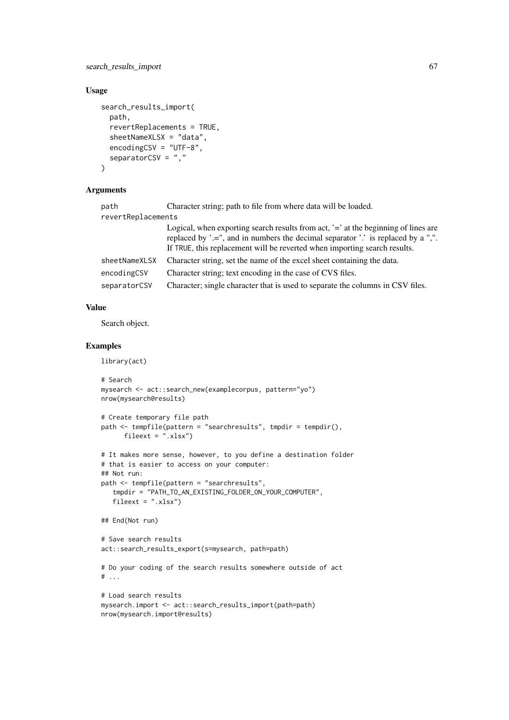#### search\_results\_import 67

### Usage

```
search_results_import(
  path,
  revertReplacements = TRUE,
  sheetNameXLSX = "data",
  encodingCSV = "UTF-8",
  separatorCSV = "."
\lambda
```
# Arguments

| path               | Character string; path to file from where data will be loaded.                                                                                                                                                                                      |  |
|--------------------|-----------------------------------------------------------------------------------------------------------------------------------------------------------------------------------------------------------------------------------------------------|--|
| revertReplacements |                                                                                                                                                                                                                                                     |  |
|                    | Logical, when exporting search results from act, '=' at the beginning of lines are<br>replaced by '.=", and in numbers the decimal separator '.' is replaced by a ",".<br>If TRUE, this replacement will be reverted when importing search results. |  |
| sheetNameXLSX      | Character string, set the name of the excel sheet containing the data.                                                                                                                                                                              |  |
| encodingCSV        | Character string; text encoding in the case of CVS files.                                                                                                                                                                                           |  |
| separatorCSV       | Character; single character that is used to separate the columns in CSV files.                                                                                                                                                                      |  |

# Value

Search object.

# Examples

library(act)

```
# Search
mysearch <- act::search_new(examplecorpus, pattern="yo")
nrow(mysearch@results)
# Create temporary file path
path <- tempfile(pattern = "searchresults", tmpdir = tempdir(),
      fileext = ".xlsx")
# It makes more sense, however, to you define a destination folder
# that is easier to access on your computer:
## Not run:
path <- tempfile(pattern = "searchresults",
   tmpdir = "PATH_TO_AN_EXISTING_FOLDER_ON_YOUR_COMPUTER",
   fileext = ".xlsx")
## End(Not run)
# Save search results
act::search_results_export(s=mysearch, path=path)
# Do your coding of the search results somewhere outside of act
# ...
# Load search results
mysearch.import <- act::search results import(path=path)
nrow(mysearch.import@results)
```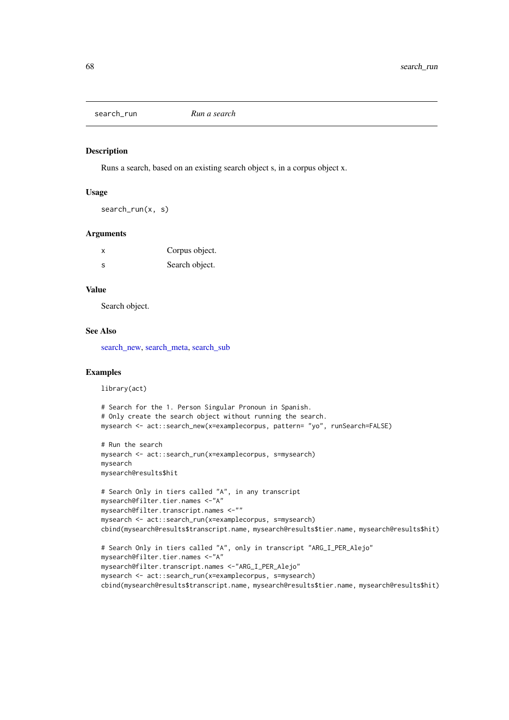<span id="page-67-0"></span>search\_run *Run a search*

#### Description

Runs a search, based on an existing search object s, in a corpus object x.

# Usage

search\_run(x, s)

### Arguments

| X  | Corpus object. |
|----|----------------|
| -S | Search object. |

### Value

Search object.

#### See Also

[search\\_new,](#page-58-0) [search\\_meta,](#page-57-0) [search\\_sub](#page-68-0)

### Examples

library(act)

```
# Search for the 1. Person Singular Pronoun in Spanish.
# Only create the search object without running the search.
mysearch <- act::search_new(x=examplecorpus, pattern= "yo", runSearch=FALSE)
# Run the search
mysearch <- act::search_run(x=examplecorpus, s=mysearch)
mysearch
mysearch@results$hit
# Search Only in tiers called "A", in any transcript
mysearch@filter.tier.names <-"A"
mysearch@filter.transcript.names <-""
mysearch <- act::search_run(x=examplecorpus, s=mysearch)
cbind(mysearch@results$transcript.name, mysearch@results$tier.name, mysearch@results$hit)
# Search Only in tiers called "A", only in transcript "ARG_I_PER_Alejo"
mysearch@filter.tier.names <-"A"
mysearch@filter.transcript.names <-"ARG_I_PER_Alejo"
mysearch <- act::search_run(x=examplecorpus, s=mysearch)
cbind(mysearch@results$transcript.name, mysearch@results$tier.name, mysearch@results$hit)
```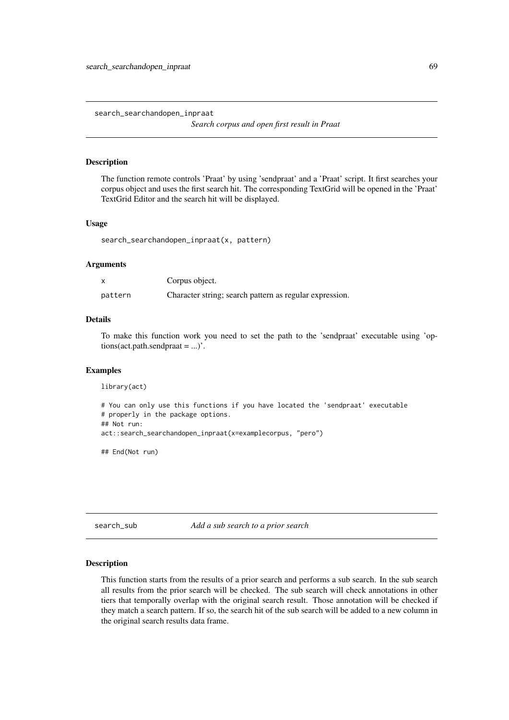search\_searchandopen\_inpraat

*Search corpus and open first result in Praat*

#### Description

The function remote controls 'Praat' by using 'sendpraat' and a 'Praat' script. It first searches your corpus object and uses the first search hit. The corresponding TextGrid will be opened in the 'Praat' TextGrid Editor and the search hit will be displayed.

### Usage

search\_searchandopen\_inpraat(x, pattern)

#### Arguments

|         | Corpus object.                                          |
|---------|---------------------------------------------------------|
| pattern | Character string; search pattern as regular expression. |

# Details

To make this function work you need to set the path to the 'sendpraat' executable using 'options(act.path.sendpraat = ...)'.

### Examples

```
library(act)
# You can only use this functions if you have located the 'sendpraat' executable
# properly in the package options.
## Not run:
act::search_searchandopen_inpraat(x=examplecorpus, "pero")
```
## End(Not run)

<span id="page-68-0"></span>search\_sub *Add a sub search to a prior search*

### Description

This function starts from the results of a prior search and performs a sub search. In the sub search all results from the prior search will be checked. The sub search will check annotations in other tiers that temporally overlap with the original search result. Those annotation will be checked if they match a search pattern. If so, the search hit of the sub search will be added to a new column in the original search results data frame.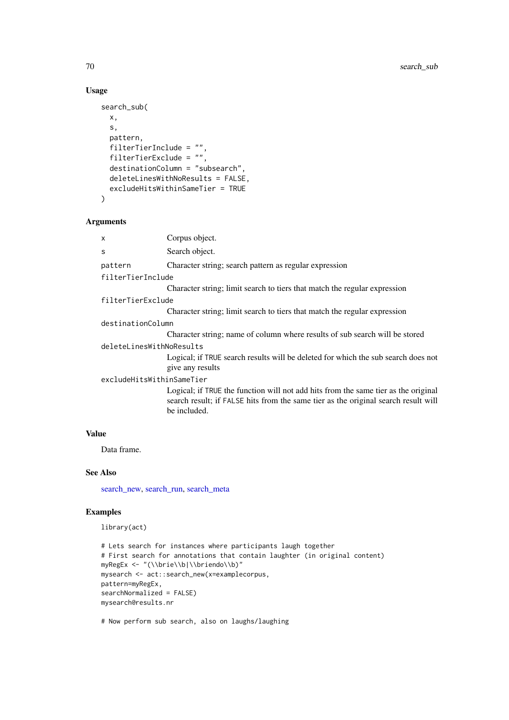# Usage

```
search_sub(
  x,
  s,
  pattern,
  filterTierInclude = "",
 filterTierExclude = "",
  destinationColumn = "subsearch",
  deleteLinesWithNoResults = FALSE,
  excludeHitsWithinSameTier = TRUE
\lambda
```
# Arguments

|       | X                         | Corpus object.                                                                                                                                                                           |
|-------|---------------------------|------------------------------------------------------------------------------------------------------------------------------------------------------------------------------------------|
|       | S                         | Search object.                                                                                                                                                                           |
|       | pattern                   | Character string; search pattern as regular expression                                                                                                                                   |
|       | filterTierInclude         |                                                                                                                                                                                          |
|       |                           | Character string; limit search to tiers that match the regular expression                                                                                                                |
|       | filterTierExclude         |                                                                                                                                                                                          |
|       |                           | Character string; limit search to tiers that match the regular expression                                                                                                                |
|       | destinationColumn         |                                                                                                                                                                                          |
|       |                           | Character string; name of column where results of sub search will be stored                                                                                                              |
|       | deleteLinesWithNoResults  |                                                                                                                                                                                          |
|       |                           | Logical; if TRUE search results will be deleted for which the sub search does not<br>give any results                                                                                    |
|       | excludeHitsWithinSameTier |                                                                                                                                                                                          |
|       |                           | Logical; if TRUE the function will not add hits from the same tier as the original<br>search result; if FALSE hits from the same tier as the original search result will<br>be included. |
| Value |                           |                                                                                                                                                                                          |

Data frame.

# See Also

[search\\_new,](#page-58-0) [search\\_run,](#page-67-0) [search\\_meta](#page-57-0)

### Examples

library(act)

```
# Lets search for instances where participants laugh together
# First search for annotations that contain laughter (in original content)
myRegEx <- "(\\brie\\b|\\briendo\\b)"
mysearch <- act::search_new(x=examplecorpus,
pattern=myRegEx,
searchNormalized = FALSE)
mysearch@results.nr
```
# Now perform sub search, also on laughs/laughing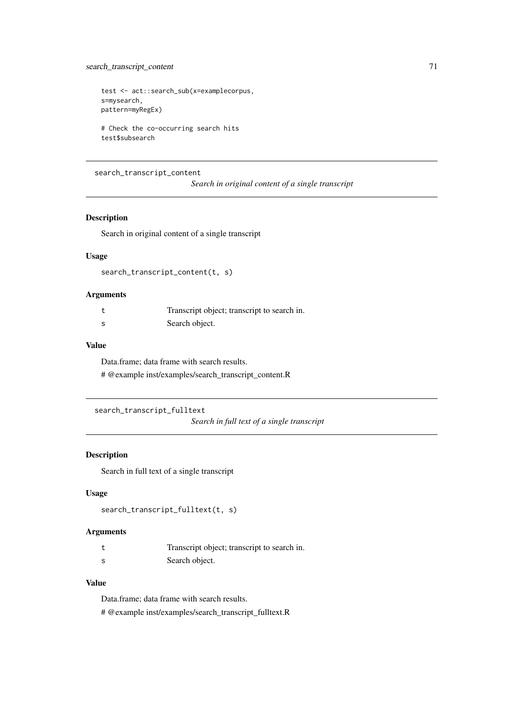# search\_transcript\_content 71

```
test <- act::search_sub(x=examplecorpus,
s=mysearch,
pattern=myRegEx)
# Check the co-occurring search hits
```
test\$subsearch

# search\_transcript\_content

*Search in original content of a single transcript*

# Description

Search in original content of a single transcript

# Usage

search\_transcript\_content(t, s)

# Arguments

|     | Transcript object; transcript to search in. |
|-----|---------------------------------------------|
| - S | Search object.                              |

### Value

Data.frame; data frame with search results. # @example inst/examples/search\_transcript\_content.R

```
search_transcript_fulltext
```
*Search in full text of a single transcript*

# Description

Search in full text of a single transcript

# Usage

search\_transcript\_fulltext(t, s)

# Arguments

| Transcript object; transcript to search in. |
|---------------------------------------------|
| Search object.                              |

# Value

Data.frame; data frame with search results. # @example inst/examples/search\_transcript\_fulltext.R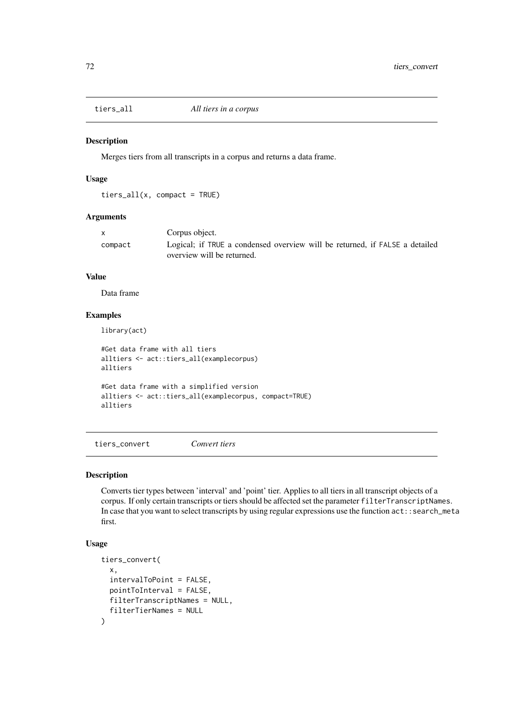Merges tiers from all transcripts in a corpus and returns a data frame.

### Usage

tiers\_all(x, compact = TRUE)

### Arguments

|         | Corpus object.                                                                                            |
|---------|-----------------------------------------------------------------------------------------------------------|
| compact | Logical; if TRUE a condensed overview will be returned, if FALSE a detailed<br>overview will be returned. |

# Value

Data frame

### Examples

library(act)

```
#Get data frame with all tiers
alltiers <- act::tiers_all(examplecorpus)
alltiers
#Get data frame with a simplified version
alltiers <- act::tiers_all(examplecorpus, compact=TRUE)
alltiers
```
tiers\_convert *Convert tiers*

### Description

Converts tier types between 'interval' and 'point' tier. Applies to all tiers in all transcript objects of a corpus. If only certain transcripts or tiers should be affected set the parameter filterTranscriptNames. In case that you want to select transcripts by using regular expressions use the function act::search\_meta first.

```
tiers_convert(
 x,
  intervalToPoint = FALSE,
 pointToInterval = FALSE,
  filterTranscriptNames = NULL,
  filterTierNames = NULL
)
```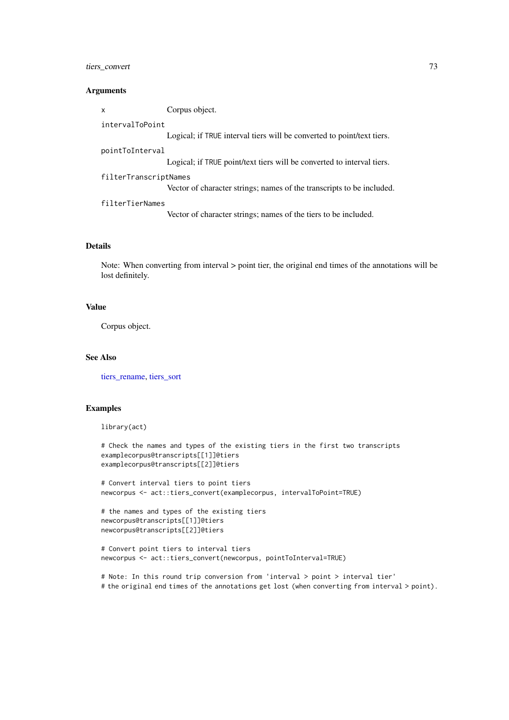#### <span id="page-72-0"></span>tiers\_convert 73

#### Arguments

x Corpus object.

#### intervalToPoint

Logical; if TRUE interval tiers will be converted to point/text tiers.

#### pointToInterval

Logical; if TRUE point/text tiers will be converted to interval tiers.

#### filterTranscriptNames

Vector of character strings; names of the transcripts to be included.

#### filterTierNames

Vector of character strings; names of the tiers to be included.

## Details

Note: When converting from interval > point tier, the original end times of the annotations will be lost definitely.

#### Value

Corpus object.

#### See Also

[tiers\\_rename,](#page-73-0) [tiers\\_sort](#page-74-0)

## Examples

library(act)

```
# Check the names and types of the existing tiers in the first two transcripts
examplecorpus@transcripts[[1]]@tiers
examplecorpus@transcripts[[2]]@tiers
```

```
# Convert interval tiers to point tiers
newcorpus <- act::tiers_convert(examplecorpus, intervalToPoint=TRUE)
```

```
# the names and types of the existing tiers
newcorpus@transcripts[[1]]@tiers
newcorpus@transcripts[[2]]@tiers
```

```
# Convert point tiers to interval tiers
newcorpus <- act::tiers_convert(newcorpus, pointToInterval=TRUE)
```
# Note: In this round trip conversion from 'interval > point > interval tier' # the original end times of the annotations get lost (when converting from interval > point).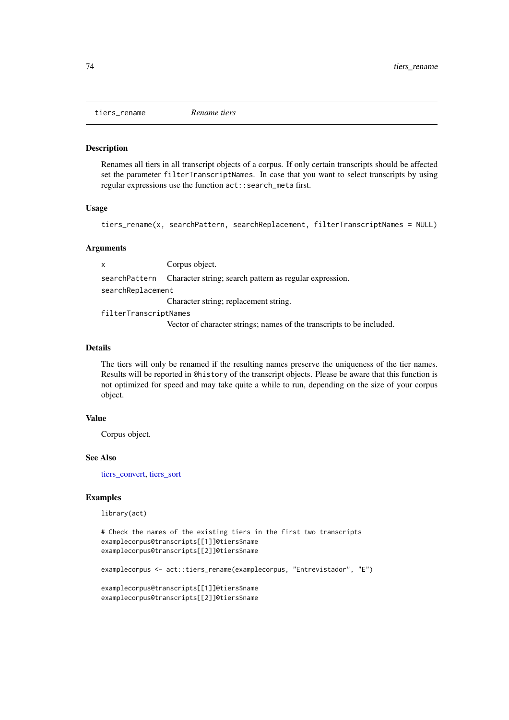<span id="page-73-1"></span><span id="page-73-0"></span>tiers\_rename *Rename tiers*

#### Description

Renames all tiers in all transcript objects of a corpus. If only certain transcripts should be affected set the parameter filterTranscriptNames. In case that you want to select transcripts by using regular expressions use the function act::search\_meta first.

#### Usage

tiers\_rename(x, searchPattern, searchReplacement, filterTranscriptNames = NULL)

#### Arguments

x Corpus object. searchPattern Character string; search pattern as regular expression. searchReplacement Character string; replacement string. filterTranscriptNames Vector of character strings; names of the transcripts to be included.

#### Details

The tiers will only be renamed if the resulting names preserve the uniqueness of the tier names. Results will be reported in @history of the transcript objects. Please be aware that this function is not optimized for speed and may take quite a while to run, depending on the size of your corpus object.

## Value

Corpus object.

#### See Also

[tiers\\_convert,](#page-71-0) [tiers\\_sort](#page-74-0)

#### Examples

```
# Check the names of the existing tiers in the first two transcripts
examplecorpus@transcripts[[1]]@tiers$name
examplecorpus@transcripts[[2]]@tiers$name
```

```
examplecorpus <- act::tiers_rename(examplecorpus, "Entrevistador", "E")
```

```
examplecorpus@transcripts[[1]]@tiers$name
examplecorpus@transcripts[[2]]@tiers$name
```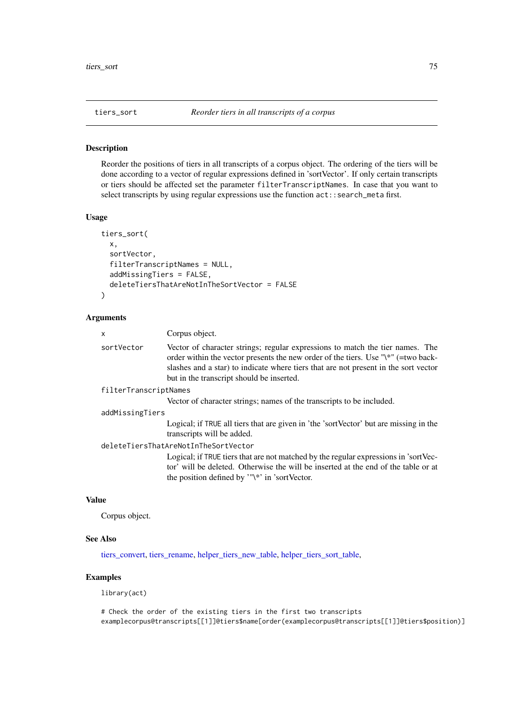<span id="page-74-1"></span><span id="page-74-0"></span>

#### **Description**

Reorder the positions of tiers in all transcripts of a corpus object. The ordering of the tiers will be done according to a vector of regular expressions defined in 'sortVector'. If only certain transcripts or tiers should be affected set the parameter filterTranscriptNames. In case that you want to select transcripts by using regular expressions use the function  $act::search\_meta$  first.

#### Usage

```
tiers_sort(
 x,
  sortVector,
  filterTranscriptNames = NULL,
  addMissingTiers = FALSE,
 deleteTiersThatAreNotInTheSortVector = FALSE
)
```
#### Arguments

# x Corpus object. sortVector Vector of character strings; regular expressions to match the tier names. The order within the vector presents the new order of the tiers. Use "\\*" (=two backslashes and a star) to indicate where tiers that are not present in the sort vector but in the transcript should be inserted. filterTranscriptNames Vector of character strings; names of the transcripts to be included. addMissingTiers Logical; if TRUE all tiers that are given in 'the 'sortVector' but are missing in the transcripts will be added.

#### deleteTiersThatAreNotInTheSortVector

Logical; if TRUE tiers that are not matched by the regular expressions in 'sortVector' will be deleted. Otherwise the will be inserted at the end of the table or at the position defined by '"\\*' in 'sortVector.

## Value

Corpus object.

## See Also

[tiers\\_convert,](#page-71-0) [tiers\\_rename,](#page-73-0) [helper\\_tiers\\_new\\_table,](#page-28-0) [helper\\_tiers\\_sort\\_table,](#page-29-0)

## Examples

```
# Check the order of the existing tiers in the first two transcripts
examplecorpus@transcripts[[1]]@tiers$name[order(examplecorpus@transcripts[[1]]@tiers$position)]
```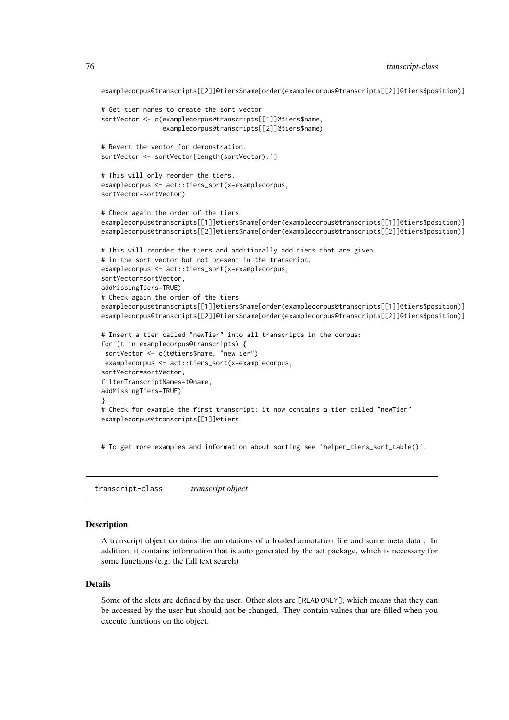```
examplecorpus@transcripts[[2]]@tiers$name[order(examplecorpus@transcripts[[2]]@tiers$position)]
# Get tier names to create the sort vector
sortVector <- c(examplecorpus@transcripts[[1]]@tiers$name,
                examplecorpus@transcripts[[2]]@tiers$name)
# Revert the vector for demonstration.
sortVector <- sortVector[length(sortVector):1]
# This will only reorder the tiers.
examplecorpus <- act::tiers_sort(x=examplecorpus,
sortVector=sortVector)
# Check again the order of the tiers
examplecorpus@transcripts[[1]]@tiers$name[order(examplecorpus@transcripts[[1]]@tiers$position)]
examplecorpus@transcripts[[2]]@tiers$name[order(examplecorpus@transcripts[[2]]@tiers$position)]
# This will reorder the tiers and additionally add tiers that are given
# in the sort vector but not present in the transcript.
examplecorpus <- act::tiers_sort(x=examplecorpus,
sortVector=sortVector,
addMissingTiers=TRUE)
# Check again the order of the tiers
examplecorpus@transcripts[[1]]@tiers$name[order(examplecorpus@transcripts[[1]]@tiers$position)]
examplecorpus@transcripts[[2]]@tiers$name[order(examplecorpus@transcripts[[2]]@tiers$position)]
# Insert a tier called "newTier" into all transcripts in the corpus:
for (t in examplecorpus@transcripts) {
sortVector <- c(t@tiers$name, "newTier")
examplecorpus <- act::tiers_sort(x=examplecorpus,
sortVector=sortVector,
filterTranscriptNames=t@name,
addMissingTiers=TRUE)
}
# Check for example the first transcript: it now contains a tier called "newTier"
examplecorpus@transcripts[[1]]@tiers
```
# To get more examples and information about sorting see 'helper tiers sort table()'.

transcript-class *transcript object*

#### Description

A transcript object contains the annotations of a loaded annotation file and some meta data . In addition, it contains information that is auto generated by the act package, which is necessary for some functions (e.g. the full text search)

## Details

Some of the slots are defined by the user. Other slots are [READ ONLY], which means that they can be accessed by the user but should not be changed. They contain values that are filled when you execute functions on the object.

<span id="page-75-0"></span>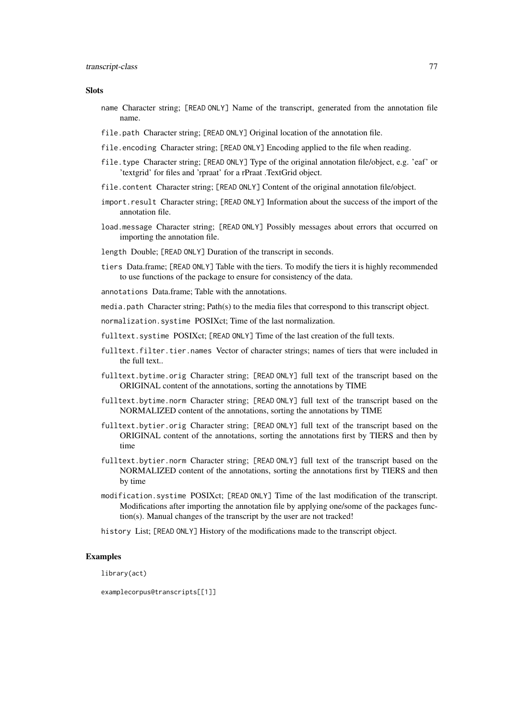#### Slots

- name Character string; [READ ONLY] Name of the transcript, generated from the annotation file name.
- file.path Character string; [READ ONLY] Original location of the annotation file.
- file.encoding Character string; [READ ONLY] Encoding applied to the file when reading.
- file.type Character string; [READ ONLY] Type of the original annotation file/object, e.g. 'eaf' or 'textgrid' for files and 'rpraat' for a rPraat .TextGrid object.
- file.content Character string; [READ ONLY] Content of the original annotation file/object.
- import.result Character string: [READ ONLY] Information about the success of the import of the annotation file.
- load.message Character string; [READ ONLY] Possibly messages about errors that occurred on importing the annotation file.
- length Double; [READ ONLY] Duration of the transcript in seconds.
- tiers Data.frame; [READ ONLY] Table with the tiers. To modify the tiers it is highly recommended to use functions of the package to ensure for consistency of the data.
- annotations Data.frame; Table with the annotations.
- media.path Character string; Path(s) to the media files that correspond to this transcript object.
- normalization.systime POSIXct; Time of the last normalization.
- fulltext.systime POSIXct; [READ ONLY] Time of the last creation of the full texts.
- fulltext.filter.tier.names Vector of character strings; names of tiers that were included in the full text..
- fulltext.bytime.orig Character string; [READ ONLY] full text of the transcript based on the ORIGINAL content of the annotations, sorting the annotations by TIME
- fulltext.bytime.norm Character string; [READ ONLY] full text of the transcript based on the NORMALIZED content of the annotations, sorting the annotations by TIME
- fulltext.bytier.orig Character string; [READ ONLY] full text of the transcript based on the ORIGINAL content of the annotations, sorting the annotations first by TIERS and then by time
- fulltext.bytier.norm Character string; [READ ONLY] full text of the transcript based on the NORMALIZED content of the annotations, sorting the annotations first by TIERS and then by time
- modification.systime POSIXct; [READ ONLY] Time of the last modification of the transcript. Modifications after importing the annotation file by applying one/some of the packages function(s). Manual changes of the transcript by the user are not tracked!
- history List; [READ ONLY] History of the modifications made to the transcript object.

## Examples

library(act)

examplecorpus@transcripts[[1]]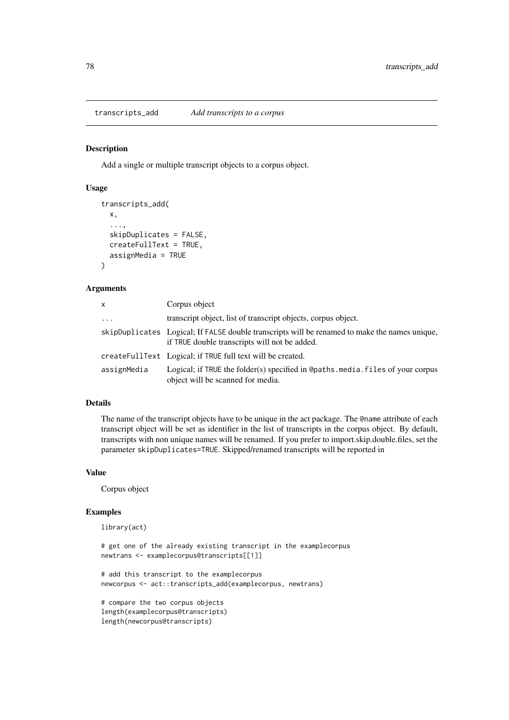<span id="page-77-0"></span>transcripts\_add *Add transcripts to a corpus*

#### Description

Add a single or multiple transcript objects to a corpus object.

## Usage

```
transcripts_add(
  x,
  ...,
  skipDuplicates = FALSE,
  createFullText = TRUE,
  assignMedia = TRUE
)
```
## Arguments

| $\mathsf{x}$ | Corpus object                                                                                                                                  |
|--------------|------------------------------------------------------------------------------------------------------------------------------------------------|
| $\cdots$     | transcript object, list of transcript objects, corpus object.                                                                                  |
|              | skipDuplicates Logical; If FALSE double transcripts will be renamed to make the names unique,<br>if TRUE double transcripts will not be added. |
|              | createFullText Logical; if TRUE full text will be created.                                                                                     |
| assignMedia  | Logical; if TRUE the folder(s) specified in @paths.media.files of your corpus<br>object will be scanned for media.                             |

#### Details

The name of the transcript objects have to be unique in the act package. The @name attribute of each transcript object will be set as identifier in the list of transcripts in the corpus object. By default, transcripts with non unique names will be renamed. If you prefer to import.skip.double.files, set the parameter skipDuplicates=TRUE. Skipped/renamed transcripts will be reported in

#### Value

Corpus object

## Examples

```
library(act)
# get one of the already existing transcript in the examplecorpus
newtrans <- examplecorpus@transcripts[[1]]
# add this transcript to the examplecorpus
newcorpus <- act::transcripts_add(examplecorpus, newtrans)
# compare the two corpus objects
length(examplecorpus@transcripts)
```
length(newcorpus@transcripts)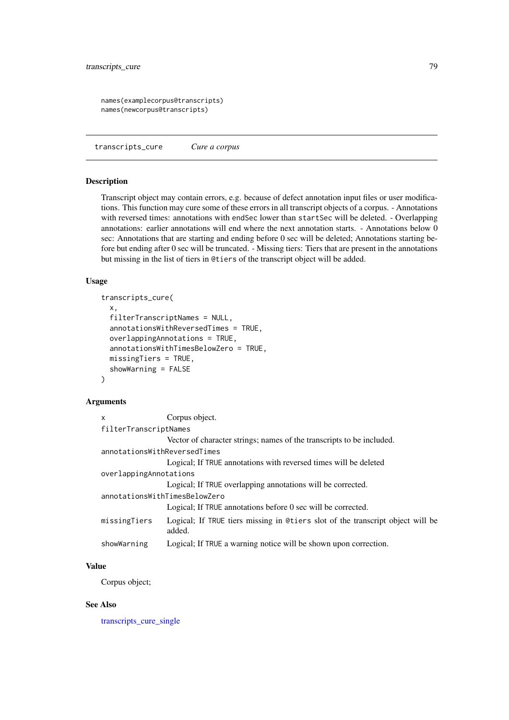```
names(examplecorpus@transcripts)
names(newcorpus@transcripts)
```
<span id="page-78-0"></span>transcripts\_cure *Cure a corpus*

#### Description

Transcript object may contain errors, e.g. because of defect annotation input files or user modifications. This function may cure some of these errors in all transcript objects of a corpus. - Annotations with reversed times: annotations with endSec lower than startSec will be deleted. - Overlapping annotations: earlier annotations will end where the next annotation starts. - Annotations below 0 sec: Annotations that are starting and ending before 0 sec will be deleted; Annotations starting before but ending after 0 sec will be truncated. - Missing tiers: Tiers that are present in the annotations but missing in the list of tiers in @tiers of the transcript object will be added.

## Usage

```
transcripts_cure(
 x,
 filterTranscriptNames = NULL,
  annotationsWithReversedTimes = TRUE,
 overlappingAnnotations = TRUE,
 annotationsWithTimesBelowZero = TRUE,
 missingTiers = TRUE,
  showWarning = FALSE
)
```
## Arguments

| $\mathsf{x}$                  | Corpus object.                                                                           |
|-------------------------------|------------------------------------------------------------------------------------------|
| filterTranscriptNames         |                                                                                          |
|                               | Vector of character strings; names of the transcripts to be included.                    |
| annotationsWithReversedTimes  |                                                                                          |
|                               | Logical; If TRUE annotations with reversed times will be deleted                         |
| overlappingAnnotations        |                                                                                          |
|                               | Logical; If TRUE overlapping annotations will be corrected.                              |
| annotationsWithTimesBelowZero |                                                                                          |
|                               | Logical; If TRUE annotations before 0 sec will be corrected.                             |
| missingTiers                  | Logical; If TRUE tiers missing in @tiers slot of the transcript object will be<br>added. |
| showWarning                   | Logical; If TRUE a warning notice will be shown upon correction.                         |

## Value

Corpus object;

## See Also

[transcripts\\_cure\\_single](#page-79-0)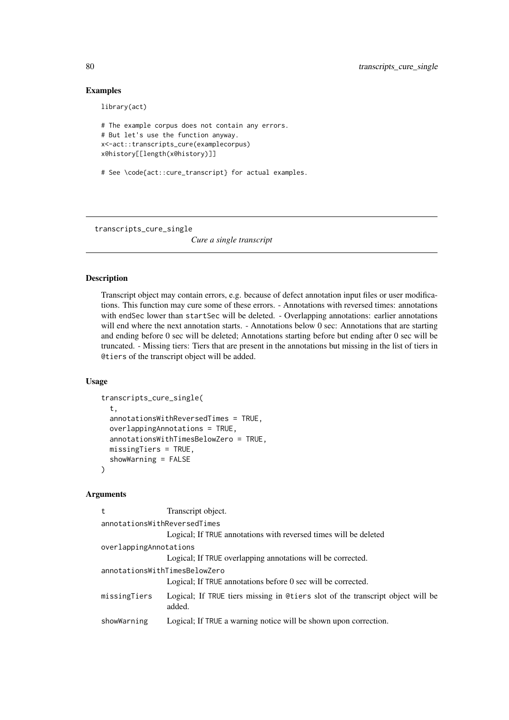### Examples

library(act)

```
# The example corpus does not contain any errors.
# But let's use the function anyway.
x<-act::transcripts_cure(examplecorpus)
x@history[[length(x@history)]]
```
# See \code{act::cure\_transcript} for actual examples.

<span id="page-79-0"></span>transcripts\_cure\_single

*Cure a single transcript*

## Description

Transcript object may contain errors, e.g. because of defect annotation input files or user modifications. This function may cure some of these errors. - Annotations with reversed times: annotations with endSec lower than startSec will be deleted. - Overlapping annotations: earlier annotations will end where the next annotation starts. - Annotations below 0 sec: Annotations that are starting and ending before 0 sec will be deleted; Annotations starting before but ending after 0 sec will be truncated. - Missing tiers: Tiers that are present in the annotations but missing in the list of tiers in @tiers of the transcript object will be added.

#### Usage

```
transcripts_cure_single(
  t,
  annotationsWithReversedTimes = TRUE,
 overlappingAnnotations = TRUE,
  annotationsWithTimesBelowZero = TRUE,
 missingTiers = TRUE,
  showWarning = FALSE
)
```
#### Arguments

| t                             | Transcript object.                                                                       |  |
|-------------------------------|------------------------------------------------------------------------------------------|--|
| annotationsWithReversedTimes  |                                                                                          |  |
|                               | Logical; If TRUE annotations with reversed times will be deleted                         |  |
| overlappingAnnotations        |                                                                                          |  |
|                               | Logical; If TRUE overlapping annotations will be corrected.                              |  |
| annotationsWithTimesBelowZero |                                                                                          |  |
|                               | Logical; If TRUE annotations before 0 sec will be corrected.                             |  |
| missingTiers                  | Logical; If TRUE tiers missing in @tiers slot of the transcript object will be<br>added. |  |
| showWarning                   | Logical; If TRUE a warning notice will be shown upon correction.                         |  |
|                               |                                                                                          |  |

<span id="page-79-1"></span>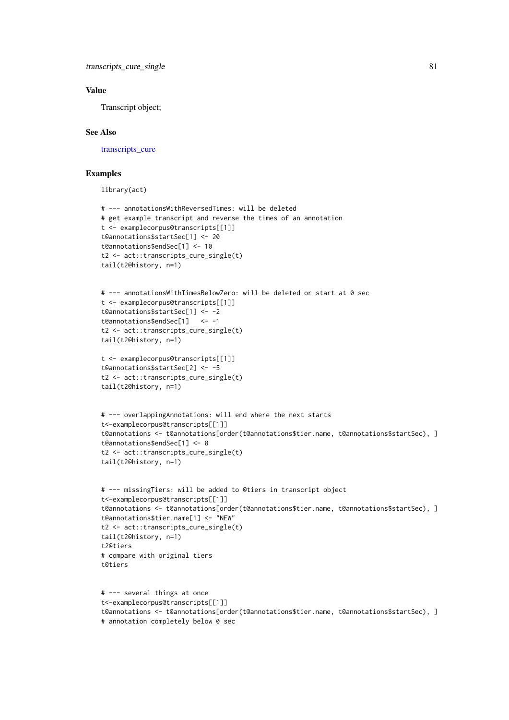#### <span id="page-80-0"></span>Value

Transcript object;

## See Also

transcripts cure

## Examples

```
# --- annotationsWithReversedTimes: will be deleted
# get example transcript and reverse the times of an annotation
t <- examplecorpus@transcripts[[1]]
t@annotations$startSec[1] <- 20
t@annotations$endSec[1] <- 10
t2 <- act::transcripts_cure_single(t)
tail(t2@history, n=1)
# --- annotationsWithTimesBelowZero: will be deleted or start at 0 sec
t <- examplecorpus@transcripts[[1]]
t@annotations$startSec[1] <- -2
t@annotations$endSec[1] <- -1
t2 <- act::transcripts_cure_single(t)
tail(t2@history, n=1)
t <- examplecorpus@transcripts[[1]]
t@annotations$startSec[2] <- -5
t2 <- act::transcripts_cure_single(t)
tail(t2@history, n=1)
# --- overlappingAnnotations: will end where the next starts
t<-examplecorpus@transcripts[[1]]
t@annotations <- t@annotations[order(t@annotations$tier.name, t@annotations$startSec), ]
t@annotations$endSec[1] <- 8
t2 <- act::transcripts_cure_single(t)
tail(t2@history, n=1)
# --- missingTiers: will be added to @tiers in transcript object
t<-examplecorpus@transcripts[[1]]
t@annotations <- t@annotations[order(t@annotations$tier.name, t@annotations$startSec), ]
t@annotations$tier.name[1] <- "NEW"
t2 <- act::transcripts_cure_single(t)
tail(t2@history, n=1)
t2@tiers
# compare with original tiers
t@tiers
# --- several things at once
t<-examplecorpus@transcripts[[1]]
t@annotations <- t@annotations[order(t@annotations$tier.name, t@annotations$startSec), ]
```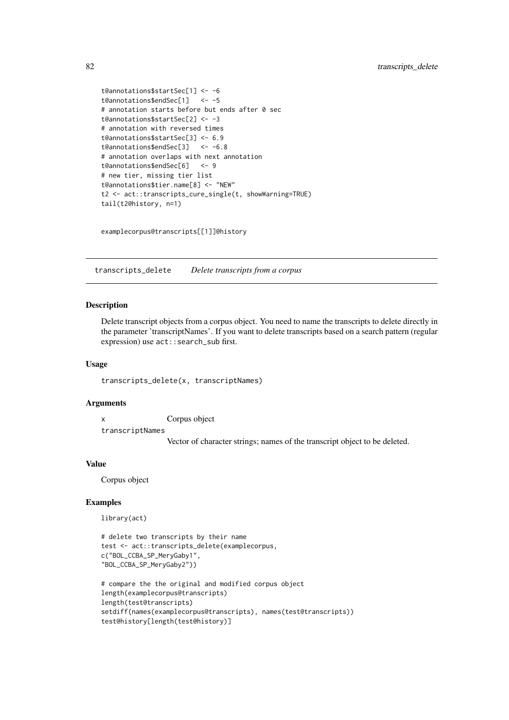```
t@annotations$startSec[1] <- -6
t@annotations$endSec[1] <- -5
# annotation starts before but ends after 0 sec
t@annotations$startSec[2] <- -3
# annotation with reversed times
t@annotations$startSec[3] <- 6.9
t@annotations$endSec[3] <- -6.8
# annotation overlaps with next annotation
t@annotations$endSec[6] <- 9
# new tier, missing tier list
t@annotations$tier.name[8] <- "NEW"
t2 <- act::transcripts_cure_single(t, showWarning=TRUE)
tail(t2@history, n=1)
```
examplecorpus@transcripts[[1]]@history

transcripts\_delete *Delete transcripts from a corpus*

#### Description

Delete transcript objects from a corpus object. You need to name the transcripts to delete directly in the parameter 'transcriptNames'. If you want to delete transcripts based on a search pattern (regular expression) use act::search\_sub first.

## Usage

transcripts\_delete(x, transcriptNames)

#### Arguments

x Corpus object transcriptNames

Vector of character strings; names of the transcript object to be deleted.

## Value

Corpus object

## Examples

```
# delete two transcripts by their name
test <- act::transcripts_delete(examplecorpus,
c("BOL_CCBA_SP_MeryGaby1",
"BOL_CCBA_SP_MeryGaby2"))
```

```
# compare the the original and modified corpus object
length(examplecorpus@transcripts)
length(test@transcripts)
setdiff(names(examplecorpus@transcripts), names(test@transcripts))
test@history[length(test@history)]
```
<span id="page-81-0"></span>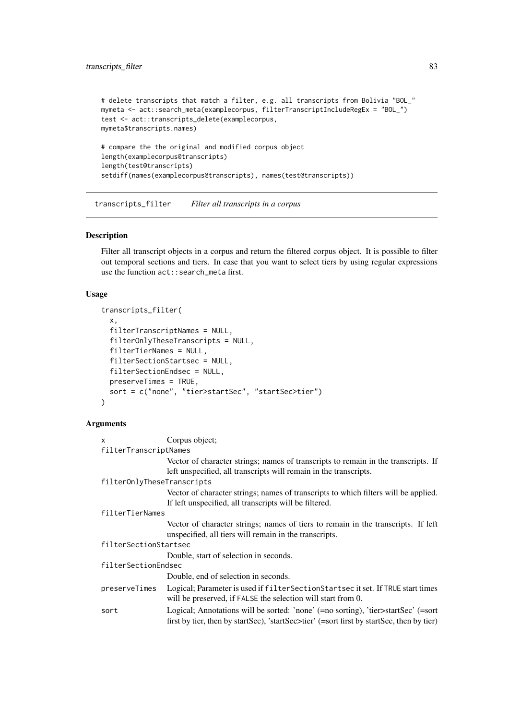```
# delete transcripts that match a filter, e.g. all transcripts from Bolivia "BOL_"
mymeta <- act::search_meta(examplecorpus, filterTranscriptIncludeRegEx = "BOL_")
test <- act::transcripts_delete(examplecorpus,
mymeta$transcripts.names)
# compare the the original and modified corpus object
length(examplecorpus@transcripts)
length(test@transcripts)
setdiff(names(examplecorpus@transcripts), names(test@transcripts))
```
transcripts\_filter *Filter all transcripts in a corpus*

## Description

Filter all transcript objects in a corpus and return the filtered corpus object. It is possible to filter out temporal sections and tiers. In case that you want to select tiers by using regular expressions use the function act::search\_meta first.

## Usage

```
transcripts_filter(
  x,
  filterTranscriptNames = NULL,
  filterOnlyTheseTranscripts = NULL,
  filterTierNames = NULL,
  filterSectionStartsec = NULL,
  filterSectionEndsec = NULL,
  preserveTimes = TRUE,
  sort = c("none", "tier>startSec", "startSec>tier")
\lambda
```
## Arguments

| $\mathsf{x}$               | Corpus object;                                                                                                                                                                 |
|----------------------------|--------------------------------------------------------------------------------------------------------------------------------------------------------------------------------|
| filterTranscriptNames      |                                                                                                                                                                                |
|                            | Vector of character strings; names of transcripts to remain in the transcripts. If                                                                                             |
|                            | left unspecified, all transcripts will remain in the transcripts.                                                                                                              |
| filterOnlyTheseTranscripts |                                                                                                                                                                                |
|                            | Vector of character strings; names of transcripts to which filters will be applied.<br>If left unspecified, all transcripts will be filtered.                                  |
| filterTierNames            |                                                                                                                                                                                |
|                            | Vector of character strings; names of tiers to remain in the transcripts. If left                                                                                              |
|                            | unspecified, all tiers will remain in the transcripts.                                                                                                                         |
| filterSectionStartsec      |                                                                                                                                                                                |
|                            | Double, start of selection in seconds.                                                                                                                                         |
| filterSectionEndsec        |                                                                                                                                                                                |
|                            | Double, end of selection in seconds.                                                                                                                                           |
| preserveTimes              | Logical; Parameter is used if filter Section Startsec it set. If TRUE start times<br>will be preserved, if FALSE the selection will start from 0.                              |
| sort                       | Logical; Annotations will be sorted: 'none' (=no sorting), 'tier>startSec' (=sort<br>first by tier, then by startSec), 'startSec>tier' (=sort first by startSec, then by tier) |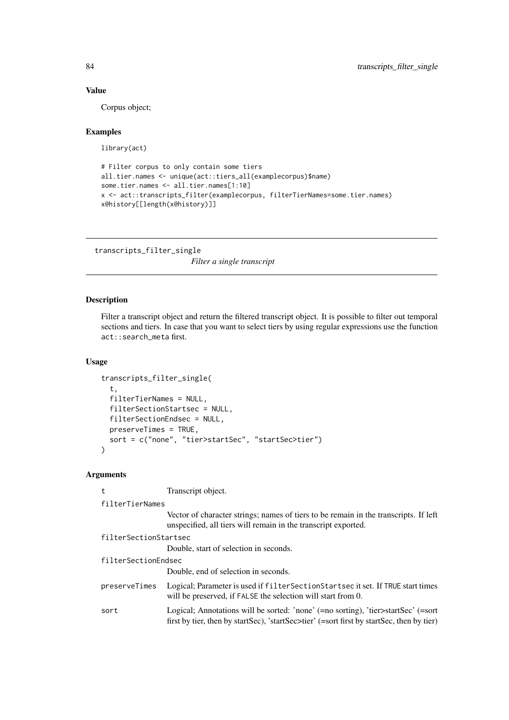## Value

Corpus object;

## Examples

library(act)

```
# Filter corpus to only contain some tiers
all.tier.names <- unique(act::tiers_all(examplecorpus)$name)
some.tier.names <- all.tier.names[1:10]
x <- act::transcripts_filter(examplecorpus, filterTierNames=some.tier.names)
x@history[[length(x@history)]]
```
transcripts\_filter\_single

*Filter a single transcript*

## Description

Filter a transcript object and return the filtered transcript object. It is possible to filter out temporal sections and tiers. In case that you want to select tiers by using regular expressions use the function act::search\_meta first.

## Usage

```
transcripts_filter_single(
  t,
  filterTierNames = NULL,
  filterSectionStartsec = NULL,
  filterSectionEndsec = NULL,
  preserveTimes = TRUE,
  sort = c("none", "tier>startSec", "startSec>tier")
)
```
#### Arguments

| t                     | Transcript object.                                                                                                                                                             |
|-----------------------|--------------------------------------------------------------------------------------------------------------------------------------------------------------------------------|
| filterTierNames       |                                                                                                                                                                                |
|                       | Vector of character strings; names of tiers to be remain in the transcripts. If left<br>unspecified, all tiers will remain in the transcript exported.                         |
| filterSectionStartsec |                                                                                                                                                                                |
|                       | Double, start of selection in seconds.                                                                                                                                         |
| filterSectionEndsec   |                                                                                                                                                                                |
|                       | Double, end of selection in seconds.                                                                                                                                           |
| preserveTimes         | Logical; Parameter is used if filter Section Startsec it set. If TRUE start times<br>will be preserved, if FALSE the selection will start from 0.                              |
| sort                  | Logical; Annotations will be sorted: 'none' (=no sorting), 'tier>startSec' (=sort<br>first by tier, then by startSec), 'startSec>tier' (=sort first by startSec, then by tier) |

<span id="page-83-0"></span>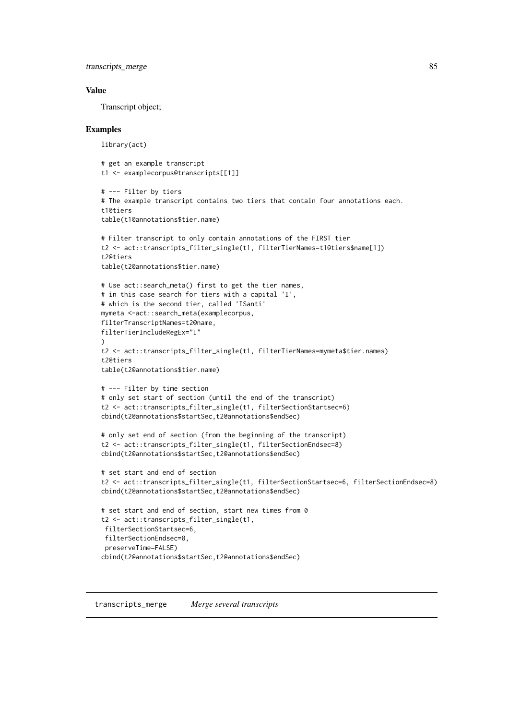<span id="page-84-0"></span>transcripts\_merge 85

#### Value

Transcript object;

#### Examples

library(act)

```
# get an example transcript
t1 <- examplecorpus@transcripts[[1]]
# --- Filter by tiers
# The example transcript contains two tiers that contain four annotations each.
t1@tiers
table(t1@annotations$tier.name)
# Filter transcript to only contain annotations of the FIRST tier
t2 <- act::transcripts_filter_single(t1, filterTierNames=t1@tiers$name[1])
t2@tiers
table(t2@annotations$tier.name)
# Use act::search_meta() first to get the tier names,
# in this case search for tiers with a capital 'I',
# which is the second tier, called 'ISanti'
mymeta <-act::search_meta(examplecorpus,
filterTranscriptNames=t2@name,
filterTierIncludeRegEx="I"
\lambdat2 <- act::transcripts_filter_single(t1, filterTierNames=mymeta$tier.names)
t2@tiers
table(t2@annotations$tier.name)
# --- Filter by time section
# only set start of section (until the end of the transcript)
t2 <- act::transcripts_filter_single(t1, filterSectionStartsec=6)
cbind(t2@annotations$startSec,t2@annotations$endSec)
# only set end of section (from the beginning of the transcript)
t2 <- act::transcripts_filter_single(t1, filterSectionEndsec=8)
cbind(t2@annotations$startSec,t2@annotations$endSec)
# set start and end of section
t2 <- act::transcripts_filter_single(t1, filterSectionStartsec=6, filterSectionEndsec=8)
cbind(t2@annotations$startSec,t2@annotations$endSec)
# set start and end of section, start new times from 0
t2 <- act::transcripts_filter_single(t1,
filterSectionStartsec=6,
filterSectionEndsec=8,
preserveTime=FALSE)
cbind(t2@annotations$startSec,t2@annotations$endSec)
```
transcripts\_merge *Merge several transcripts*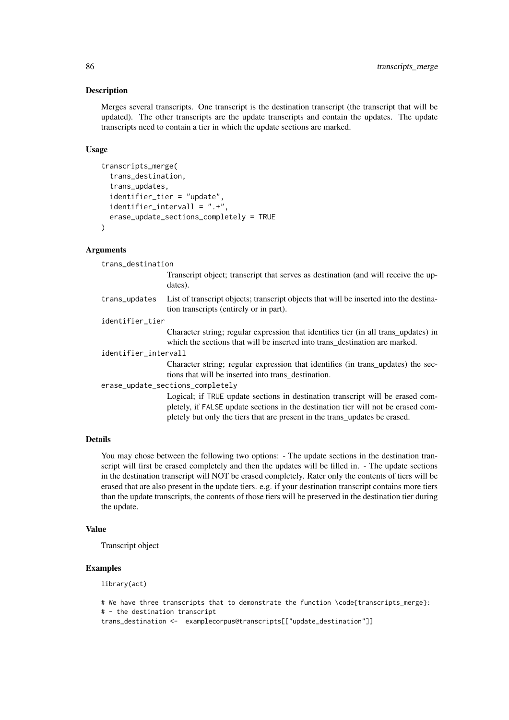#### Description

Merges several transcripts. One transcript is the destination transcript (the transcript that will be updated). The other transcripts are the update transcripts and contain the updates. The update transcripts need to contain a tier in which the update sections are marked.

## Usage

```
transcripts_merge(
  trans_destination,
  trans_updates,
  identifier_tier = "update",
  identifier_intervall = ".+",
  erase_update_sections_completely = TRUE
)
```
## Arguments

trans\_destination

Transcript object; transcript that serves as destination (and will receive the updates).

trans\_updates List of transcript objects; transcript objects that will be inserted into the destination transcripts (entirely or in part).

identifier\_tier

Character string; regular expression that identifies tier (in all trans\_updates) in which the sections that will be inserted into trans destination are marked.

identifier\_intervall

Character string; regular expression that identifies (in trans\_updates) the sections that will be inserted into trans\_destination.

erase\_update\_sections\_completely

Logical; if TRUE update sections in destination transcript will be erased completely, if FALSE update sections in the destination tier will not be erased completely but only the tiers that are present in the trans\_updates be erased.

## Details

You may chose between the following two options: - The update sections in the destination transcript will first be erased completely and then the updates will be filled in. - The update sections in the destination transcript will NOT be erased completely. Rater only the contents of tiers will be erased that are also present in the update tiers. e.g. if your destination transcript contains more tiers than the update transcripts, the contents of those tiers will be preserved in the destination tier during the update.

#### Value

Transcript object

#### Examples

```
# We have three transcripts that to demonstrate the function \code{transcripts_merge}:
# - the destination transcript
trans_destination <- examplecorpus@transcripts[["update_destination"]]
```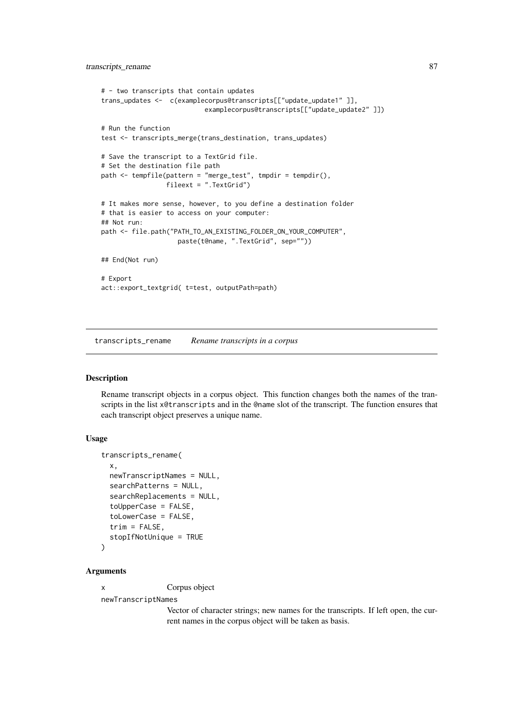```
# - two transcripts that contain updates
trans_updates <- c(examplecorpus@transcripts[["update_update1" ]],
                           examplecorpus@transcripts[["update_update2" ]])
# Run the function
test <- transcripts_merge(trans_destination, trans_updates)
# Save the transcript to a TextGrid file.
# Set the destination file path
path \leq tempfile(pattern = "merge test", tmpdir = tempdir(),
                 fileext = ".TextGrid")
# It makes more sense, however, to you define a destination folder
# that is easier to access on your computer:
## Not run:
path <- file.path("PATH_TO_AN_EXISTING_FOLDER_ON_YOUR_COMPUTER",
                   paste(t@name, ".TextGrid", sep=""))
## End(Not run)
# Export
act::export_textgrid( t=test, outputPath=path)
```
transcripts\_rename *Rename transcripts in a corpus*

#### Description

Rename transcript objects in a corpus object. This function changes both the names of the transcripts in the list x@transcripts and in the @name slot of the transcript. The function ensures that each transcript object preserves a unique name.

#### Usage

```
transcripts_rename(
  x,
  newTranscriptNames = NULL,
  searchPatterns = NULL,
  searchReplacements = NULL,
  toUpperCase = FALSE,
  toLowerCase = FALSE,
  trim = FALSE,
  stopIfNotUnique = TRUE
)
```
#### Arguments

x Corpus object

newTranscriptNames

Vector of character strings; new names for the transcripts. If left open, the current names in the corpus object will be taken as basis.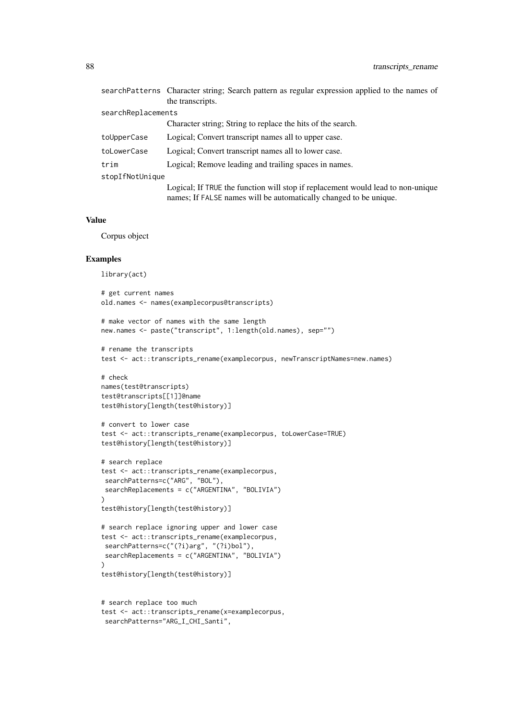|                    | searchPatterns Character string; Search pattern as regular expression applied to the names of<br>the transcripts.                                    |
|--------------------|------------------------------------------------------------------------------------------------------------------------------------------------------|
| searchReplacements |                                                                                                                                                      |
|                    | Character string; String to replace the hits of the search.                                                                                          |
| toUpperCase        | Logical; Convert transcript names all to upper case.                                                                                                 |
| toLowerCase        | Logical; Convert transcript names all to lower case.                                                                                                 |
| trim               | Logical; Remove leading and trailing spaces in names.                                                                                                |
| stopIfNotUnique    |                                                                                                                                                      |
|                    | Logical; If TRUE the function will stop if replacement would lead to non-unique<br>names; If FALSE names will be automatically changed to be unique. |

## Value

Corpus object

## Examples

```
library(act)
# get current names
old.names <- names(examplecorpus@transcripts)
# make vector of names with the same length
new.names <- paste("transcript", 1:length(old.names), sep="")
# rename the transcripts
test <- act::transcripts_rename(examplecorpus, newTranscriptNames=new.names)
# check
names(test@transcripts)
test@transcripts[[1]]@name
test@history[length(test@history)]
# convert to lower case
test <- act::transcripts_rename(examplecorpus, toLowerCase=TRUE)
test@history[length(test@history)]
# search replace
test <- act::transcripts_rename(examplecorpus,
 searchPatterns=c("ARG", "BOL"),
 searchReplacements = c("ARGENTINA", "BOLIVIA")
)
test@history[length(test@history)]
# search replace ignoring upper and lower case
test <- act::transcripts_rename(examplecorpus,
 searchPatterns=c("(?i)arg", "(?i)bol"),
 searchReplacements = c("ARGENTINA", "BOLIVIA")
\lambdatest@history[length(test@history)]
# search replace too much
test <- act::transcripts_rename(x=examplecorpus,
 searchPatterns="ARG_I_CHI_Santi",
```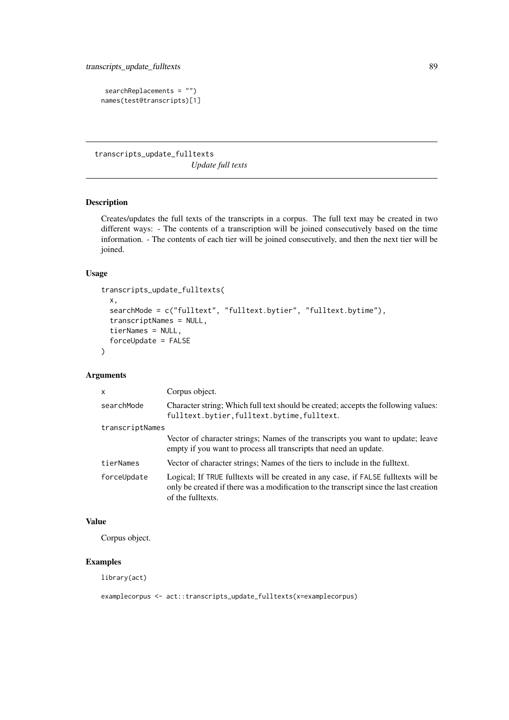```
searchReplacements = "")
names(test@transcripts)[1]
```
transcripts\_update\_fulltexts *Update full texts*

# Description

Creates/updates the full texts of the transcripts in a corpus. The full text may be created in two different ways: - The contents of a transcription will be joined consecutively based on the time information. - The contents of each tier will be joined consecutively, and then the next tier will be joined.

## Usage

```
transcripts_update_fulltexts(
 x,
 searchMode = c("fulltext", "fulltext.bytier", "fulltext.bytime"),
  transcriptNames = NULL,
  tierNames = NULL,
  forceUpdate = FALSE
)
```
## Arguments

| $\mathsf{x}$    | Corpus object.                                                                                                                                                                                   |
|-----------------|--------------------------------------------------------------------------------------------------------------------------------------------------------------------------------------------------|
| searchMode      | Character string; Which full text should be created; accepts the following values:<br>fulltext.bytier, fulltext.bytime, fulltext.                                                                |
| transcriptNames |                                                                                                                                                                                                  |
|                 | Vector of character strings; Names of the transcripts you want to update; leave<br>empty if you want to process all transcripts that need an update.                                             |
| tierNames       | Vector of character strings; Names of the tiers to include in the fulltext.                                                                                                                      |
| forceUpdate     | Logical; If TRUE fulltexts will be created in any case, if FALSE fulltexts will be<br>only be created if there was a modification to the transcript since the last creation<br>of the fulltexts. |

# Value

Corpus object.

## Examples

library(act)

examplecorpus <- act::transcripts\_update\_fulltexts(x=examplecorpus)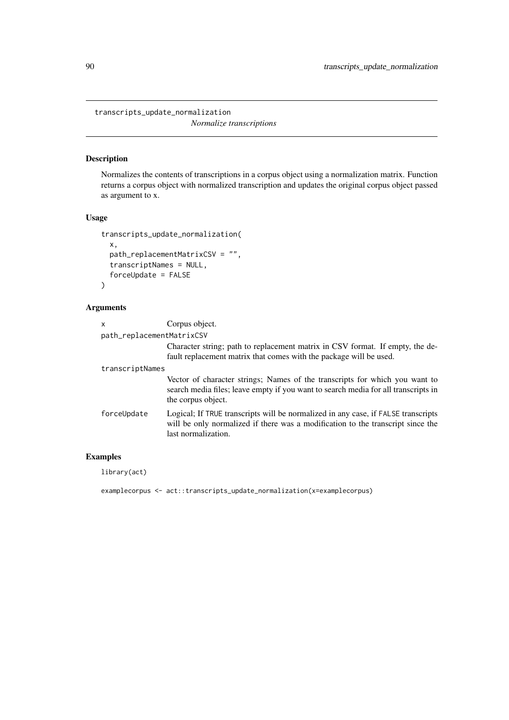<span id="page-89-0"></span>transcripts\_update\_normalization

*Normalize transcriptions*

# Description

Normalizes the contents of transcriptions in a corpus object using a normalization matrix. Function returns a corpus object with normalized transcription and updates the original corpus object passed as argument to x.

## Usage

```
transcripts_update_normalization(
  x,
  path_replacementMatrixCSV = "",
  transcriptNames = NULL,
  forceUpdate = FALSE
\lambda
```
## Arguments

| x                         | Corpus object.                                                                                                                                                                              |
|---------------------------|---------------------------------------------------------------------------------------------------------------------------------------------------------------------------------------------|
| path_replacementMatrixCSV |                                                                                                                                                                                             |
|                           | Character string; path to replacement matrix in CSV format. If empty, the de-<br>fault replacement matrix that comes with the package will be used.                                         |
| transcriptNames           |                                                                                                                                                                                             |
|                           | Vector of character strings; Names of the transcripts for which you want to<br>search media files; leave empty if you want to search media for all transcripts in<br>the corpus object.     |
| forceUpdate               | Logical; If TRUE transcripts will be normalized in any case, if FALSE transcripts<br>will be only normalized if there was a modification to the transcript since the<br>last normalization. |

# Examples

```
examplecorpus <- act::transcripts_update_normalization(x=examplecorpus)
```